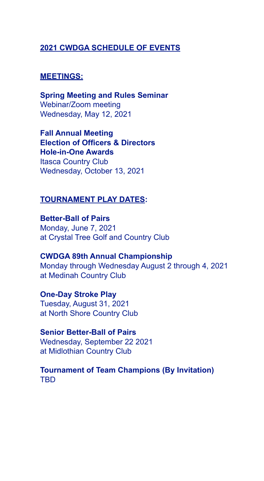#### **2021 CWDGA SCHEDULE OF EVENTS**

#### **MEETINGS:**

**Spring Meeting and Rules Seminar** Webinar/Zoom meeting Wednesday, May 12, 2021

**Fall Annual Meeting Election of Officers & Directors Hole-in-One Awards** Itasca Country Club Wednesday, October 13, 2021

#### **TOURNAMENT PLAY DATES:**

**Better-Ball of Pairs** Monday, June 7, 2021 at Crystal Tree Golf and Country Club

**CWDGA 89th Annual Championship** Monday through Wednesday August 2 through 4, 2021 at Medinah Country Club

**One-Day Stroke Play** Tuesday, August 31, 2021 at North Shore Country Club

**Senior Better-Ball of Pairs** Wednesday, September 22 2021 at Midlothian Country Club

**Tournament of Team Champions (By Invitation)** TBD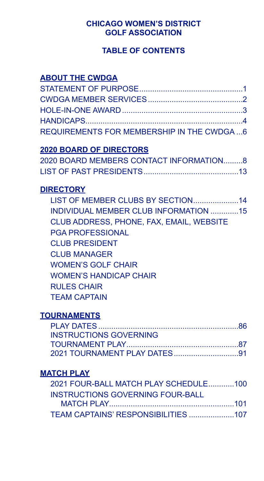## **CHICAGO WOMEN'S DISTRICT GOLF ASSOCIATION**

# **TABLE OF CONTENTS**

# **ABOUT THE CWDGA**

| REQUIREMENTS FOR MEMBERSHIP IN THE CWDGA  6 |  |
|---------------------------------------------|--|

# **2020 BOARD OF DIRECTORS**

| 2020 BOARD MEMBERS CONTACT INFORMATION8 |  |
|-----------------------------------------|--|
|                                         |  |

# **DIRECTORY**

| LIST OF MEMBER CLUBS BY SECTION14        |  |
|------------------------------------------|--|
| INDIVIDUAL MEMBER CLUB INFORMATION 15    |  |
| CLUB ADDRESS, PHONE, FAX, EMAIL, WEBSITE |  |
| <b>PGA PROFESSIONAL</b>                  |  |
| <b>CLUB PRESIDENT</b>                    |  |
| <b>CLUB MANAGER</b>                      |  |
| <b>WOMEN'S GOLF CHAIR</b>                |  |
| <b>WOMEN'S HANDICAP CHAIR</b>            |  |
| <b>RULES CHAIR</b>                       |  |
| <b>TEAM CAPTAIN</b>                      |  |
|                                          |  |

# **TOURNAMENTS**

# **MATCH PLAY**

| 2021 FOUR-BALL MATCH PLAY SCHEDULE100 |  |
|---------------------------------------|--|
| INSTRUCTIONS GOVERNING FOUR-BALL      |  |
|                                       |  |
|                                       |  |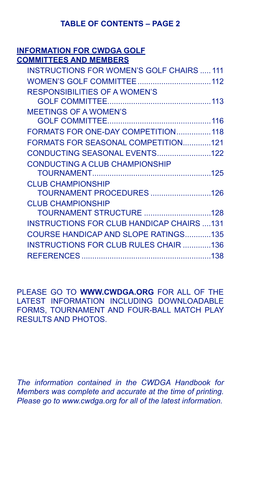# **TABLE OF CONTENTS – PAGE 2**

#### **INFORMATION FOR CWDGA GOLF COMMITTEES AND MEMBERS**

| <b>INSTRUCTIONS FOR WOMEN'S GOLF CHAIRS  111</b> |  |
|--------------------------------------------------|--|
|                                                  |  |
| RESPONSIBILITIES OF A WOMEN'S                    |  |
|                                                  |  |
| <b>MEETINGS OF A WOMEN'S</b>                     |  |
|                                                  |  |
| FORMATS FOR ONE-DAY COMPETITION118               |  |
| FORMATS FOR SEASONAL COMPETITION121              |  |
|                                                  |  |
| <b>CONDUCTING A CLUB CHAMPIONSHIP</b>            |  |
|                                                  |  |
| <b>CLUB CHAMPIONSHIP</b>                         |  |
|                                                  |  |
| <b>CLUB CHAMPIONSHIP</b>                         |  |
| TOURNAMENT STRUCTURE 128                         |  |
| <b>INSTRUCTIONS FOR CLUB HANDICAP CHAIRS 131</b> |  |
| COURSE HANDICAP AND SLOPE RATINGS135             |  |
| <b>INSTRUCTIONS FOR CLUB RULES CHAIR 136</b>     |  |
|                                                  |  |
|                                                  |  |

PLEASE GO TO **WWW.CWDGA.ORG** FOR ALL OF THE LATEST INFORMATION INCLUDING DOWNLOADABLE FORMS, TOURNAMENT AND FOUR-BALL MATCH PLAY RESULTS AND PHOTOS.

*The information contained in the CWDGA Handbook for Members was complete and accurate at the time of printing. Please go to www.cwdga.org for all of the latest information.*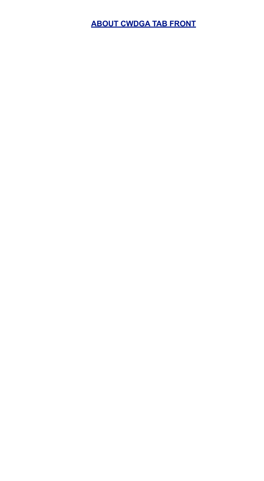**ABOUT CWDGA TAB FRONT**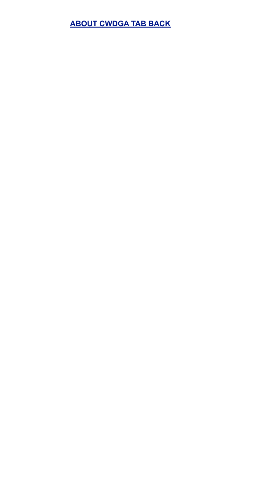# **ABOUT CWDGA TAB BACK**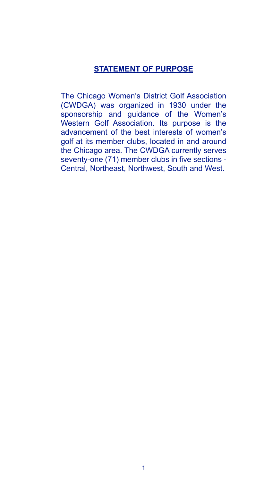#### **STATEMENT OF PURPOSE**

The Chicago Women's District Golf Association (CWDGA) was organized in 1930 under the sponsorship and guidance of the Women's Western Golf Association. Its purpose is the advancement of the best interests of women's golf at its member clubs, located in and around the Chicago area. The CWDGA currently serves seventy-one (71) member clubs in five sections - Central, Northeast, Northwest, South and West.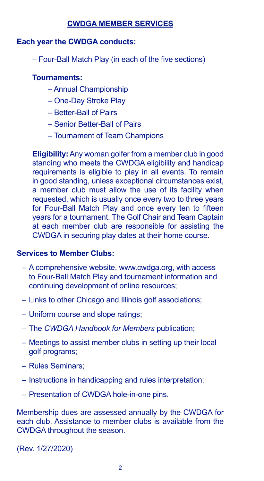# **CWDGA MEMBER SERVICES**

#### **Each year the CWDGA conducts:**

– Four-Ball Match Play (in each of the five sections)

#### **Tournaments:**

- Annual Championship
- One-Day Stroke Play
- Better-Ball of Pairs
- Senior Better-Ball of Pairs
- Tournament of Team Champions

**Eligibility:** Any woman golfer from a member club in good standing who meets the CWDGA eligibility and handicap requirements is eligible to play in all events. To remain in good standing, unless exceptional circumstances exist, a member club must allow the use of its facility when requested, which is usually once every two to three years for Four-Ball Match Play and once every ten to fifteen years for a tournament. The Golf Chair and Team Captain at each member club are responsible for assisting the CWDGA in securing play dates at their home course.

#### **Services to Member Clubs:**

- A comprehensive website, www.cwdga.org, with access to Four-Ball Match Play and tournament information and continuing development of online resources;
- Links to other Chicago and Illinois golf associations;
- Uniform course and slope ratings;
- The *CWDGA Handbook for Members* publication;
- Meetings to assist member clubs in setting up their local golf programs;
- Rules Seminars;
- Instructions in handicapping and rules interpretation;
- Presentation of CWDGA hole-in-one pins.

Membership dues are assessed annually by the CWDGA for each club. Assistance to member clubs is available from the CWDGA throughout the season.

(Rev. 1/27/2020)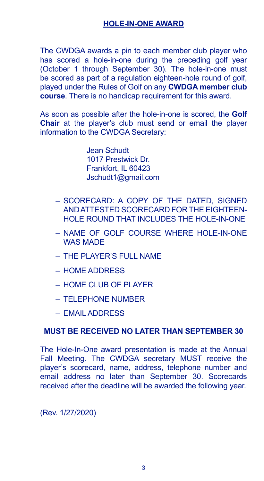The CWDGA awards a pin to each member club player who has scored a hole-in-one during the preceding golf year (October 1 through September 30). The hole-in-one must be scored as part of a regulation eighteen-hole round of golf, played under the Rules of Golf on any **CWDGA member club course**. There is no handicap requirement for this award.

As soon as possible after the hole-in-one is scored, the **Golf Chair** at the player's club must send or email the player information to the CWDGA Secretary:

> Jean Schudt 1017 Prestwick Dr. Frankfort, IL 60423 Jschudt1@gmail.com

- SCORECARD: A COPY OF THE DATED, SIGNED AND ATTESTED SCORECARD FOR THE EIGHTEEN-HOLE ROUND THAT INCLUDES THE HOLE-IN-ONE
- NAME OF GOLF COURSE WHERE HOLE-IN-ONE WAS MADE
- THE PLAYER'S FULL NAME
- HOME ADDRESS
- HOME CLUB OF PLAYER
- TELEPHONE NUMBER
- EMAIL ADDRESS

# **MUST BE RECEIVED NO LATER THAN SEPTEMBER 30**

The Hole-In-One award presentation is made at the Annual Fall Meeting. The CWDGA secretary MUST receive the player's scorecard, name, address, telephone number and email address no later than September 30. Scorecards received after the deadline will be awarded the following year.

(Rev. 1/27/2020)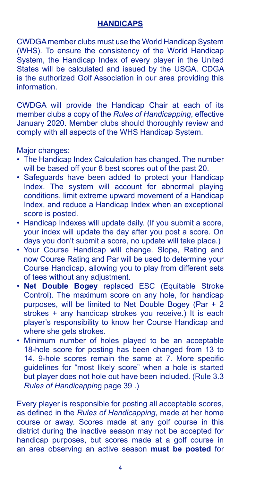## **HANDICAPS**

CWDGA member clubs must use the World Handicap System (WHS). To ensure the consistency of the World Handicap System, the Handicap Index of every player in the United States will be calculated and issued by the USGA. CDGA is the authorized Golf Association in our area providing this information.

CWDGA will provide the Handicap Chair at each of its member clubs a copy of the *Rules of Handicapping*, effective January 2020. Member clubs should thoroughly review and comply with all aspects of the WHS Handicap System.

Major changes:

- The Handicap Index Calculation has changed. The number will be based off your 8 best scores out of the past 20.
- Safeguards have been added to protect your Handicap Index. The system will account for abnormal playing conditions, limit extreme upward movement of a Handicap Index, and reduce a Handicap Index when an exceptional score is posted.
- Handicap Indexes will update daily. (If you submit a score, your index will update the day after you post a score. On days you don't submit a score, no update will take place.)
- Your Course Handicap will change. Slope, Rating and now Course Rating and Par will be used to determine your Course Handicap, allowing you to play from different sets of tees without any adjustment.
- **Net Double Bogey** replaced ESC (Equitable Stroke Control). The maximum score on any hole, for handicap purposes, will be limited to Net Double Bogey (Par + 2 strokes + any handicap strokes you receive.) It is each player's responsibility to know her Course Handicap and where she gets strokes.
- Minimum number of holes played to be an acceptable 18-hole score for posting has been changed from 13 to 14. 9-hole scores remain the same at 7. More specific guidelines for "most likely score" when a hole is started but player does not hole out have been included. (Rule 3.3 *Rules of Handicappin*g page 39 .)

Every player is responsible for posting all acceptable scores, as defined in the *Rules of Handicapping*, made at her home course or away. Scores made at any golf course in this district during the inactive season may not be accepted for handicap purposes, but scores made at a golf course in an area observing an active season **must be posted** for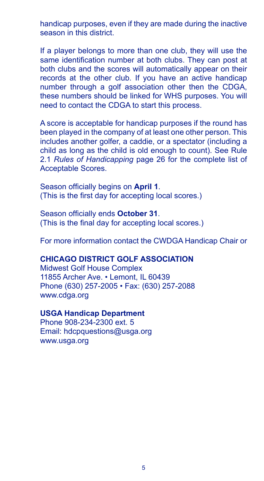handicap purposes, even if they are made during the inactive season in this district.

If a player belongs to more than one club, they will use the same identification number at both clubs. They can post at both clubs and the scores will automatically appear on their records at the other club. If you have an active handicap number through a golf association other then the CDGA, these numbers should be linked for WHS purposes. You will need to contact the CDGA to start this process.

A score is acceptable for handicap purposes if the round has been played in the company of at least one other person. This includes another golfer, a caddie, or a spectator (including a child as long as the child is old enough to count). See Rule 2.1 *Rules of Handicapping* page 26 for the complete list of Acceptable Scores.

Season officially begins on **April 1**. (This is the first day for accepting local scores.)

Season officially ends **October 31**. (This is the final day for accepting local scores.)

For more information contact the CWDGA Handicap Chair or

#### **CHICAGO DISTRICT GOLF ASSOCIATION**

Midwest Golf House Complex 11855 Archer Ave. • Lemont, IL 60439 Phone (630) 257-2005 • Fax: (630) 257-2088 www.cdga.org

#### **USGA Handicap Department**

Phone 908-234-2300 ext. 5 Email: hdcpquestions@usga.org www.usga.org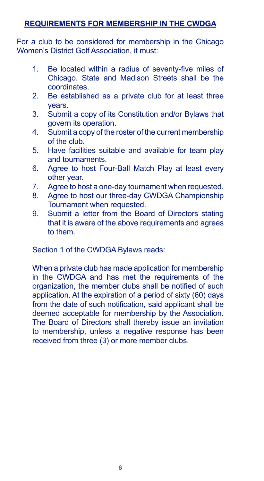## **REQUIREMENTS FOR MEMBERSHIP IN THE CWDGA**

For a club to be considered for membership in the Chicago Women's District Golf Association, it must:

- 1. Be located within a radius of seventy-five miles of Chicago. State and Madison Streets shall be the coordinates.
- 2. Be established as a private club for at least three years.
- 3. Submit a copy of its Constitution and/or Bylaws that govern its operation.
- 4. Submit a copy of the roster of the current membership of the club.
- 5. Have facilities suitable and available for team play and tournaments.
- 6. Agree to host Four-Ball Match Play at least every other year.
- 7. Agree to host a one-day tournament when requested.
- 8. Agree to host our three-day CWDGA Championship Tournament when requested.
- 9. Submit a letter from the Board of Directors stating that it is aware of the above requirements and agrees to them.

Section 1 of the CWDGA Bylaws reads:

When a private club has made application for membership in the CWDGA and has met the requirements of the organization, the member clubs shall be notified of such application. At the expiration of a period of sixty (60) days from the date of such notification, said applicant shall be deemed acceptable for membership by the Association. The Board of Directors shall thereby issue an invitation to membership, unless a negative response has been received from three (3) or more member clubs.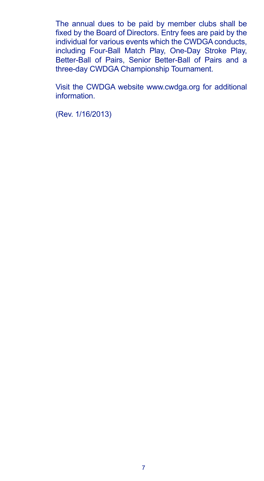The annual dues to be paid by member clubs shall be fixed by the Board of Directors. Entry fees are paid by the individual for various events which the CWDGA conducts, including Four-Ball Match Play, One-Day Stroke Play, Better-Ball of Pairs, Senior Better-Ball of Pairs and a three-day CWDGA Championship Tournament.

Visit the CWDGA website www.cwdga.org for additional information.

(Rev. 1/16/2013)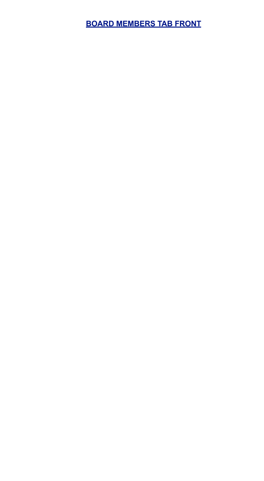**BOARD MEMBERS TAB FRONT**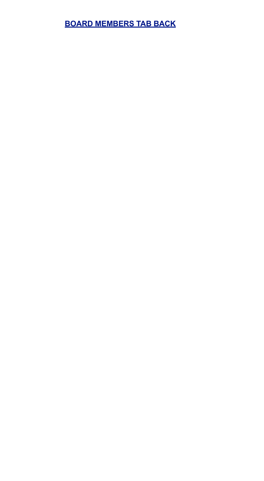# **BOARD MEMBERS TAB BACK**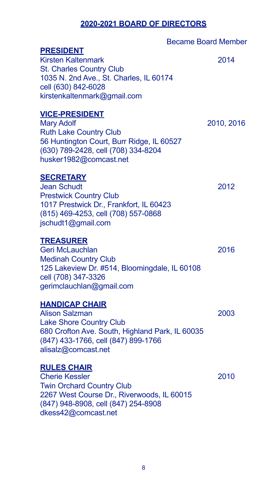# **2020-2021 BOARD OF DIRECTORS**

|                                                                                                                                                                                             | <b>Became Board Member</b> |
|---------------------------------------------------------------------------------------------------------------------------------------------------------------------------------------------|----------------------------|
| <b>PRESIDENT</b><br><b>Kirsten Kaltenmark</b><br>St. Charles Country Club<br>1035 N. 2nd Ave., St. Charles, IL 60174<br>cell (630) 842-6028<br>kirstenkaltenmark@gmail.com                  | 2014                       |
| <b>VICE-PRESIDENT</b><br><b>Mary Adolf</b><br><b>Ruth Lake Country Club</b><br>56 Huntington Court, Burr Ridge, IL 60527<br>(630) 789-2428, cell (708) 334-8204<br>husker1982@comcast.net   | 2010, 2016                 |
| <b>SECRETARY</b><br>Jean Schudt<br><b>Prestwick Country Club</b><br>1017 Prestwick Dr., Frankfort, IL 60423<br>(815) 469-4253, cell (708) 557-0868<br>jschudt1@gmail.com                    | 2012                       |
| <b>TREASURER</b><br>Geri McLauchlan<br><b>Medinah Country Club</b><br>125 Lakeview Dr. #514, Bloomingdale, IL 60108<br>cell (708) 347-3326<br>gerimclauchlan@gmail.com                      | 2016                       |
| <b>HANDICAP CHAIR</b><br><b>Alison Salzman</b><br>Lake Shore Country Club<br>680 Crofton Ave. South, Highland Park, IL 60035<br>(847) 433-1766, cell (847) 899-1766<br>alisalz@comcast.net  | 2003                       |
| <b>RULES CHAIR</b><br><b>Cherie Kessler</b><br><b>Twin Orchard Country Club</b><br>2267 West Course Dr., Riverwoods, IL 60015<br>(847) 948-8908, cell (847) 254-8908<br>dkess42@comcast.net | 2010                       |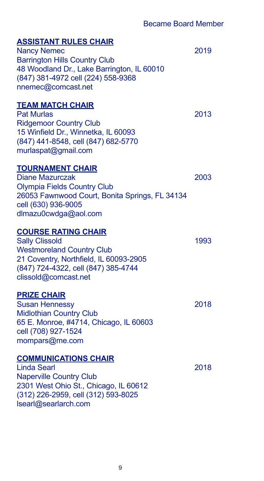# **ASSISTANT RULES CHAIR** Nancy Nemec 2019 Barrington Hills Country Club 48 Woodland Dr., Lake Barrington, IL 60010 (847) 381-4972 cell (224) 558-9368 nnemec@comcast.net **TEAM MATCH CHAIR** Pat Murlas 2013 Ridgemoor Country Club 15 Winfield Dr., Winnetka, IL 60093 (847) 441-8548, cell (847) 682-5770 murlaspat@gmail.com **TOURNAMENT CHAIR** Diane Mazurczak 2003 Olympia Fields Country Club 26053 Fawnwood Court, Bonita Springs, FL 34134 cell (630) 936-9005 dlmazu0cwdga@aol.com **COURSE RATING CHAIR** Sally Clissold 1993 Westmoreland Country Club 21 Coventry, Northfield, IL 60093-2905 (847) 724-4322, cell (847) 385-4744 clissold@comcast.net **PRIZE CHAIR** Susan Hennessy 2018 Midlothian Country Club 65 E. Monroe, #4714, Chicago, IL 60603 cell (708) 927-1524 mompars@me.com **COMMUNICATIONS CHAIR** Linda Searl 2018 Naperville Country Club 2301 West Ohio St., Chicago, IL 60612 (312) 226-2959, cell (312) 593-8025 lsearl@searlarch.com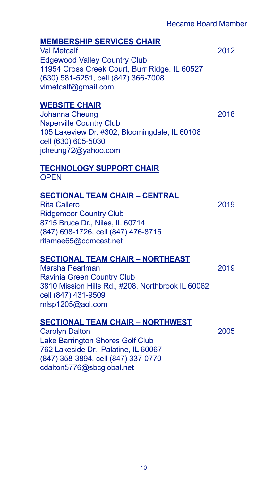# **MEMBERSHIP SERVICES CHAIR**

Val Metcalf 2012 Edgewood Valley Country Club 11954 Cross Creek Court, Burr Ridge, IL 60527 (630) 581-5251, cell (847) 366-7008 vlmetcalf@gmail.com

## **WEBSITE CHAIR**

Johanna Cheung 2018 Naperville Country Club 105 Lakeview Dr. #302, Bloomingdale, IL 60108 cell (630) 605-5030 jcheung72@yahoo.com

# **TECHNOLOGY SUPPORT CHAIR**

**OPEN** 

#### **SECTIONAL TEAM CHAIR – CENTRAL**

Rita Callero 2019 Ridgemoor Country Club 8715 Bruce Dr., Niles, IL 60714 (847) 698-1726, cell (847) 476-8715 ritamae65@comcast.net

#### **SECTIONAL TEAM CHAIR – NORTHEAST**

Marsha Pearlman 2019 Ravinia Green Country Club 3810 Mission Hills Rd., #208, Northbrook IL 60062 cell (847) 431-9509 mlsp1205@aol.com

# **SECTIONAL TEAM CHAIR – NORTHWEST**

Carolyn Dalton 2005 Lake Barrington Shores Golf Club 762 Lakeside Dr., Palatine, IL 60067 (847) 358-3894, cell (847) 337-0770 cdalton5776@sbcglobal.net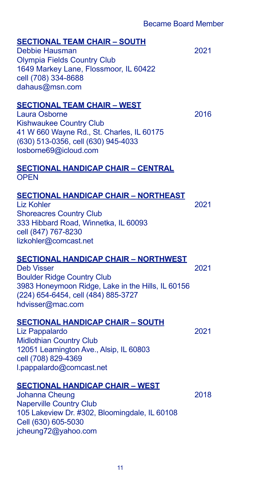# **SECTIONAL TEAM CHAIR – SOUTH** Debbie Hausman 2021 Olympia Fields Country Club 1649 Markey Lane, Flossmoor, IL 60422 cell (708) 334-8688 dahaus@msn.com **SECTIONAL TEAM CHAIR – WEST** Laura Osborne 2016 Kishwaukee Country Club 41 W 660 Wayne Rd., St. Charles, IL 60175 (630) 513-0356, cell (630) 945-4033 losborne69@icloud.com **SECTIONAL HANDICAP CHAIR – CENTRAL OPEN SECTIONAL HANDICAP CHAIR – NORTHEAST** Liz Kohler 2021 Shoreacres Country Club 333 Hibbard Road, Winnetka, IL 60093 cell (847) 767-8230 lizkohler@comcast.net **SECTIONAL HANDICAP CHAIR – NORTHWEST** Deb Visser 2021 Boulder Ridge Country Club 3983 Honeymoon Ridge, Lake in the Hills, IL 60156 (224) 654-6454, cell (484) 885-3727 hdvisser@mac.com **SECTIONAL HANDICAP CHAIR – SOUTH** Liz Pappalardo 2021 Midlothian Country Club 12051 Leamington Ave., Alsip, IL 60803 cell (708) 829-4369 l.pappalardo@comcast.net **SECTIONAL HANDICAP CHAIR – WEST** Johanna Cheung 2018 Naperville Country Club 105 Lakeview Dr. #302, Bloomingdale, IL 60108 Cell (630) 605-5030 jcheung72@yahoo.com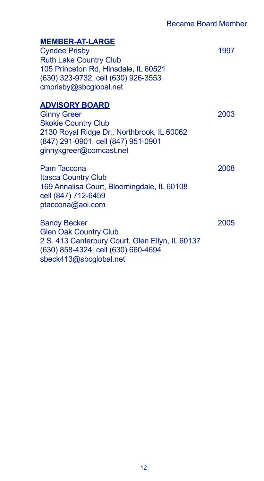## **MEMBER-AT-LARGE**

Cyndee Prisby 1997 Ruth Lake Country Club 105 Princeton Rd, Hinsdale, IL 60521 (630) 323-9732, cell (630) 926-3553 cmprisby@sbcglobal.net

## **ADVISORY BOARD**

Ginny Greer 2003 Skokie Country Club 2130 Royal Ridge Dr., Northbrook, IL 60062 (847) 291-0901, cell (847) 951-0901 ginnykgreer@comcast.net

Pam Taccona 2008 Itasca Country Club 169 Annalisa Court, Bloomingdale, IL 60108 cell (847) 712-6459 ptaccona@aol.com

Sandy Becker 2005 Glen Oak Country Club 2 S. 413 Canterbury Court, Glen Ellyn, IL 60137 (630) 858-4324, cell (630) 660-4694 sbeck413@sbcglobal.net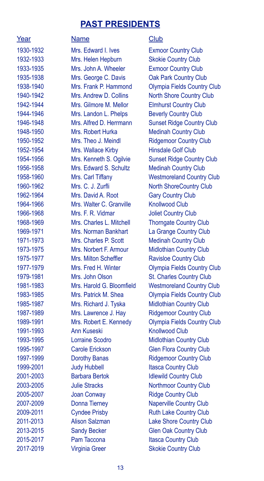# **PAST PRESIDENTS**

| 1930-1932                            |  |
|--------------------------------------|--|
| 1932-1933                            |  |
| 1933-1935                            |  |
| 1935-1938                            |  |
| 1938-1940                            |  |
| 1940-1942                            |  |
| 1942-194 <mark>4</mark><br>1944-1946 |  |
|                                      |  |
| 1946-1948                            |  |
| 1948-1950                            |  |
| 1950-1952                            |  |
| 1952-1954                            |  |
| 1954-1956                            |  |
| 1956-1958                            |  |
| 1958-1960                            |  |
|                                      |  |
| 1960-1962<br>1962-1964               |  |
| 1964-1966                            |  |
| 1966-1968                            |  |
| 1968-1969                            |  |
| 1969-1971                            |  |
|                                      |  |
| 1971-1973<br>1973-1975               |  |
| 1975-1977                            |  |
| 1977-1979                            |  |
| 1979-1981                            |  |
| 1981-1983                            |  |
| 1983-1985                            |  |
| 1985-1987                            |  |
| 1987-1989                            |  |
| 1989-1991                            |  |
| 1991-1993                            |  |
| 1993-1995                            |  |
| 1995-1997                            |  |
| 1997-1999                            |  |
| 1999-2001                            |  |
| 2001-2003                            |  |
| 2003-2005                            |  |
| 2005-2007                            |  |
| 2007-2009                            |  |
| 2009-201 <mark>1</mark>              |  |
| 2011-2013                            |  |
| 2013-2015                            |  |
| 2015-201 <mark>7</mark>              |  |
| 2017-2010                            |  |

Mrs. Edward I. Ives Exmoor Country Club Mrs. Helen Hepburn Skokie Country Club Mrs. John A. Wheeler Exmoor Country Club Mrs. George C. Davis **Oak Park Country Club** Mrs. Gilmore M. Mellor Elmhurst Country Club Mrs. Landon L. Phelps Beverly Country Club Mrs. Robert Hurka Medinah Country Club Mrs. Theo J. Meindl Ridgemoor Country Club Mrs. Wallace Kirby Hinsdale Golf Club Mrs. Edward S. Schultz Medinah Country Club Mrs. C. J. Zurfli North ShoreCountry Club Mrs. David A. Root Gary Country Club Mrs. Walter C. Granville Knollwood Club Mrs. F. R. Vidmar **Joliet Country Club** Mrs. Charles L. Mitchell Thorngate Country Club Mrs. Norman Bankhart La Grange Country Club Mrs. Charles P. Scott Medinah Country Club Mrs. Norbert F. Armour Midlothian Country Club Mrs. Milton Scheffler Ravisloe Country Club Mrs. John Olson St. Charles Country Club Mrs. Richard J. Tyska Midlothian Country Club Mrs. Lawrence J. Hay Ridgemoor Country Club Ann Kuseski Knollwood Club Lorraine Scodro Midlothian Country Club **Carole Erickson** Glen Flora Country Club **Dorothy Banas** Ridgemoor Country Club **Judy Hubbell Itasca Country Club** Barbara Bertok Idlewild Country Club **2006** Julie Stracks Northmoor Country Club **2005** Joan Conway **Ridge Country Club Donna Tierney Naperville Country Club 2009-2011 Cyndee Prisby Ruth Lake Country Club** Alison Salzman Lake Shore Country Club **2015** Sandy Becker Glen Oak Country Club Pam Taccona Itasca Country Club

#### Year Name Name Club

Mrs. Frank P. Hammond Olympia Fields Country Club Mrs. Andrew D. Collins North Shore Country Club Mrs. Alfred D. Herrmann Sunset Ridge Country Club Mrs. Kenneth S. Ogilvie Sunset Ridge Country Club Mrs. Carl Tiffany Westmoreland Country Club Mrs. Fred H. Winter **Olympia Fields Country Club** Mrs. Harold G. Bloomfield Westmoreland Country Club Mrs. Patrick M. Shea Olympia Fields Country Club Mrs. Robert E. Kennedy Olympia Fields Country Club 2017-2019 Virginia Greer Skokie Country Club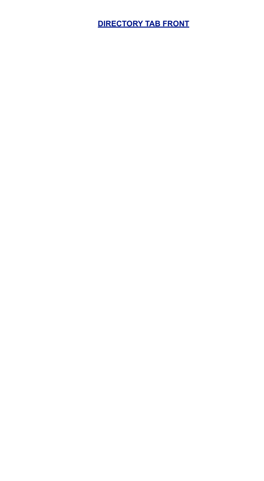# **DIRECTORY TAB FRONT**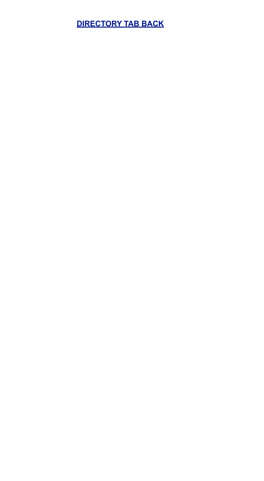# **DIRECTORY TAB BACK**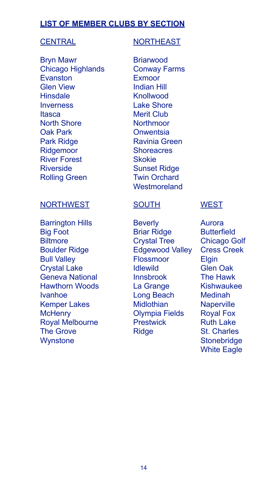# **LIST OF MEMBER CLUBS BY SECTION**

Bryn Mawr Briarwood Chicago Highlands Conway Farms Evanston Exmoor Glen View **Indian Hill** Hinsdale **Knollwood** Inverness Lake Shore Itasca Merit Club North Shore **Northmoor** Oak Park Onwentsia Park Ridge Ravinia Green Ridgemoor Shoreacres River Forest Skokie Riverside Sunset Ridge Rolling Green Twin Orchard

#### CENTRAL NORTHEAST

**Westmoreland** 

#### NORTHWEST SOUTH

Barrington Hills **Beverly** Big Foot Briar Ridge Biltmore Crystal Tree Boulder Ridge **Edgewood Valley** Bull Valley **Flossmoor** Crystal Lake Idlewild Geneva National **Innsbrook** Hawthorn Woods La Grange Ivanhoe **Long Beach** Kemper Lakes Midlothian McHenry Olympia Fields Royal Melbourne Prestwick The Grove **Ridge Wynstone** 

## **WEST**

Aurora **Butterfield** Chicago Golf Cress Creek Elgin Glen Oak The Hawk Kishwaukee Medinah **Naperville** Royal Fox Ruth Lake St. Charles **Stonebridge** White Eagle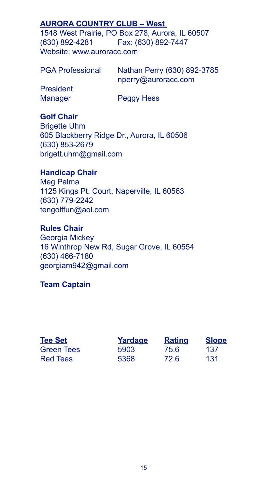# **AURORA COUNTRY CLUB – West**

1548 West Prairie, PO Box 278, Aurora, IL 60507 (630) 892-4281 Fax: (630) 892-7447 Website: www.auroracc.com

PGA Professional Nathan Perry (630) 892-3785 nperry@auroracc.com President Manager Peggy Hess

# **Golf Chair**

Brigette Uhm 605 Blackberry Ridge Dr., Aurora, IL 60506 (630) 853-2679 brigett.uhm@gmail.com

#### **Handicap Chair**

Meg Palma 1125 Kings Pt. Court, Naperville, IL 60563 (630) 779-2242 tengolffun@aol.com

# **Rules Chair**

Georgia Mickey 16 Winthrop New Rd, Sugar Grove, IL 60554 (630) 466-7180 georgiam942@gmail.com

#### **Team Captain**

| <b>Tee Set</b> | Yardage | <b>Rating</b> | <b>Slope</b> |
|----------------|---------|---------------|--------------|
| Green Tees     | 5903    | 75.6          | 137          |
| Red Tees       | 5368    | 72.6          | 131          |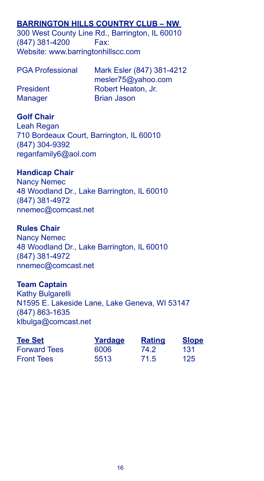# **BARRINGTON HILLS COUNTRY CLUB – NW**

300 West County Line Rd., Barrington, IL 60010 (847) 381-4200 Fax: Website: www.barringtonhillscc.com

| <b>PGA Professional</b> | Mark Esler (847) 381-4212 |
|-------------------------|---------------------------|
|                         | mesler75@yahoo.com        |
| <b>President</b>        | Robert Heaton, Jr.        |
| <b>Manager</b>          | <b>Brian Jason</b>        |

#### **Golf Chair**

Leah Regan 710 Bordeaux Court, Barrington, IL 60010 (847) 304-9392 reganfamily6@aol.com

#### **Handicap Chair**

Nancy Nemec 48 Woodland Dr., Lake Barrington, IL 60010 (847) 381-4972 nnemec@comcast.net

#### **Rules Chair**

Nancy Nemec 48 Woodland Dr., Lake Barrington, IL 60010 (847) 381-4972 nnemec@comcast.net

#### **Team Captain**

Kathy Bulgarelli N1595 E. Lakeside Lane, Lake Geneva, WI 53147 (847) 863-1635 klbulga@comcast.net

| <b>Tee Set</b>      | Yardage | <b>Rating</b> | <b>Slope</b> |
|---------------------|---------|---------------|--------------|
| <b>Forward Tees</b> | 6006    | 74.2          | 131          |
| <b>Front Tees</b>   | 5513    | 71.5          | 125          |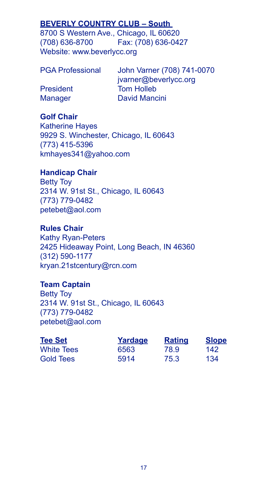# **BEVERLY COUNTRY CLUB – South**

8700 S Western Ave., Chicago, IL 60620 (708) 636-8700 Fax: (708) 636-0427 Website: www.beverlycc.org

| <b>PGA Professional</b> |  |  |
|-------------------------|--|--|
|                         |  |  |

John Varner (708) 741-0070 jvarner@beverlycc.org President Tom Holleb Manager David Mancini

# **Golf Chair**

Katherine Hayes 9929 S. Winchester, Chicago, IL 60643 (773) 415-5396 kmhayes341@yahoo.com

#### **Handicap Chair**

Betty Toy 2314 W. 91st St., Chicago, IL 60643 (773) 779-0482 petebet@aol.com

#### **Rules Chair**

Kathy Ryan-Peters 2425 Hideaway Point, Long Beach, IN 46360 (312) 590-1177 kryan.21stcentury@rcn.com

#### **Team Captain**

Betty Toy 2314 W. 91st St., Chicago, IL 60643 (773) 779-0482 petebet@aol.com

| <b>Tee Set</b>    | Yardage | <b>Rating</b> | <b>Slope</b> |
|-------------------|---------|---------------|--------------|
| <b>White Tees</b> | 6563    | 78.9          | 142          |
| <b>Gold Tees</b>  | 5914    | 75.3          | 134          |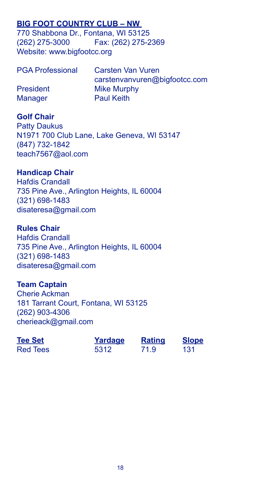# **BIG FOOT COUNTRY CLUB – NW**

770 Shabbona Dr., Fontana, WI 53125 (262) 275-3000 Fax: (262) 275-2369 Website: www.bigfootcc.org

| <b>PGA Professional</b> | Carsten Van Vuren             |
|-------------------------|-------------------------------|
|                         | carstenvanvuren@bigfootcc.com |
| <b>President</b>        | Mike Murphy                   |
| <b>Manager</b>          | <b>Paul Keith</b>             |

# **Golf Chair**

Patty Daukus N1971 700 Club Lane, Lake Geneva, WI 53147 (847) 732-1842 teach7567@aol.com

## **Handicap Chair**

Hafdis Crandall 735 Pine Ave., Arlington Heights, IL 60004 (321) 698-1483 disateresa@gmail.com

#### **Rules Chair**

Hafdis Crandall 735 Pine Ave., Arlington Heights, IL 60004 (321) 698-1483 disateresa@gmail.com

#### **Team Captain**

Cherie Ackman 181 Tarrant Court, Fontana, WI 53125 (262) 903-4306 cherieack@gmail.com

| <b>Tee Set</b>  | Yardage | <b>Rating</b> | <b>Slope</b> |
|-----------------|---------|---------------|--------------|
| <b>Red Tees</b> | 5312    | 71.9          | 131          |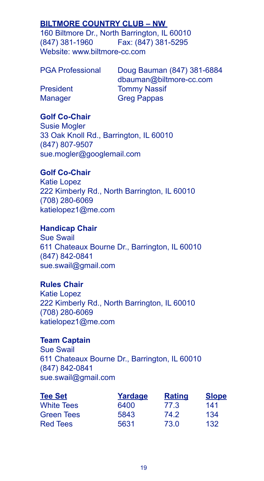# **BILTMORE COUNTRY CLUB – NW**

160 Biltmore Dr., North Barrington, IL 60010 (847) 381-1960 Fax: (847) 381-5295 Website: www.biltmore-cc.com

| <b>PGA Professional</b> |  |  |  |
|-------------------------|--|--|--|
|-------------------------|--|--|--|

Doug Bauman (847) 381-6884 dbauman@biltmore-cc.com President Tommy Nassif Manager Greg Pappas

# **Golf Co-Chair**

Susie Mogler 33 Oak Knoll Rd., Barrington, IL 60010 (847) 807-9507 sue.mogler@googlemail.com

## **Golf Co-Chair**

Katie Lopez 222 Kimberly Rd., North Barrington, IL 60010 (708) 280-6069 katielopez1@me.com

#### **Handicap Chair**

Sue Swail 611 Chateaux Bourne Dr., Barrington, IL 60010 (847) 842-0841 sue.swail@gmail.com

# **Rules Chair**

Katie Lopez 222 Kimberly Rd., North Barrington, IL 60010 (708) 280-6069 katielopez1@me.com

# **Team Captain**

Sue Swail 611 Chateaux Bourne Dr., Barrington, IL 60010 (847) 842-0841 sue.swail@gmail.com

| <b>Tee Set</b>    | Yardage | <b>Rating</b> | <b>Slope</b> |
|-------------------|---------|---------------|--------------|
| <b>White Tees</b> | 6400    | 77.3          | 141          |
| <b>Green Tees</b> | 5843    | 74.2          | 134          |
| <b>Red Tees</b>   | 5631    | 73.0          | 132          |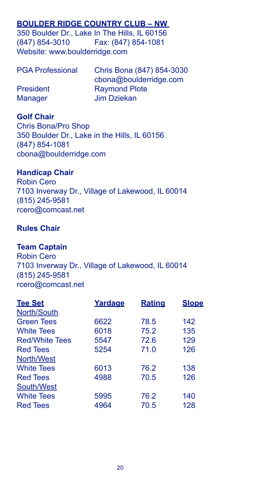# **BOULDER RIDGE COUNTRY CLUB – NW**

350 Boulder Dr., Lake In The Hills, IL 60156 (847) 854-3010 Fax: (847) 854-1081 Website: www.boulderridge.com

| <b>PGA Professional</b> | Chris Bona (847) 854-3030 |
|-------------------------|---------------------------|
|                         | cbona@boulderridge.com    |
| <b>President</b>        | <b>Raymond Plote</b>      |
| <b>Manager</b>          | Jim Dziekan               |

## **Golf Chair**

Chris Bona/Pro Shop 350 Boulder Dr., Lake in the Hills, IL 60156 (847) 854-1081 cbona@boulderridge.com

#### **Handicap Chair**

Robin Cero 7103 Inverway Dr., Village of Lakewood, IL 60014 (815) 245-9581 rcero@comcast.net

#### **Rules Chair**

#### **Team Captain**

Robin Cero 7103 Inverway Dr., Village of Lakewood, IL 60014 (815) 245-9581 rcero@comcast.net

| <b>Tee Set</b>        | Yardage | <b>Rating</b> | <b>Slope</b> |
|-----------------------|---------|---------------|--------------|
| North/South           |         |               |              |
| <b>Green Tees</b>     | 6622    | 78.5          | 142          |
| <b>White Tees</b>     | 6018    | 75.2          | 135          |
| <b>Red/White Tees</b> | 5547    | 72.6          | 129          |
| <b>Red Tees</b>       | 5254    | 71.0          | 126          |
| North/West            |         |               |              |
| <b>White Tees</b>     | 6013    | 76.2          | 138          |
| <b>Red Tees</b>       | 4988    | 70.5          | 126          |
| South/West            |         |               |              |
| <b>White Tees</b>     | 5995    | 76.2          | 140          |
| <b>Red Tees</b>       | 4964    | 70.5          | 128          |
|                       |         |               |              |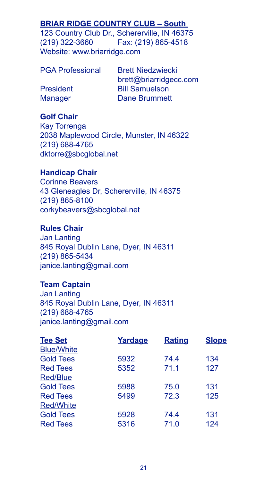# **BRIAR RIDGE COUNTRY CLUB – South**

123 Country Club Dr., Schererville, IN 46375 (219) 322-3660 Fax: (219) 865-4518 Website: www.briarridge.com

PGA Professional Brett Niedzwiecki

brett@briarridgecc.com President Bill Samuelson Manager Dane Brummett

# **Golf Chair**

Kay Torrenga 2038 Maplewood Circle, Munster, IN 46322 (219) 688-4765 dktorre@sbcglobal.net

#### **Handicap Chair**

Corinne Beavers 43 Gleneagles Dr, Schererville, IN 46375 (219) 865-8100 corkybeavers@sbcglobal.net

#### **Rules Chair**

Jan Lanting 845 Royal Dublin Lane, Dyer, IN 46311 (219) 865-5434 janice.lanting@gmail.com

#### **Team Captain**

Jan Lanting 845 Royal Dublin Lane, Dyer, IN 46311 (219) 688-4765 janice.lanting@gmail.com

| <b>Tee Set</b>    | Yardage | <b>Rating</b> | <b>Slope</b> |
|-------------------|---------|---------------|--------------|
| <b>Blue/White</b> |         |               |              |
| <b>Gold Tees</b>  | 5932    | 74.4          | 134          |
| <b>Red Tees</b>   | 5352    | 71.1          | 127          |
| Red/Blue          |         |               |              |
| <b>Gold Tees</b>  | 5988    | 75.0          | 131          |
| <b>Red Tees</b>   | 5499    | 72.3          | 125          |
| <b>Red/White</b>  |         |               |              |
| <b>Gold Tees</b>  | 5928    | 74.4          | 131          |
| <b>Red Tees</b>   | 5316    | 71.0          | 124          |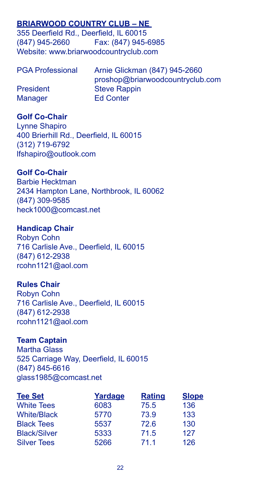# **BRIARWOOD COUNTRY CLUB – NE**

355 Deerfield Rd., Deerfield, IL 60015 (847) 945-2660 Fax: (847) 945-6985 Website: www.briarwoodcountryclub.com

| <b>PGA Professional</b> | Arnie Glickman (847) 945-2660    |
|-------------------------|----------------------------------|
|                         | proshop@briarwoodcountryclub.com |
| <b>President</b>        | <b>Steve Rappin</b>              |
| <b>Manager</b>          | <b>Ed Conter</b>                 |

# **Golf Co-Chair**

Lynne Shapiro 400 Brierhill Rd., Deerfield, IL 60015 (312) 719-6792 lfshapiro@outlook.com

# **Golf Co-Chair**

Barbie Hecktman 2434 Hampton Lane, Northbrook, IL 60062 (847) 309-9585 heck1000@comcast.net

# **Handicap Chair**

Robyn Cohn 716 Carlisle Ave., Deerfield, IL 60015 (847) 612-2938 rcohn1121@aol.com

# **Rules Chair**

Robyn Cohn 716 Carlisle Ave., Deerfield, IL 60015 (847) 612-2938 rcohn1121@aol.com

# **Team Captain**

Martha Glass 525 Carriage Way, Deerfield, IL 60015 (847) 845-6616 glass1985@comcast.net

| <b>Tee Set</b>      | Yardage | <b>Rating</b> | <b>Slope</b> |
|---------------------|---------|---------------|--------------|
| <b>White Tees</b>   | 6083    | 75.5          | 136          |
| <b>White/Black</b>  | 5770    | 73.9          | 133          |
| <b>Black Tees</b>   | 5537    | 72.6          | 130          |
| <b>Black/Silver</b> | 5333    | 71.5          | 127          |
| <b>Silver Tees</b>  | 5266    | 71.1          | 126          |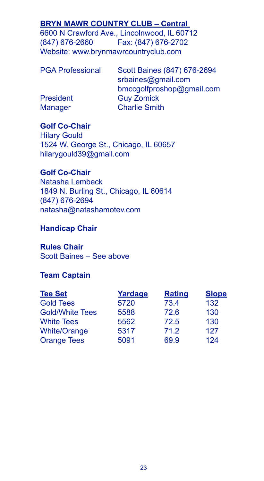# **BRYN MAWR COUNTRY CLUB – Central**

6600 N Crawford Ave., Lincolnwood, IL 60712 (847) 676-2660 Fax: (847) 676-2702 Website: www.brynmawrcountryclub.com

| <b>PGA Professional</b> | Scott Baines (847) 676-2694<br>srbaines@gmail.com |
|-------------------------|---------------------------------------------------|
|                         | bmccgolfproshop@gmail.com                         |
| President               | <b>Guy Zomick</b>                                 |
| <b>Manager</b>          | <b>Charlie Smith</b>                              |

## **Golf Co-Chair**

Hilary Gould 1524 W. George St., Chicago, IL 60657 hilarygould39@gmail.com

#### **Golf Co-Chair**

Natasha Lembeck 1849 N. Burling St., Chicago, IL 60614 (847) 676-2694 natasha@natashamotev.com

# **Handicap Chair**

**Rules Chair** Scott Baines – See above

# **Team Captain**

| <b>Tee Set</b>         | Yardage | <b>Rating</b> | <b>Slope</b> |
|------------------------|---------|---------------|--------------|
| <b>Gold Tees</b>       | 5720    | 73.4          | 132          |
| <b>Gold/White Tees</b> | 5588    | 72.6          | 130          |
| <b>White Tees</b>      | 5562    | 72.5          | 130          |
| <b>White/Orange</b>    | 5317    | 71.2          | 127          |
| <b>Orange Tees</b>     | 5091    | 69.9          | 124          |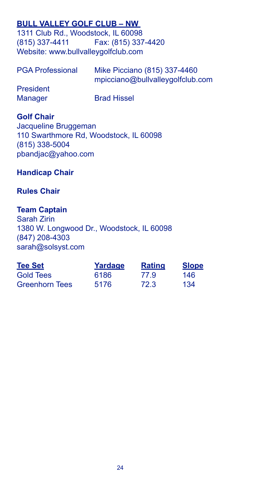# **BULL VALLEY GOLF CLUB – NW**

1311 Club Rd., Woodstock, IL 60098<br>(815) 337-4411 Fax: (815) 337 Fax: (815) 337-4420 Website: www.bullvalleygolfclub.com

| <b>PGA Professional</b> | Mike Picciano (815) 337-4460<br>mpicciano@bullvalleygolfclub.com |
|-------------------------|------------------------------------------------------------------|
| <b>President</b>        |                                                                  |
| <b>Manager</b>          | <b>Brad Hissel</b>                                               |

# **Golf Chair**

Jacqueline Bruggeman 110 Swarthmore Rd, Woodstock, IL 60098 (815) 338-5004 pbandjac@yahoo.com

#### **Handicap Chair**

#### **Rules Chair**

# **Team Captain**

Sarah Zirin 1380 W. Longwood Dr., Woodstock, IL 60098 (847) 208-4303 sarah@solsyst.com

| <b>Tee Set</b>        | Yardage | <b>Rating</b> | <b>Slope</b> |
|-----------------------|---------|---------------|--------------|
| <b>Gold Tees</b>      | 6186    | 77.9          | 146          |
| <b>Greenhorn Tees</b> | 5176    | 72.3          | 134          |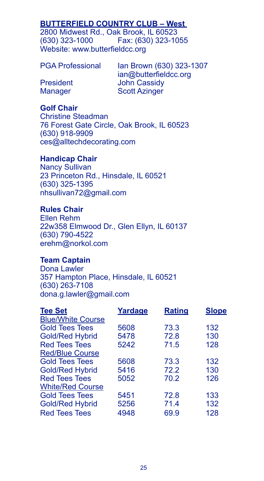# **BUTTERFIELD COUNTRY CLUB – West**

2800 Midwest Rd., Oak Brook, IL 60523 (630) 323-1000 Fax: (630) 323-1055 Website: www.butterfieldcc.org

PGA Professional Ian Brown (630) 323-1307 ian@butterfieldcc.org President John Cassidy<br>
Manager Scott Azinger **Scott Azinger** 

#### **Golf Chair**

Christine Steadman 76 Forest Gate Circle, Oak Brook, IL 60523 (630) 918-9909 ces@alltechdecorating.com

#### **Handicap Chair**

Nancy Sullivan 23 Princeton Rd., Hinsdale, IL 60521 (630) 325-1395 nhsullivan72@gmail.com

# **Rules Chair**

Ellen Rehm 22w358 Elmwood Dr., Glen Ellyn, IL 60137 (630) 790-4522 erehm@norkol.com

#### **Team Captain**

Dona Lawler 357 Hampton Place, Hinsdale, IL 60521 (630) 263-7108 dona.g.lawler@gmail.com

| <b>Tee Set</b>           | Yardage | <b>Rating</b> | <b>Slope</b> |
|--------------------------|---------|---------------|--------------|
| <b>Blue/White Course</b> |         |               |              |
| <b>Gold Tees Tees</b>    | 5608    | 73.3          | 132          |
| <b>Gold/Red Hybrid</b>   | 5478    | 72.8          | 130          |
| <b>Red Tees Tees</b>     | 5242    | 71.5          | 128          |
| <b>Red/Blue Course</b>   |         |               |              |
| <b>Gold Tees Tees</b>    | 5608    | 73.3          | 132          |
| <b>Gold/Red Hybrid</b>   | 5416    | 72.2          | 130          |
| <b>Red Tees Tees</b>     | 5052    | 70.2          | 126          |
| <b>White/Red Course</b>  |         |               |              |
| <b>Gold Tees Tees</b>    | 5451    | 72.8          | 133          |
| <b>Gold/Red Hybrid</b>   | 5256    | 71.4          | 132          |
| <b>Red Tees Tees</b>     | 4948    | 69.9          | 128          |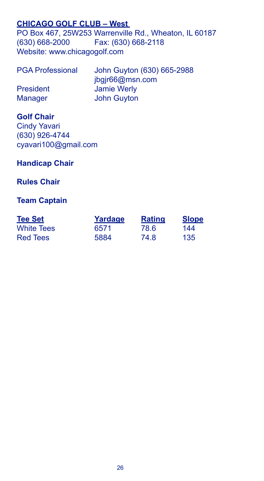# **CHICAGO GOLF CLUB – West**

PO Box 467, 25W253 Warrenville Rd., Wheaton, IL 60187 (630) 668-2000 Fax: (630) 668-2118 Website: www.chicagogolf.com

| <b>PGA Professional</b> | John Guyton (630) 665-2988 |
|-------------------------|----------------------------|
|                         | jbgjr66@msn.com            |
| President               | Jamie Werly                |
| <b>Manager</b>          | <b>John Guyton</b>         |

# **Golf Chair**

Cindy Yavari (630) 926-4744 cyavari100@gmail.com

# **Handicap Chair**

# **Rules Chair**

# **Team Captain**

| <b>Tee Set</b>    | Yardage | <b>Rating</b> | <b>Slope</b> |
|-------------------|---------|---------------|--------------|
| <b>White Tees</b> | 6571    | 78.6          | 144          |
| <b>Red Tees</b>   | 5884    | 74.8          | 135          |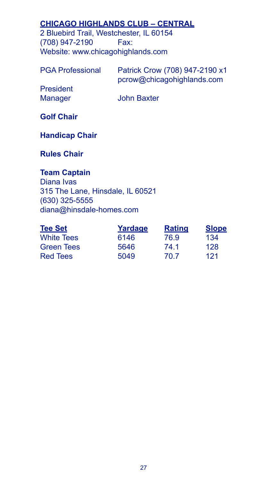# **CHICAGO HIGHLANDS CLUB – CENTRAL**

2 Bluebird Trail, Westchester, IL 60154 (708) 947-2190 Fax: Website: www.chicagohighlands.com

| <b>PGA Professional</b> | Patrick Crow (708) 947-2190 x1 |
|-------------------------|--------------------------------|
|                         | pcrow@chicagohighlands.com     |
| President               |                                |
| Manager                 | <b>John Baxter</b>             |

**Golf Chair**

**Handicap Chair**

**Rules Chair**

# **Team Captain**

Diana Ivas 315 The Lane, Hinsdale, IL 60521 (630) 325-5555 diana@hinsdale-homes.com

| <b>Tee Set</b>    | Yardage | <b>Rating</b> | <b>Slope</b> |
|-------------------|---------|---------------|--------------|
| <b>White Tees</b> | 6146    | 76.9          | 134          |
| <b>Green Tees</b> | 5646    | 74.1          | 128          |
| <b>Red Tees</b>   | 5049    | 70.7          | 121          |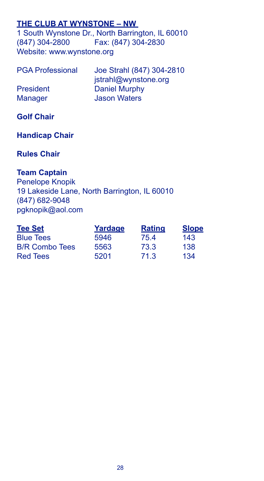# **THE CLUB AT WYNSTONE – NW**

1 South Wynstone Dr., North Barrington, IL 60010 (847) 304-2800 Fax: (847) 304-2830 Website: www.wynstone.org

| <b>PGA Professional</b> | Joe Strahl (847) 304-2810 |
|-------------------------|---------------------------|
|                         | jstrahl@wynstone.org      |
| President               | Daniel Murphy             |
| <b>Manager</b>          | <b>Jason Waters</b>       |

# **Golf Chair**

# **Handicap Chair**

# **Rules Chair**

# **Team Captain**

Penelope Knopik 19 Lakeside Lane, North Barrington, IL 60010 (847) 682-9048 pgknopik@aol.com

| <b>Tee Set</b>        | Yardage | <b>Rating</b> | <b>Slope</b> |
|-----------------------|---------|---------------|--------------|
| <b>Blue Tees</b>      | 5946    | 75.4          | 143          |
| <b>B/R Combo Tees</b> | 5563    | 73.3          | 138          |
| Red Tees              | 5201    | 71.3          | 134          |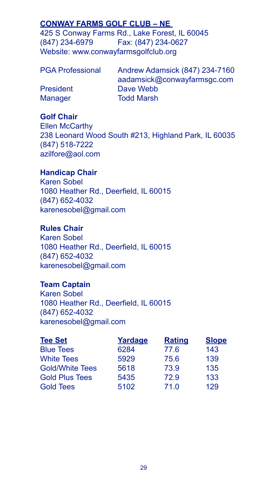# **CONWAY FARMS GOLF CLUB – NE**

425 S Conway Farms Rd., Lake Forest, IL 60045 (847) 234-6979 Fax: (847) 234-0627 Website: www.conwayfarmsgolfclub.org

| <b>PGA Professional</b> | Andrew Adamsick (847) 234-7160 |  |
|-------------------------|--------------------------------|--|
|                         | aadamsick@conwayfarmsgc.com    |  |
| <b>President</b>        | Dave Webb                      |  |
| <b>Manager</b>          | <b>Todd Marsh</b>              |  |

#### **Golf Chair**

Ellen McCarthy 238 Leonard Wood South #213, Highland Park, IL 60035 (847) 518-7222 azilfore@aol.com

# **Handicap Chair**

Karen Sobel 1080 Heather Rd., Deerfield, IL 60015 (847) 652-4032 karenesobel@gmail.com

# **Rules Chair**

Karen Sobel 1080 Heather Rd., Deerfield, IL 60015 (847) 652-4032 karenesobel@gmail.com

# **Team Captain**

Karen Sobel 1080 Heather Rd., Deerfield, IL 60015 (847) 652-4032 karenesobel@gmail.com

| <b>Tee Set</b>         | Yardage | <b>Rating</b> | <b>Slope</b> |
|------------------------|---------|---------------|--------------|
| <b>Blue Tees</b>       | 6284    | 77.6          | 143          |
| <b>White Tees</b>      | 5929    | 75.6          | 139          |
| <b>Gold/White Tees</b> | 5618    | 73.9          | 135          |
| <b>Gold Plus Tees</b>  | 5435    | 72.9          | 133          |
| <b>Gold Tees</b>       | 5102    | 71.0          | 129          |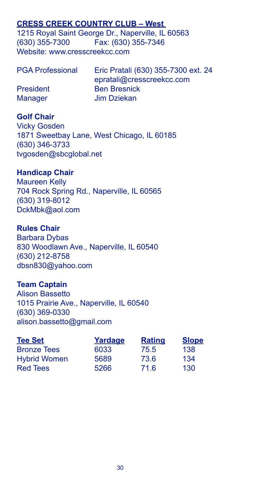# **CRESS CREEK COUNTRY CLUB – West**

1215 Royal Saint George Dr., Naperville, IL 60563 (630) 355-7300 Fax: (630) 355-7346 Website: www.cresscreekcc.com

| <b>PGA Professional</b> | Eric Pratali (630) 355-7300 ext. 24 |
|-------------------------|-------------------------------------|
|                         | epratali@cresscreekcc.com           |
| <b>President</b>        | <b>Ben Bresnick</b>                 |
| <b>Manager</b>          | Jim Dziekan                         |

#### **Golf Chair**

Vicky Gosden 1871 Sweetbay Lane, West Chicago, IL 60185 (630) 346-3733 tvgosden@sbcglobal.net

### **Handicap Chair**

Maureen Kelly 704 Rock Spring Rd., Naperville, IL 60565 (630) 319-8012 DckMbk@aol.com

#### **Rules Chair**

Barbara Dybas 830 Woodlawn Ave., Naperville, IL 60540 (630) 212-8758 dbsn830@yahoo.com

# **Team Captain**

Alison Bassetto 1015 Prairie Ave., Naperville, IL 60540 (630) 369-0330 alison.bassetto@gmail.com

| <b>Tee Set</b>      | Yardage | <b>Rating</b> | <b>Slope</b> |
|---------------------|---------|---------------|--------------|
| <b>Bronze Tees</b>  | 6033    | 75.5          | 138          |
| <b>Hybrid Women</b> | 5689    | 73.6          | 134          |
| <b>Red Tees</b>     | 5266    | 71.6          | 130          |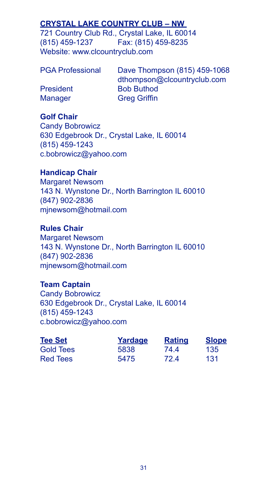# **CRYSTAL LAKE COUNTRY CLUB – NW**

721 Country Club Rd., Crystal Lake, IL 60014 (815) 459-1237 Fax: (815) 459-8235 Website: www.clcountryclub.com

Dave Thompson (815) 459-1068 dthompson@clcountryclub.com President Bob Buthod Manager Greg Griffin

# **Golf Chair**

Candy Bobrowicz 630 Edgebrook Dr., Crystal Lake, IL 60014 (815) 459-1243 c.bobrowicz@yahoo.com

# **Handicap Chair**

Margaret Newsom 143 N. Wynstone Dr., North Barrington IL 60010 (847) 902-2836 mjnewsom@hotmail.com

# **Rules Chair**

Margaret Newsom 143 N. Wynstone Dr., North Barrington IL 60010 (847) 902-2836 mjnewsom@hotmail.com

#### **Team Captain**

Candy Bobrowicz 630 Edgebrook Dr., Crystal Lake, IL 60014 (815) 459-1243 c.bobrowicz@yahoo.com

| <b>Tee Set</b>   | Yardage | <b>Rating</b> | <b>Slope</b> |
|------------------|---------|---------------|--------------|
| <b>Gold Tees</b> | 5838    | 744           | 135          |
| <b>Red Tees</b>  | 5475    | 72.4          | 131          |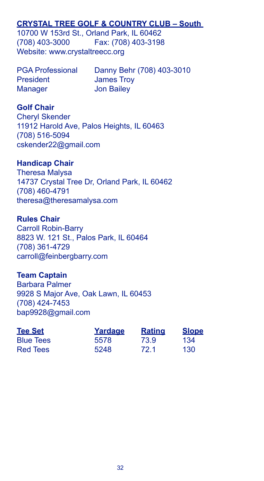# **CRYSTAL TREE GOLF & COUNTRY CLUB – South**

10700 W 153rd St., Orland Park, IL 60462 (708) 403-3000 Fax: (708) 403-3198 Website: www.crystaltreecc.org

President James Troy Manager **Jon Bailey** 

PGA Professional Danny Behr (708) 403-3010

#### **Golf Chair**

Cheryl Skender 11912 Harold Ave, Palos Heights, IL 60463 (708) 516-5094 cskender22@gmail.com

#### **Handicap Chair**

Theresa Malysa 14737 Crystal Tree Dr, Orland Park, IL 60462 (708) 460-4791 theresa@theresamalysa.com

#### **Rules Chair**

Carroll Robin-Barry 8823 W. 121 St., Palos Park, IL 60464 (708) 361-4729 carroll@feinbergbarry.com

#### **Team Captain**

Barbara Palmer 9928 S Major Ave, Oak Lawn, IL 60453 (708) 424-7453 bap9928@gmail.com

| <b>Tee Set</b>   | Yardage | <b>Rating</b> | <b>Slope</b> |
|------------------|---------|---------------|--------------|
| <b>Blue Tees</b> | 5578    | 73.9          | 134          |
| <b>Red Tees</b>  | 5248    | 72.1          | 130          |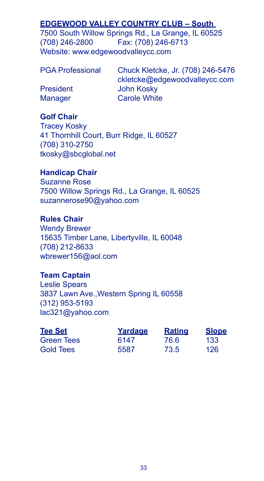# **EDGEWOOD VALLEY COUNTRY CLUB – South**

7500 South Willow Springs Rd., La Grange, IL 60525 (708) 246-2800 Fax: (708) 246-6713 Website: www.edgewoodvalleycc.com

PGA Professional Chuck Kletcke, Jr. (708) 246-5476 ckletcke@edgewoodvalleycc.com President John Kosky Manager **Carole White** 

# **Golf Chair**

Tracey Kosky 41 Thornhill Court, Burr Ridge, IL 60527 (708) 310-2750 tkosky@sbcglobal.net

# **Handicap Chair**

Suzanne Rose 7500 Willow Springs Rd., La Grange, IL 60525 suzannerose90@yahoo.com

# **Rules Chair**

Wendy Brewer 15635 Timber Lane, Libertyville, IL 60048 (708) 212-8633 wbrewer156@aol.com

# **Team Captain**

Leslie Spears 3837 Lawn Ave.,Western Spring IL 60558 (312) 953-5193 lac321@yahoo.com

| <b>Tee Set</b> | Yardage | <b>Rating</b> | <b>Slope</b> |
|----------------|---------|---------------|--------------|
| Green Tees     | 6147    | 76.6          | 133          |
| Gold Tees      | 5587    | 73.5          | 126          |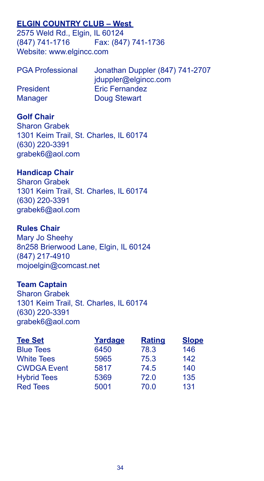# **ELGIN COUNTRY CLUB – West**

2575 Weld Rd., Elgin, IL 60124 (847) 741-1716 Fax: (847) 741-1736 Website: www.elgincc.com

| <b>PGA Professional</b> | Jonathan Duppler (847) 741-2707 |
|-------------------------|---------------------------------|
|                         | jduppler@elgincc.com            |
| <b>President</b>        | <b>Eric Fernandez</b>           |
| <b>Manager</b>          | Doug Stewart                    |

# **Golf Chair**

Sharon Grabek 1301 Keim Trail, St. Charles, IL 60174 (630) 220-3391 grabek6@aol.com

# **Handicap Chair**

Sharon Grabek 1301 Keim Trail, St. Charles, IL 60174 (630) 220-3391 grabek6@aol.com

#### **Rules Chair**

Mary Jo Sheehy 8n258 Brierwood Lane, Elgin, IL 60124 (847) 217-4910 mojoelgin@comcast.net

# **Team Captain**

Sharon Grabek 1301 Keim Trail, St. Charles, IL 60174 (630) 220-3391 grabek6@aol.com

| <b>Tee Set</b>     | Yardage | <b>Rating</b> | <b>Slope</b> |
|--------------------|---------|---------------|--------------|
| <b>Blue Tees</b>   | 6450    | 78.3          | 146          |
| <b>White Tees</b>  | 5965    | 75.3          | 142          |
| <b>CWDGA Event</b> | 5817    | 74.5          | 140          |
| <b>Hybrid Tees</b> | 5369    | 72.0          | 135          |
| <b>Red Tees</b>    | 5001    | 70.0          | 131          |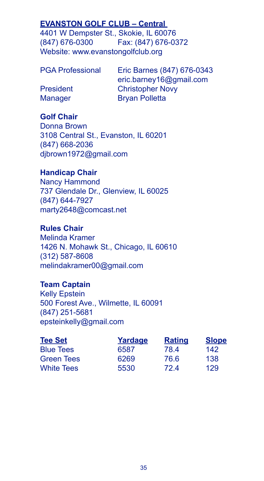# **EVANSTON GOLF CLUB – Central**

4401 W Dempster St., Skokie, IL 60076 (847) 676-0300 Fax: (847) 676-0372 Website: www.evanstongolfclub.org

PGA Professional Eric Barnes (847) 676-0343 eric.barney16@gmail.com President Christopher Novy Manager Bryan Polletta

# **Golf Chair**

Donna Brown 3108 Central St., Evanston, IL 60201 (847) 668-2036 djbrown1972@gmail.com

#### **Handicap Chair**

Nancy Hammond 737 Glendale Dr., Glenview, IL 60025 (847) 644-7927 marty2648@comcast.net

# **Rules Chair**

Melinda Kramer 1426 N. Mohawk St., Chicago, IL 60610 (312) 587-8608 melindakramer00@gmail.com

#### **Team Captain**

Kelly Epstein 500 Forest Ave., Wilmette, IL 60091 (847) 251-5681 epsteinkelly@gmail.com

| <b>Tee Set</b>    | Yardage | <b>Rating</b> | <b>Slope</b> |
|-------------------|---------|---------------|--------------|
| <b>Blue Tees</b>  | 6587    | 78.4          | 142          |
| <b>Green Tees</b> | 6269    | 76.6          | 138          |
| <b>White Tees</b> | 5530    | 72 4          | 129          |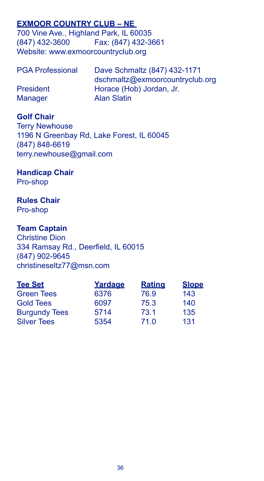# **EXMOOR COUNTRY CLUB – NE**

700 Vine Ave., Highland Park, IL 60035 (847) 432-3600 Fax: (847) 432-3661 Website: www.exmoorcountryclub.org

| <b>PGA Professional</b> | Dave Schmaltz (847) 432-1171    |
|-------------------------|---------------------------------|
|                         | dschmaltz@exmoorcountryclub.org |
| <b>President</b>        | Horace (Hob) Jordan, Jr.        |
| <b>Manager</b>          | <b>Alan Slatin</b>              |

### **Golf Chair**

Terry Newhouse 1196 N Greenbay Rd, Lake Forest, IL 60045 (847) 848-6619 terry.newhouse@gmail.com

#### **Handicap Chair** Pro-shop

# **Rules Chair**

Pro-shop

# **Team Captain**

Christine Dion 334 Ramsay Rd., Deerfield, IL 60015 (847) 902-9645 christineseltz77@msn.com

| Yardage | <b>Rating</b> | <b>Slope</b> |
|---------|---------------|--------------|
| 6376    | 76.9          | 143          |
| 6097    | 75.3          | 140          |
| 5714    | 73.1          | 135          |
| 5354    | 71.0          | 131          |
|         |               |              |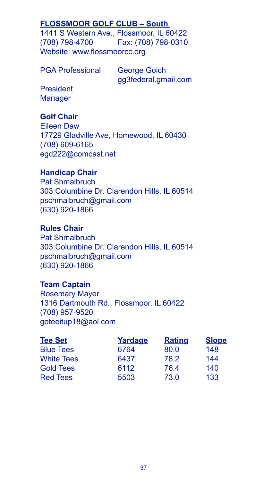# **FLOSSMOOR GOLF CLUB – South**

1441 S Western Ave., Flossmoor, IL 60422 (708) 798-4700 Fax: (708) 798-0310 Website: www.flossmoorcc.org

PGA Professional George Goich

gg3federal.gmail.com

President **Manager** 

# **Golf Chair**

Eileen Daw 17729 Gladville Ave, Homewood, IL 60430 (708) 609-6165 egd222@comcast.net

# **Handicap Chair**

Pat Shmalbruch 303 Columbine Dr. Clarendon Hills, IL 60514 pschmalbruch@gmail.com (630) 920-1866

# **Rules Chair**

Pat Shmalbruch 303 Columbine Dr. Clarendon Hills, IL 60514 pschmalbruch@gmail.com (630) 920-1866

# **Team Captain**

Rosemary Mayer 1316 Dartmouth Rd., Flossmoor, IL 60422 (708) 957-9520 goteeitup18@aol.com

| <b>Tee Set</b>    | Yardage | <b>Rating</b> | <b>Slope</b> |
|-------------------|---------|---------------|--------------|
| <b>Blue Tees</b>  | 6764    | 80.0          | 148          |
| <b>White Tees</b> | 6437    | 78.2          | 144          |
| <b>Gold Tees</b>  | 6112    | 76.4          | 140          |
| <b>Red Tees</b>   | 5503    | 73.0          | 133          |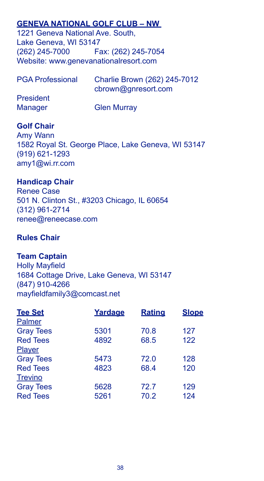# **GENEVA NATIONAL GOLF CLUB – NW**

1221 Geneva National Ave. South, Lake Geneva, WI 53147 (262) 245-7000 Fax: (262) 245-7054 Website: www.genevanationalresort.com

| <b>PGA Professional</b> | Charlie Brown (262) 245-7012 |
|-------------------------|------------------------------|
|                         | cbrown@gnresort.com          |
| President               |                              |
| Manager                 | <b>Glen Murray</b>           |

# **Golf Chair**

Amy Wann 1582 Royal St. George Place, Lake Geneva, WI 53147 (919) 621-1293 amy1@wi.rr.com

# **Handicap Chair**

Renee Case 501 N. Clinton St., #3203 Chicago, IL 60654 (312) 961-2714 renee@reneecase.com

# **Rules Chair**

# **Team Captain**

Holly Mayfield 1684 Cottage Drive, Lake Geneva, WI 53147 (847) 910-4266 mayfieldfamily3@comcast.net

| <b>Tee Set</b>   | Yardage | <b>Rating</b> | <b>Slope</b> |
|------------------|---------|---------------|--------------|
| Palmer           |         |               |              |
| <b>Gray Tees</b> | 5301    | 70.8          | 127          |
| <b>Red Tees</b>  | 4892    | 68.5          | 122          |
| <b>Player</b>    |         |               |              |
| <b>Gray Tees</b> | 5473    | 72.0          | 128          |
| <b>Red Tees</b>  | 4823    | 68.4          | 120          |
| <b>Trevino</b>   |         |               |              |
| <b>Gray Tees</b> | 5628    | 72.7          | 129          |
| <b>Red Tees</b>  | 5261    | 70.2          | 124          |
|                  |         |               |              |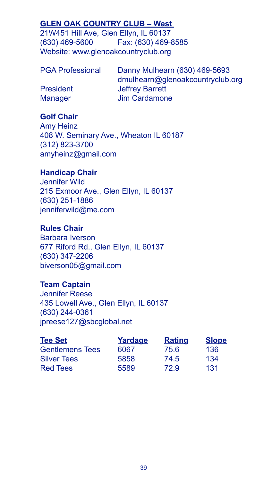# **GLEN OAK COUNTRY CLUB – West**

21W451 Hill Ave, Glen Ellyn, IL 60137 (630) 469-5600 Fax: (630) 469-8585 Website: www.glenoakcountryclub.org

Danny Mulhearn (630) 469-5693 dmulhearn@glenoakcountryclub.org President Jeffrey Barrett Manager Jim Cardamone

# **Golf Chair**

Amy Heinz 408 W. Seminary Ave., Wheaton IL 60187 (312) 823-3700 amyheinz@gmail.com

# **Handicap Chair**

Jennifer Wild 215 Exmoor Ave., Glen Ellyn, IL 60137 (630) 251-1886 jenniferwild@me.com

# **Rules Chair**

Barbara Iverson 677 Riford Rd., Glen Ellyn, IL 60137 (630) 347-2206 biverson05@gmail.com

# **Team Captain**

Jennifer Reese 435 Lowell Ave., Glen Ellyn, IL 60137 (630) 244-0361 jpreese127@sbcglobal.net

| <b>Tee Set</b>         | Yardage | <b>Rating</b> | <b>Slope</b> |
|------------------------|---------|---------------|--------------|
| <b>Gentlemens Tees</b> | 6067    | 75.6          | 136          |
| <b>Silver Tees</b>     | 5858    | 74.5          | 134          |
| <b>Red Tees</b>        | 5589    | 72.9          | 131          |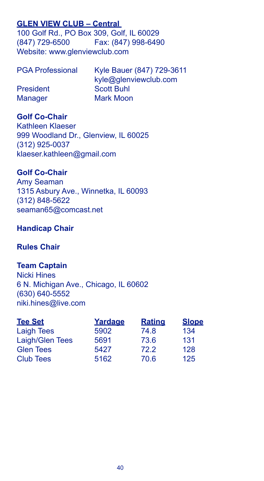# **GLEN VIEW CLUB – Central**

100 Golf Rd., PO Box 309, Golf, IL 60029 (847) 729-6500 Fax: (847) 998-6490 Website: www.glenviewclub.com

| <b>PGA Professional</b> | Kyle Bauer (847) 729-3611 |
|-------------------------|---------------------------|
|                         | kyle@glenviewclub.com     |
| President               | <b>Scott Buhl</b>         |
| Manager                 | Mark Moon                 |

# **Golf Co-Chair**

Kathleen Klaeser 999 Woodland Dr., Glenview, IL 60025 (312) 925-0037 klaeser.kathleen@gmail.com

#### **Golf Co-Chair**

Amy Seaman 1315 Asbury Ave., Winnetka, IL 60093 (312) 848-5622 seaman65@comcast.net

#### **Handicap Chair**

### **Rules Chair**

#### **Team Captain**

Nicki Hines 6 N. Michigan Ave., Chicago, IL 60602 (630) 640-5552 niki.hines@live.com

| <b>Tee Set</b>    | Yardage | <b>Rating</b> | <b>Slope</b> |
|-------------------|---------|---------------|--------------|
| <b>Laigh Tees</b> | 5902    | 74.8          | 134          |
| Laigh/Glen Tees   | 5691    | 73.6          | 131          |
| <b>Glen Tees</b>  | 5427    | 72.2          | 128          |
| <b>Club Tees</b>  | 5162    | 70.6          | 125          |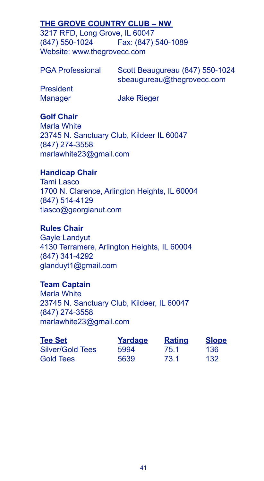# **THE GROVE COUNTRY CLUB – NW**

3217 RFD, Long Grove, IL 60047 (847) 550-1024 Fax: (847) 540-1089 Website: www.thegrovecc.com

| <b>PGA Professional</b> | Scott Beaugureau (847) 550-1024 |
|-------------------------|---------------------------------|
|                         | sbeaugureau@thegrovecc.com      |
| <b>President</b>        |                                 |
| Manager                 | <b>Jake Rieger</b>              |

# **Golf Chair**

Marla White 23745 N. Sanctuary Club, Kildeer IL 60047 (847) 274-3558 marlawhite23@gmail.com

# **Handicap Chair**

Tami Lasco 1700 N. Clarence, Arlington Heights, IL 60004 (847) 514-4129 tlasco@georgianut.com

# **Rules Chair**

Gayle Landyut 4130 Terramere, Arlington Heights, IL 60004 (847) 341-4292 glanduyt1@gmail.com

#### **Team Captain**

Marla White 23745 N. Sanctuary Club, Kildeer, IL 60047 (847) 274-3558 marlawhite23@gmail.com

| <b>Tee Set</b>   | Yardage | <b>Rating</b> | <b>Slope</b> |
|------------------|---------|---------------|--------------|
| Silver/Gold Tees | 5994    | 75.1          | 136          |
| Gold Tees        | 5639    | 73.1          | 132          |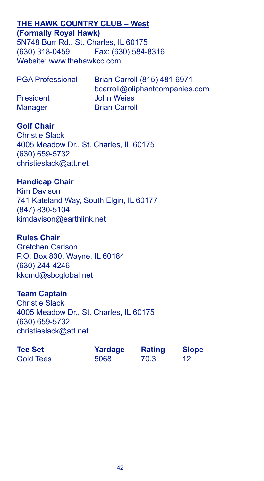# **THE HAWK COUNTRY CLUB – West**

**(Formally Royal Hawk)** 5N748 Burr Rd., St. Charles, IL 60175 (630) 318-0459 Fax: (630) 584-8316 Website: www.thehawkcc.com

| <b>PGA Professional</b> | Brian Carroll (815) 481-6971   |
|-------------------------|--------------------------------|
|                         | bcarroll@oliphantcompanies.com |
| <b>President</b>        | <b>John Weiss</b>              |
| <b>Manager</b>          | <b>Brian Carroll</b>           |

# **Golf Chair**

Christie Slack 4005 Meadow Dr., St. Charles, IL 60175 (630) 659-5732 christieslack@att.net

# **Handicap Chair**

Kim Davison 741 Kateland Way, South Elgin, IL 60177 (847) 830-5104 kimdavison@earthlink.net

#### **Rules Chair**

Gretchen Carlson P.O. Box 830, Wayne, IL 60184 (630) 244-4246 kkcmd@sbcglobal.net

#### **Team Captain**

Christie Slack 4005 Meadow Dr., St. Charles, IL 60175 (630) 659-5732 christieslack@att.net

| <b>Tee Set</b>   | Yardage | <b>Rating</b> | <b>Slope</b> |
|------------------|---------|---------------|--------------|
| <b>Gold Tees</b> | 5068    | 70.3          | 12           |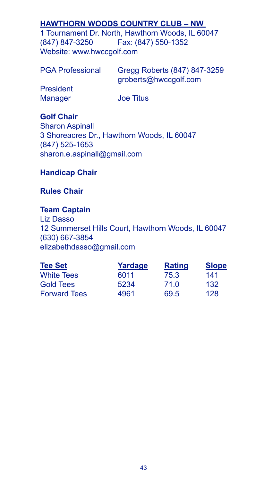# **HAWTHORN WOODS COUNTRY CLUB – NW**

1 Tournament Dr. North, Hawthorn Woods, IL 60047 (847) 847-3250 Fax: (847) 550-1352 Website: www.hwccgolf.com

| <b>PGA Professional</b> | Gregg Roberts (847) 847-3259<br>groberts@hwccgolf.com |
|-------------------------|-------------------------------------------------------|
| President               |                                                       |
| <b>Manager</b>          | <b>Joe Titus</b>                                      |

**Golf Chair**

Sharon Aspinall 3 Shoreacres Dr., Hawthorn Woods, IL 60047 (847) 525-1653 sharon.e.aspinall@gmail.com

# **Handicap Chair**

# **Rules Chair**

# **Team Captain**

Liz Dasso 12 Summerset Hills Court, Hawthorn Woods, IL 60047 (630) 667-3854 elizabethdasso@gmail.com

| <b>Tee Set</b>      | Yardage | <b>Rating</b> | <b>Slope</b> |
|---------------------|---------|---------------|--------------|
| <b>White Tees</b>   | 6011    | 75.3          | 141          |
| <b>Gold Tees</b>    | 5234    | 71.0          | 132          |
| <b>Forward Tees</b> | 4961    | 69.5          | 128          |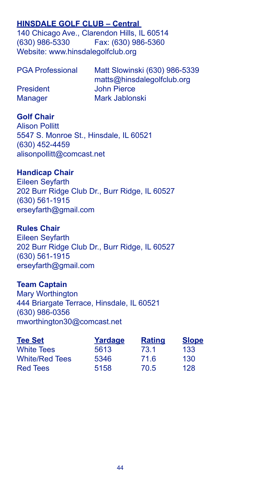# **HINSDALE GOLF CLUB – Central**

140 Chicago Ave., Clarendon Hills, IL 60514 (630) 986-5330 Fax: (630) 986-5360 Website: www.hinsdalegolfclub.org

| <b>PGA Professional</b> | Matt Slowinski (630) 986-5339 |
|-------------------------|-------------------------------|
|                         | matts@hinsdalegolfclub.org    |
| President               | John Pierce                   |
| <b>Manager</b>          | Mark Jablonski                |

#### **Golf Chair**

Alison Pollitt 5547 S. Monroe St., Hinsdale, IL 60521 (630) 452-4459 alisonpollitt@comcast.net

### **Handicap Chair**

Eileen Seyfarth 202 Burr Ridge Club Dr., Burr Ridge, IL 60527 (630) 561-1915 erseyfarth@gmail.com

#### **Rules Chair**

Eileen Seyfarth 202 Burr Ridge Club Dr., Burr Ridge, IL 60527 (630) 561-1915 erseyfarth@gmail.com

# **Team Captain**

Mary Worthington 444 Briargate Terrace, Hinsdale, IL 60521 (630) 986-0356 mworthington30@comcast.net

| <b>Tee Set</b>        | Yardage | <b>Rating</b> | <b>Slope</b> |
|-----------------------|---------|---------------|--------------|
| <b>White Tees</b>     | 5613    | 73.1          | 133          |
| <b>White/Red Tees</b> | 5346    | 71.6          | 130          |
| <b>Red Tees</b>       | 5158    | 70.5          | 128          |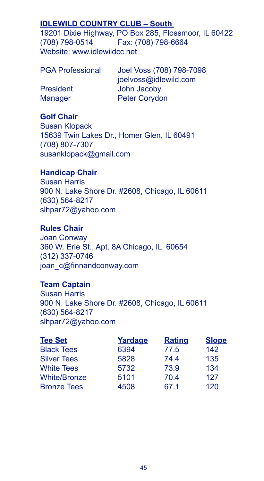# **IDLEWILD COUNTRY CLUB – South**

19201 Dixie Highway, PO Box 285, Flossmoor, IL 60422 (708) 798-0514 Fax: (708) 798-6664 Website: www.idlewildcc.net

| <b>PGA Professional</b> | Joel Voss (708) 798-7098 |
|-------------------------|--------------------------|
|                         | joelvoss@idlewild.com    |
| <b>President</b>        | John Jacoby              |
| <b>Manager</b>          | <b>Peter Corydon</b>     |
|                         |                          |

#### **Golf Chair**

Susan Klopack 15639 Twin Lakes Dr., Homer Glen, IL 60491 (708) 807-7307 susanklopack@gmail.com

# **Handicap Chair**

Susan Harris 900 N. Lake Shore Dr. #2608, Chicago, IL 60611 (630) 564-8217 slhpar72@yahoo.com

# **Rules Chair**

Joan Conway 360 W. Erie St., Apt. 8A Chicago, IL 60654 (312) 337-0746 joan\_c@finnandconway.com

# **Team Captain**

Susan Harris 900 N. Lake Shore Dr. #2608, Chicago, IL 60611 (630) 564-8217 slhpar72@yahoo.com

| <b>Tee Set</b>      | Yardage | <b>Rating</b> | <b>Slope</b> |
|---------------------|---------|---------------|--------------|
| <b>Black Tees</b>   | 6394    | 77.5          | 142          |
| <b>Silver Tees</b>  | 5828    | 74.4          | 135          |
| <b>White Tees</b>   | 5732    | 73.9          | 134          |
| <b>White/Bronze</b> | 5101    | 70.4          | 127          |
| <b>Bronze Tees</b>  | 4508    | 67.1          | 120          |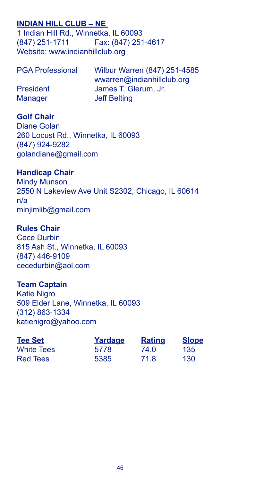# **INDIAN HILL CLUB – NE**

1 Indian Hill Rd., Winnetka, IL 60093 (847) 251-1711 Fax: (847) 251-4617 Website: www.indianhillclub.org

| <b>PGA Professional</b> | Wilbur Warren (847) 251-4585 |
|-------------------------|------------------------------|
|                         | wwarren@indianhillclub.org   |
| President               | James T. Glerum, Jr.         |
| <b>Manager</b>          | <b>Jeff Belting</b>          |

#### **Golf Chair**

Diane Golan 260 Locust Rd., Winnetka, IL 60093 (847) 924-9282 golandiane@gmail.com

#### **Handicap Chair**

Mindy Munson 2550 N Lakeview Ave Unit S2302, Chicago, IL 60614 n/a minjimlib@gmail.com

#### **Rules Chair**

Cece Durbin 815 Ash St., Winnetka, IL 60093 (847) 446-9109 cecedurbin@aol.com

# **Team Captain**

Katie Nigro 509 Elder Lane, Winnetka, IL 60093 (312) 863-1334 katienigro@yahoo.com

| <b>Tee Set</b>    | Yardage | <b>Rating</b> | <b>Slope</b> |
|-------------------|---------|---------------|--------------|
| <b>White Tees</b> | 5778    | 74.0          | 135          |
| Red Tees          | 5385    | 71.8          | 130          |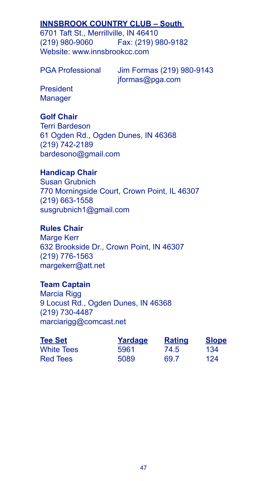# **INNSBROOK COUNTRY CLUB – South**

6701 Taft St., Merrillville, IN 46410 (219) 980-9060 Fax: (219) 980-9182 Website: www.innsbrookcc.com

PGA Professional Jim Formas (219) 980-9143 jformas@pga.com

President **Manager** 

# **Golf Chair**

Terri Bardeson 61 Ogden Rd., Ogden Dunes, IN 46368 (219) 742-2189 bardesono@gmail.com

# **Handicap Chair**

Susan Grubnich 770 Morningside Court, Crown Point, IL 46307 (219) 663-1558 susgrubnich1@gmail.com

# **Rules Chair**

Marge Kerr 632 Brookside Dr., Crown Point, IN 46307 (219) 776-1563 margekerr@att.net

# **Team Captain**

Marcia Rigg 9 Locust Rd., Ogden Dunes, IN 46368 (219) 730-4487 marciarigg@comcast.net

| <b>Tee Set</b>    | Yardage | <b>Rating</b> | <b>Slope</b> |
|-------------------|---------|---------------|--------------|
| <b>White Tees</b> | 5961    | 74.5          | 134          |
| Red Tees          | 5089    | 69.7          | 124          |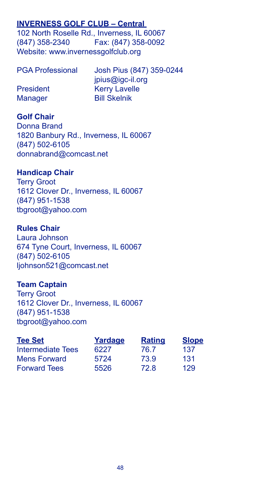# **INVERNESS GOLF CLUB – Central**

102 North Roselle Rd., Inverness, IL 60067 (847) 358-2340 Fax: (847) 358-0092 Website: www.invernessgolfclub.org

| <b>PGA Professional</b> | Josh Pius (847) 359-0244 |
|-------------------------|--------------------------|
|                         | jpius@igc-il.org         |
| <b>President</b>        | <b>Kerry Lavelle</b>     |
| Manager                 | <b>Bill Skelnik</b>      |

# **Golf Chair**

Donna Brand 1820 Banbury Rd., Inverness, IL 60067 (847) 502-6105 donnabrand@comcast.net

#### **Handicap Chair**

Terry Groot 1612 Clover Dr., Inverness, IL 60067 (847) 951-1538 tbgroot@yahoo.com

#### **Rules Chair**

Laura Johnson 674 Tyne Court, Inverness, IL 60067 (847) 502-6105 ljohnson521@comcast.net

#### **Team Captain**

Terry Groot 1612 Clover Dr., Inverness, IL 60067 (847) 951-1538 tbgroot@yahoo.com

| <b>Tee Set</b>      | Yardage | <b>Rating</b> | <b>Slope</b> |
|---------------------|---------|---------------|--------------|
| Intermediate Tees   | 6227    | 76.7          | 137          |
| Mens Forward        | 5724    | 73.9          | 131          |
| <b>Forward Tees</b> | 5526    | 72.8          | 129          |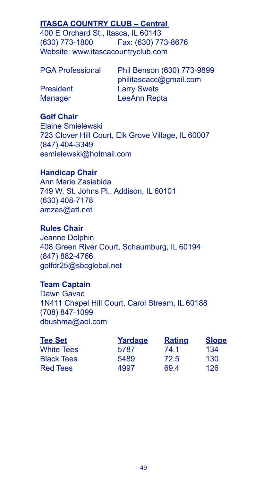# **ITASCA COUNTRY CLUB – Central**

400 E Orchard St., Itasca, IL 60143 (630) 773-1800 Fax: (630) 773-8676 Website: www.itascacountryclub.com

Phil Benson (630) 773-9899 philitascacc@gmail.com President Larry Swets Manager LeeAnn Repta

# **Golf Chair**

Elaine Smielewski 723 Clover Hill Court, Elk Grove Village, IL 60007 (847) 404-3349 esmielewski@hotmail.com

# **Handicap Chair**

Ann Marie Zasiebida 749 W. St. Johns Pl., Addison, IL 60101 (630) 408-7178 amzas@att.net

# **Rules Chair**

Jeanne Dolphin 408 Green River Court, Schaumburg, IL 60194 (847) 882-4766 golfdr25@sbcglobal.net

# **Team Captain**

Dawn Gavac 1N411 Chapel Hill Court, Carol Stream, IL 60188 (708) 847-1099 dbushma@aol.com

| <b>Tee Set</b>    | Yardage | <b>Rating</b> | <b>Slope</b> |
|-------------------|---------|---------------|--------------|
| <b>White Tees</b> | 5787    | 74.1          | 134          |
| <b>Black Tees</b> | 5489    | 72.5          | 130          |
| <b>Red Tees</b>   | 4997    | 69.4          | 126          |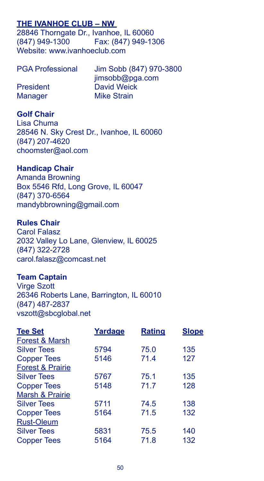# **THE IVANHOE CLUB – NW**

28846 Thorngate Dr., Ivanhoe, IL 60060 (847) 949-1300 Fax: (847) 949-1306 Website: www.ivanhoeclub.com

| <b>PGA Professional</b> | Jim Sobb (847) 970-3800 |
|-------------------------|-------------------------|
|                         | jimsobb@pga.com         |
| <b>President</b>        | David Weick             |
| <b>Manager</b>          | <b>Mike Strain</b>      |

#### **Golf Chair**

Lisa Chuma 28546 N. Sky Crest Dr., Ivanhoe, IL 60060 (847) 207-4620 choomster@aol.com

#### **Handicap Chair**

Amanda Browning Box 5546 Rfd, Long Grove, IL 60047 (847) 370-6564 mandybbrowning@gmail.com

#### **Rules Chair**

Carol Falasz 2032 Valley Lo Lane, Glenview, IL 60025 (847) 322-2728 carol.falasz@comcast.net

#### **Team Captain**

Virge Szott 26346 Roberts Lane, Barrington, IL 60010 (847) 487-2837 vszott@sbcglobal.net

| <b>Tee Set</b>              | Yardage | <b>Rating</b> | Slope |
|-----------------------------|---------|---------------|-------|
| Forest & Marsh              |         |               |       |
| <b>Silver Tees</b>          | 5794    | 75.0          | 135   |
| <b>Copper Tees</b>          | 5146    | 71.4          | 127   |
| <b>Forest &amp; Prairie</b> |         |               |       |
| <b>Silver Tees</b>          | 5767    | 75.1          | 135   |
| <b>Copper Tees</b>          | 5148    | 71.7          | 128   |
| Marsh & Prairie             |         |               |       |
| <b>Silver Tees</b>          | 5711    | 74.5          | 138   |
| <b>Copper Tees</b>          | 5164    | 71.5          | 132   |
| <b>Rust-Oleum</b>           |         |               |       |
| <b>Silver Tees</b>          | 5831    | 75.5          | 140   |
| <b>Copper Tees</b>          | 5164    | 71.8          | 132   |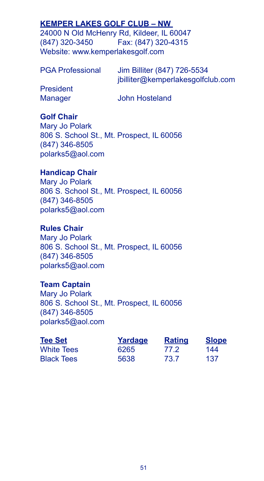# **KEMPER LAKES GOLF CLUB – NW**

24000 N Old McHenry Rd, Kildeer, IL 60047 (847) 320-3450 Fax: (847) 320-4315 Website: www.kemperlakesgolf.com

PGA Professional Jim Billiter (847) 726-5534 jbilliter@kemperlakesgolfclub.com President Manager John Hosteland

# **Golf Chair**

Mary Jo Polark 806 S. School St., Mt. Prospect, IL 60056 (847) 346-8505 polarks5@aol.com

# **Handicap Chair**

Mary Jo Polark 806 S. School St., Mt. Prospect, IL 60056 (847) 346-8505 polarks5@aol.com

# **Rules Chair**

Mary Jo Polark 806 S. School St., Mt. Prospect, IL 60056 (847) 346-8505 polarks5@aol.com

# **Team Captain**

Mary Jo Polark 806 S. School St., Mt. Prospect, IL 60056 (847) 346-8505 polarks5@aol.com

| <b>Tee Set</b>    | Yardage | <b>Rating</b> | <b>Slope</b> |
|-------------------|---------|---------------|--------------|
| <b>White Tees</b> | 6265    | 77 2          | 144          |
| <b>Black Tees</b> | 5638    | 73.7          | 137          |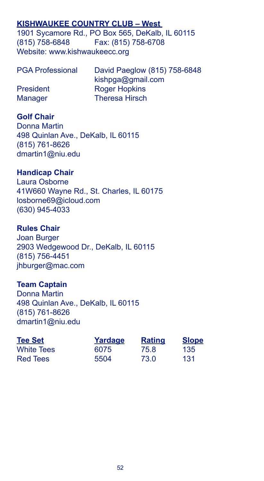# **KISHWAUKEE COUNTRY CLUB – West**

1901 Sycamore Rd., PO Box 565, DeKalb, IL 60115 (815) 758-6848 Fax: (815) 758-6708 Website: www.kishwaukeecc.org

| <b>PGA Professional</b> | David Paeglow (815) 758-6848 |
|-------------------------|------------------------------|
|                         | kishpga@gmail.com            |
| <b>President</b>        | <b>Roger Hopkins</b>         |
| <b>Manager</b>          | <b>Theresa Hirsch</b>        |

# **Golf Chair**

Donna Martin 498 Quinlan Ave., DeKalb, IL 60115 (815) 761-8626 dmartin1@niu.edu

# **Handicap Chair**

Laura Osborne 41W660 Wayne Rd., St. Charles, IL 60175 losborne69@icloud.com (630) 945-4033

### **Rules Chair**

Joan Burger 2903 Wedgewood Dr., DeKalb, IL 60115 (815) 756-4451 jhburger@mac.com

# **Team Captain**

Donna Martin 498 Quinlan Ave., DeKalb, IL 60115 (815) 761-8626 dmartin1@niu.edu

| <b>Tee Set</b>    | Yardage | <b>Rating</b> | <b>Slope</b> |
|-------------------|---------|---------------|--------------|
| <b>White Tees</b> | 6075    | 75.8          | 135          |
| Red Tees          | 5504    | 73.0          | 131          |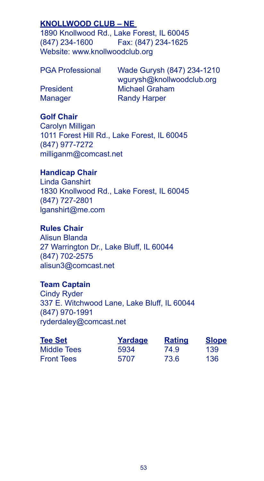# **KNOLLWOOD CLUB – NE**

1890 Knollwood Rd., Lake Forest, IL 60045 (847) 234-1600 Fax: (847) 234-1625 Website: www.knollwoodclub.org

Wade Gurysh (847) 234-1210 wgurysh@knollwoodclub.org President Michael Graham Manager Randy Harper

# **Golf Chair**

Carolyn Milligan 1011 Forest Hill Rd., Lake Forest, IL 60045 (847) 977-7272 milliganm@comcast.net

### **Handicap Chair**

Linda Ganshirt 1830 Knollwood Rd., Lake Forest, IL 60045 (847) 727-2801 lganshirt@me.com

# **Rules Chair**

Alisun Blanda 27 Warrington Dr., Lake Bluff, IL 60044 (847) 702-2575 alisun3@comcast.net

#### **Team Captain**

Cindy Ryder 337 E. Witchwood Lane, Lake Bluff, IL 60044 (847) 970-1991 ryderdaley@comcast.net

| <b>Tee Set</b>    | Yardage | <b>Rating</b> | <b>Slope</b> |
|-------------------|---------|---------------|--------------|
| Middle Tees       | 5934    | 74.9          | 139          |
| <b>Front Tees</b> | 5707    | 73.6          | 136          |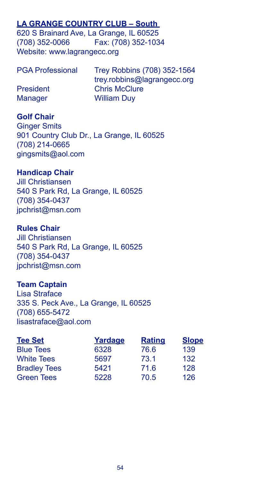# **LA GRANGE COUNTRY CLUB – South**

620 S Brainard Ave, La Grange, IL 60525 (708) 352-0066 Fax: (708) 352-1034 Website: www.lagrangecc.org

| <b>PGA Professional</b> | Trey Robbins (708) 352-1564 |
|-------------------------|-----------------------------|
|                         | trey.robbins@lagrangecc.org |
| President               | <b>Chris McClure</b>        |
| <b>Manager</b>          | <b>William Duv</b>          |

### **Golf Chair**

Ginger Smits 901 Country Club Dr., La Grange, IL 60525 (708) 214-0665 gingsmits@aol.com

### **Handicap Chair**

Jill Christiansen 540 S Park Rd, La Grange, IL 60525 (708) 354-0437 jpchrist@msn.com

#### **Rules Chair**

Jill Christiansen 540 S Park Rd, La Grange, IL 60525 (708) 354-0437 jpchrist@msn.com

# **Team Captain**

Lisa Straface 335 S. Peck Ave., La Grange, IL 60525 (708) 655-5472 lisastraface@aol.com

| <b>Tee Set</b>      | Yardage | <b>Rating</b> | <b>Slope</b> |
|---------------------|---------|---------------|--------------|
| <b>Blue Tees</b>    | 6328    | 76.6          | 139          |
| <b>White Tees</b>   | 5697    | 73.1          | 132          |
| <b>Bradley Tees</b> | 5421    | 71.6          | 128          |
| <b>Green Tees</b>   | 5228    | 70.5          | 126          |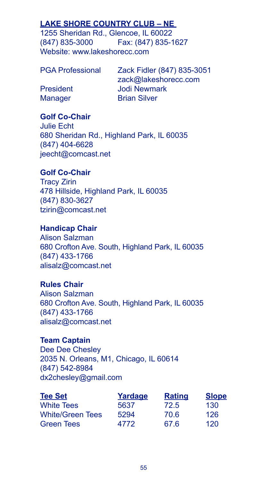# **LAKE SHORE COUNTRY CLUB – NE**

1255 Sheridan Rd., Glencoe, IL 60022 (847) 835-3000 Fax: (847) 835-1627 Website: www.lakeshorecc.com

| <b>PGA Professional</b> | Zack Fidler (847) 835-3051 |
|-------------------------|----------------------------|
|                         | zack@lakeshorecc.com       |
| <b>President</b>        | Jodi Newmark               |
| <b>Manager</b>          | <b>Brian Silver</b>        |

# **Golf Co-Chair**

Julie Echt 680 Sheridan Rd., Highland Park, IL 60035 (847) 404-6628 jeecht@comcast.net

# **Golf Co-Chair**

Tracy Zirin 478 Hillside, Highland Park, IL 60035 (847) 830-3627 tzirin@comcast.net

# **Handicap Chair**

Alison Salzman 680 Crofton Ave. South, Highland Park, IL 60035 (847) 433-1766 alisalz@comcast.net

# **Rules Chair**

Alison Salzman 680 Crofton Ave. South, Highland Park, IL 60035 (847) 433-1766 alisalz@comcast.net

# **Team Captain**

Dee Dee Chesley 2035 N. Orleans, M1, Chicago, IL 60614 (847) 542-8984 dx2chesley@gmail.com

| <b>Tee Set</b>          | Yardage | <b>Rating</b> | <b>Slope</b> |
|-------------------------|---------|---------------|--------------|
| <b>White Tees</b>       | 5637    | 72.5          | 130          |
| <b>White/Green Tees</b> | 5294    | 70.6          | 126          |
| <b>Green Tees</b>       | 4772    | 67.6          | 120          |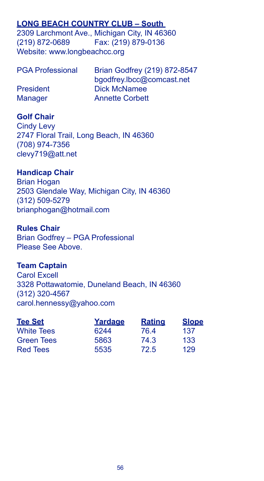# **LONG BEACH COUNTRY CLUB – South**

2309 Larchmont Ave., Michigan City, IN 46360 (219) 872-0689 Fax: (219) 879-0136 Website: www.longbeachcc.org

| <b>PGA Professional</b> | Brian Godfrey (219) 872-8547 |
|-------------------------|------------------------------|
|                         | bgodfrey.lbcc@comcast.net    |
| President               | Dick McNamee                 |
| <b>Manager</b>          | <b>Annette Corbett</b>       |

#### **Golf Chair**

Cindy Levy 2747 Floral Trail, Long Beach, IN 46360 (708) 974-7356 clevy719@att.net

#### **Handicap Chair**

Brian Hogan 2503 Glendale Way, Michigan City, IN 46360 (312) 509-5279 brianphogan@hotmail.com

#### **Rules Chair**

Brian Godfrey – PGA Professional Please See Above.

#### **Team Captain**

Carol Excell 3328 Pottawatomie, Duneland Beach, IN 46360 (312) 320-4567 carol.hennessy@yahoo.com

| <b>Tee Set</b>    | Yardage | <b>Rating</b> | <b>Slope</b> |
|-------------------|---------|---------------|--------------|
| <b>White Tees</b> | 6244    | 76.4          | 137          |
| <b>Green Tees</b> | 5863    | 74.3          | 133          |
| <b>Red Tees</b>   | 5535    | 72.5          | 129          |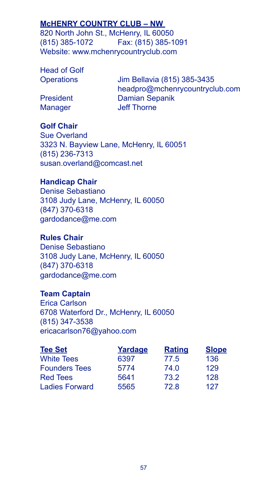# **McHENRY COUNTRY CLUB – NW**

820 North John St., McHenry, IL 60050 (815) 385-1072 Fax: (815) 385-1091 Website: www.mchenrycountryclub.com

Head of Golf

Operations Jim Bellavia (815) 385-3435 headpro@mchenrycountryclub.com President Damian Sepanik Manager **Jeff Thorne** 

# **Golf Chair**

Sue Overland 3323 N. Bayview Lane, McHenry, IL 60051 (815) 236-7313 susan.overland@comcast.net

# **Handicap Chair**

Denise Sebastiano 3108 Judy Lane, McHenry, IL 60050 (847) 370-6318 gardodance@me.com

# **Rules Chair**

Denise Sebastiano 3108 Judy Lane, McHenry, IL 60050 (847) 370-6318 gardodance@me.com

# **Team Captain**

Erica Carlson 6708 Waterford Dr., McHenry, IL 60050 (815) 347-3538 ericacarlson76@yahoo.com

| <b>Tee Set</b>        | Yardage | <b>Rating</b> | <b>Slope</b> |
|-----------------------|---------|---------------|--------------|
| <b>White Tees</b>     | 6397    | 77.5          | 136          |
| <b>Founders Tees</b>  | 5774    | 74.0          | 129          |
| <b>Red Tees</b>       | 5641    | 73.2          | 128          |
| <b>Ladies Forward</b> | 5565    | 72.8          | 127          |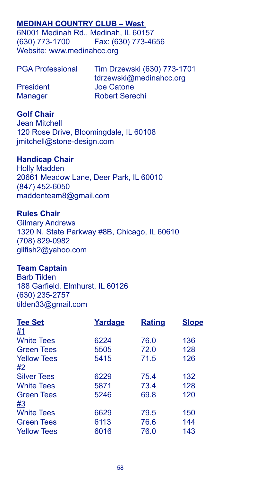# **MEDINAH COUNTRY CLUB – West**

6N001 Medinah Rd., Medinah, IL 60157 (630) 773-1700 Fax: (630) 773-4656 Website: www.medinahcc.org

| <b>PGA Professional</b> | Tim Drzewski (630) 773-1701 |
|-------------------------|-----------------------------|
|                         | tdrzewski@medinahcc.org     |
| President               | Joe Catone                  |
| <b>Manager</b>          | <b>Robert Serechi</b>       |

#### **Golf Chair**

Jean Mitchell 120 Rose Drive, Bloomingdale, IL 60108 jmitchell@stone-design.com

#### **Handicap Chair**

Holly Madden 20661 Meadow Lane, Deer Park, IL 60010 (847) 452-6050 maddenteam8@gmail.com

#### **Rules Chair**

Gilmary Andrews 1320 N. State Parkway #8B, Chicago, IL 60610 (708) 829-0982 gilfish2@yahoo.com

#### **Team Captain**

Barb Tilden 188 Garfield, Elmhurst, IL 60126 (630) 235-2757 tilden33@gmail.com

| Yardage | <b>Rating</b> | <b>Slope</b> |
|---------|---------------|--------------|
|         |               |              |
| 6224    | 76.0          | 136          |
| 5505    | 72.0          | 128          |
| 5415    | 71.5          | 126          |
|         |               |              |
| 6229    | 75.4          | 132          |
| 5871    | 73.4          | 128          |
| 5246    | 69.8          | 120          |
|         |               |              |
| 6629    | 79.5          | 150          |
| 6113    | 76.6          | 144          |
| 6016    | 76.0          | 143          |
|         |               |              |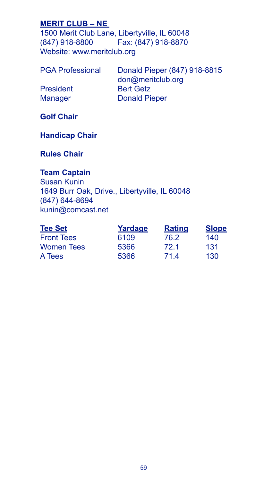# **MERIT CLUB – NE**

1500 Merit Club Lane, Libertyville, IL 60048<br>(847) 918-8800 Fax: (847) 918-8870 Fax: (847) 918-8870 Website: www.meritclub.org

| <b>PGA Professional</b> |  |
|-------------------------|--|
|                         |  |

Donald Pieper (847) 918-8815 don@meritclub.org President Bert Getz Manager Donald Pieper

**Golf Chair**

# **Handicap Chair**

**Rules Chair**

# **Team Captain**

Susan Kunin 1649 Burr Oak, Drive., Libertyville, IL 60048 (847) 644-8694 kunin@comcast.net

| <b>Tee Set</b>    | Yardage | <b>Rating</b> | <b>Slope</b> |
|-------------------|---------|---------------|--------------|
| <b>Front Tees</b> | 6109    | 76.2          | 140          |
| <b>Women Tees</b> | 5366    | 72.1          | 131          |
| A Tees            | 5366    | 714           | 130          |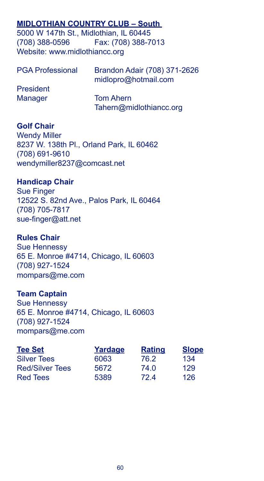# **MIDLOTHIAN COUNTRY CLUB – South**

5000 W 147th St., Midlothian, IL 60445 (708) 388-0596 Fax: (708) 388-7013 Website: www.midlothiancc.org

| <b>PGA Professional</b> | Brandon Adair (708) 371-2626<br>midlopro@hotmail.com |  |
|-------------------------|------------------------------------------------------|--|
| President               |                                                      |  |
| <b>Manager</b>          | <b>Tom Ahern</b>                                     |  |
|                         | Tahern@midlothiancc.org                              |  |

#### **Golf Chair**

Wendy Miller 8237 W. 138th Pl., Orland Park, IL 60462 (708) 691-9610 wendymiller8237@comcast.net

#### **Handicap Chair**

Sue Finger 12522 S. 82nd Ave., Palos Park, IL 60464 (708) 705-7817 sue-finger@att.net

#### **Rules Chair**

Sue Hennessy 65 E. Monroe #4714, Chicago, IL 60603 (708) 927-1524 mompars@me.com

#### **Team Captain**

Sue Hennessy 65 E. Monroe #4714, Chicago, IL 60603 (708) 927-1524 mompars@me.com

| <b>Tee Set</b>         | Yardage | <b>Rating</b> | <b>Slope</b> |
|------------------------|---------|---------------|--------------|
| <b>Silver Tees</b>     | 6063    | 76.2          | 134          |
| <b>Red/Silver Tees</b> | 5672    | 74.0          | 129          |
| <b>Red Tees</b>        | 5389    | 72.4          | 126          |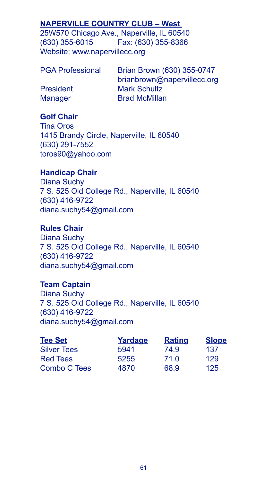## **NAPERVILLE COUNTRY CLUB – West**

25W570 Chicago Ave., Naperville, IL 60540 (630) 355-6015 Fax: (630) 355-8366 Website: www.napervillecc.org

| <b>PGA Professional</b> |  |
|-------------------------|--|
|                         |  |

Brian Brown (630) 355-0747 brianbrown@napervillecc.org President Mark Schultz Manager **Brad McMillan** 

# **Golf Chair**

Tina Oros 1415 Brandy Circle, Naperville, IL 60540 (630) 291-7552 toros90@yahoo.com

## **Handicap Chair**

Diana Suchy 7 S. 525 Old College Rd., Naperville, IL 60540 (630) 416-9722 diana.suchy54@gmail.com

# **Rules Chair**

Diana Suchy 7 S. 525 Old College Rd., Naperville, IL 60540 (630) 416-9722 diana.suchy54@gmail.com

### **Team Captain**

Diana Suchy 7 S. 525 Old College Rd., Naperville, IL 60540 (630) 416-9722 diana.suchy54@gmail.com

| <b>Tee Set</b>     | Yardage | <b>Rating</b> | <b>Slope</b> |
|--------------------|---------|---------------|--------------|
| <b>Silver Tees</b> | 5941    | 74.9          | 137          |
| <b>Red Tees</b>    | 5255    | 71.0          | 129          |
| Combo C Tees       | 4870    | 68.9          | 125          |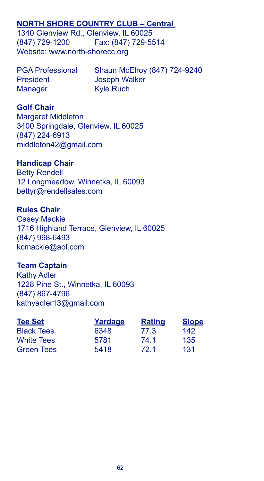## **NORTH SHORE COUNTRY CLUB – Central**

1340 Glenview Rd., Glenview, IL 60025 (847) 729-1200 Fax: (847) 729-5514 Website: www.north-shorecc.org

President Joseph Walker Manager Kyle Ruch

PGA Professional Shaun McElroy (847) 724-9240

### **Golf Chair**

Margaret Middleton 3400 Springdale, Glenview, IL 60025 (847) 224-6913 middleton42@gmail.com

#### **Handicap Chair**

Betty Rendell 12 Longmeadow, Winnetka, IL 60093 bettyr@rendellsales.com

### **Rules Chair**

Casey Mackie 1716 Highland Terrace, Glenview, IL 60025 (847) 998-6493 kcmackie@aol.com

#### **Team Captain**

Kathy Adler 1228 Pine St., Winnetka, IL 60093 (847) 867-4796 kathyadler13@gmail.com

| <b>Tee Set</b>    | Yardage | <b>Rating</b> | <b>Slope</b> |
|-------------------|---------|---------------|--------------|
| <b>Black Tees</b> | 6348    | 77.3          | 142          |
| <b>White Tees</b> | 5781    | 74.1          | 135          |
| <b>Green Tees</b> | 5418    | 72.1          | 131          |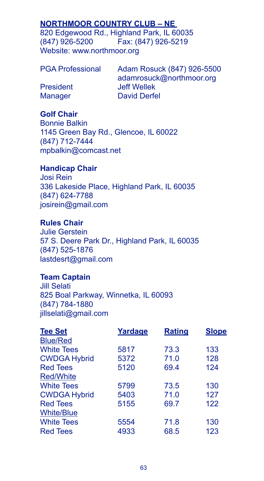## **NORTHMOOR COUNTRY CLUB – NE**

820 Edgewood Rd., Highland Park, IL 60035<br>(847) 926-5200 Fax: (847) 926-5219 (847) 926-5200 Fax: (847) 926-5219 Website: www.northmoor.org

PGA Professional Adam Rosuck (847) 926-5500 adamrosuck@northmoor.org President Jeff Wellek Manager David Derfel

## **Golf Chair**

Bonnie Balkin 1145 Green Bay Rd., Glencoe, IL 60022 (847) 712-7444 mpbalkin@comcast.net

### **Handicap Chair**

Josi Rein 336 Lakeside Place, Highland Park, IL 60035 (847) 624-7788 josirein@gmail.com

### **Rules Chair**

Julie Gerstein 57 S. Deere Park Dr., Highland Park, IL 60035 (847) 525-1876 lastdesrt@gmail.com

## **Team Captain**

Jill Selati 825 Boal Parkway, Winnetka, IL 60093 (847) 784-1880 jillselati@gmail.com

| <b>Tee Set</b>      | Yardage | <b>Rating</b> | <b>Slope</b> |
|---------------------|---------|---------------|--------------|
| <b>Blue/Red</b>     |         |               |              |
| <b>White Tees</b>   | 5817    | 73.3          | 133          |
| <b>CWDGA Hybrid</b> | 5372    | 71.0          | 128          |
| <b>Red Tees</b>     | 5120    | 69.4          | 124          |
| <b>Red/White</b>    |         |               |              |
| <b>White Tees</b>   | 5799    | 73.5          | 130          |
| <b>CWDGA Hybrid</b> | 5403    | 71.0          | 127          |
| <b>Red Tees</b>     | 5155    | 69.7          | 122          |
| <b>White/Blue</b>   |         |               |              |
| <b>White Tees</b>   | 5554    | 71.8          | 130          |
| <b>Red Tees</b>     | 4933    | 68.5          | 123          |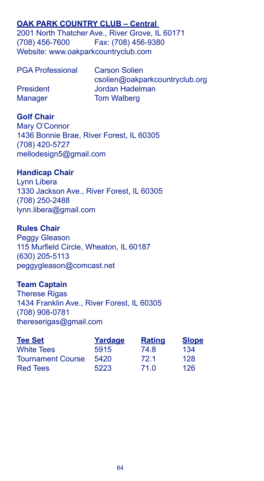## **OAK PARK COUNTRY CLUB – Central**

2001 North Thatcher Ave., River Grove, IL 60171 (708) 456-7600 Fax: (708) 456-9380 Website: www.oakparkcountryclub.com

| <b>PGA Professional</b> | <b>Carson Solien</b>           |
|-------------------------|--------------------------------|
|                         | csolien@oakparkcountryclub.org |
| <b>President</b>        | Jordan Hadelman                |
| <b>Manager</b>          | <b>Tom Walberg</b>             |

### **Golf Chair**

Mary O'Connor 1436 Bonnie Brae, River Forest, IL 60305 (708) 420-5727 mellodesign5@gmail.com

### **Handicap Chair**

Lynn Libera 1330 Jackson Ave., River Forest, IL 60305 (708) 250-2488 lynn.libera@gmail.com

### **Rules Chair**

Peggy Gleason 115 Murfield Circle, Wheaton, IL 60187 (630) 205-5113 peggygleason@comcast.net

### **Team Captain**

Therese Rigas 1434 Franklin Ave., River Forest, IL 60305 (708) 908-0781 thereserigas@gmail.com

| <b>Tee Set</b>           | Yardage | <b>Rating</b> | <b>Slope</b> |
|--------------------------|---------|---------------|--------------|
| <b>White Tees</b>        | 5915    | 74.8          | 134          |
| <b>Tournament Course</b> | 5420    | 72.1          | 128          |
| <b>Red Tees</b>          | 5223    | 71.0          | 126          |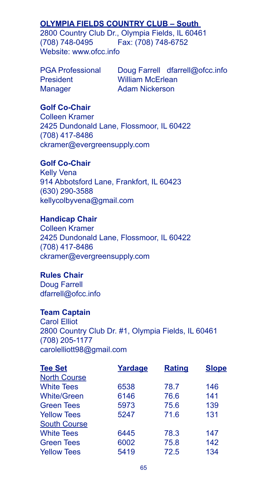# **OLYMPIA FIELDS COUNTRY CLUB – South**

2800 Country Club Dr., Olympia Fields, IL 60461 (708) 748-0495 Fax: (708) 748-6752 Website: www.ofcc.info

President William McErlean Manager **Adam Nickerson** 

PGA Professional Doug Farrell dfarrell@ofcc.info

## **Golf Co-Chair**

Colleen Kramer 2425 Dundonald Lane, Flossmoor, IL 60422 (708) 417-8486 ckramer@evergreensupply.com

#### **Golf Co-Chair**

Kelly Vena 914 Abbotsford Lane, Frankfort, IL 60423 (630) 290-3588 kellycolbyvena@gmail.com

## **Handicap Chair**

Colleen Kramer 2425 Dundonald Lane, Flossmoor, IL 60422 (708) 417-8486 ckramer@evergreensupply.com

## **Rules Chair**

Doug Farrell dfarrell@ofcc.info

#### **Team Captain**

Carol Elliot 2800 Country Club Dr. #1, Olympia Fields, IL 60461 (708) 205-1177 carolelliott98@gmail.com

| <b>Tee Set</b>      | Yardage | <b>Rating</b> | <b>Slope</b> |
|---------------------|---------|---------------|--------------|
| <b>North Course</b> |         |               |              |
| <b>White Tees</b>   | 6538    | 78.7          | 146          |
| <b>White/Green</b>  | 6146    | 76.6          | 141          |
| <b>Green Tees</b>   | 5973    | 75.6          | 139          |
| <b>Yellow Tees</b>  | 5247    | 71.6          | 131          |
| <b>South Course</b> |         |               |              |
| <b>White Tees</b>   | 6445    | 78.3          | 147          |
| <b>Green Tees</b>   | 6002    | 75.8          | 142          |
| <b>Yellow Tees</b>  | 5419    | 72.5          | 134          |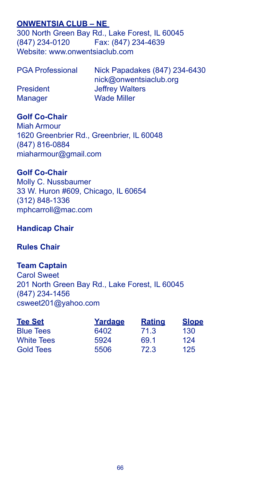## **ONWENTSIA CLUB – NE**

300 North Green Bay Rd., Lake Forest, IL 60045 (847) 234-0120 Fax: (847) 234-4639 Website: www.onwentsiaclub.com

| <b>PGA Professional</b> | Nick Papadakes (847) 234-6430 |
|-------------------------|-------------------------------|
|                         | nick@onwentsiaclub.org        |
| <b>President</b>        | <b>Jeffrey Walters</b>        |
| <b>Manager</b>          | <b>Wade Miller</b>            |

### **Golf Co-Chair**

Miah Armour 1620 Greenbrier Rd., Greenbrier, IL 60048 (847) 816-0884 miaharmour@gmail.com

### **Golf Co-Chair**

Molly C. Nussbaumer 33 W. Huron #609, Chicago, IL 60654 (312) 848-1336 mphcarroll@mac.com

# **Handicap Chair**

### **Rules Chair**

**Team Captain** Carol Sweet 201 North Green Bay Rd., Lake Forest, IL 60045 (847) 234-1456 csweet201@yahoo.com

| <b>Tee Set</b>    | Yardage | Rating | <b>Slope</b> |
|-------------------|---------|--------|--------------|
| <b>Blue Tees</b>  | 6402    | 71.3   | 130          |
| <b>White Tees</b> | 5924    | 69.1   | 124          |
| <b>Gold Tees</b>  | 5506    | 72.3   | 125          |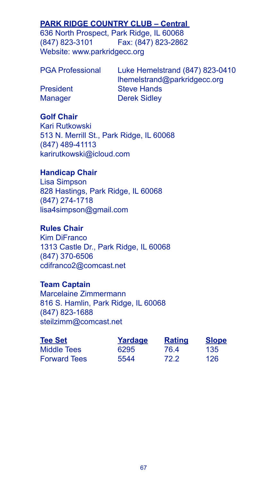# **PARK RIDGE COUNTRY CLUB - Central**

636 North Prospect, Park Ridge, IL 60068 (847) 823-3101 Fax: (847) 823-2862 Website: www.parkridgecc.org

Luke Hemelstrand (847) 823-0410 lhemelstrand@parkridgecc.org President Steve Hands Manager Derek Sidley

## **Golf Chair**

Kari Rutkowski 513 N. Merrill St., Park Ridge, IL 60068 (847) 489-41113 karirutkowski@icloud.com

# **Handicap Chair**

Lisa Simpson 828 Hastings, Park Ridge, IL 60068 (847) 274-1718 lisa4simpson@gmail.com

## **Rules Chair**

Kim DiFranco 1313 Castle Dr., Park Ridge, IL 60068 (847) 370-6506 cdifranco2@comcast.net

## **Team Captain**

Marcelaine Zimmermann 816 S. Hamlin, Park Ridge, IL 60068 (847) 823-1688 steilzimm@comcast.net

| <b>Tee Set</b>      | Yardage | <b>Rating</b> | <b>Slope</b> |
|---------------------|---------|---------------|--------------|
| Middle Tees         | 6295    | 76.4          | 135          |
| <b>Forward Tees</b> | 5544    | 72.2          | 126          |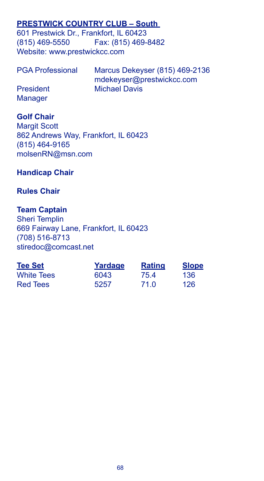## **PRESTWICK COUNTRY CLUB – South**

601 Prestwick Dr., Frankfort, IL 60423 (815) 469-5550 Fax: (815) 469-8482 Website: www.prestwickcc.com

| <b>PGA Professional</b> | Marcus Dekeyser (815) 469-2136 |
|-------------------------|--------------------------------|
|                         | mdekeyser@prestwickcc.com      |
| <b>President</b>        | <b>Michael Davis</b>           |
| <b>Manager</b>          |                                |

### **Golf Chair**

Margit Scott 862 Andrews Way, Frankfort, IL 60423 (815) 464-9165 molsenRN@msn.com

## **Handicap Chair**

## **Rules Chair**

## **Team Captain**

Sheri Templin 669 Fairway Lane, Frankfort, IL 60423 (708) 516-8713 stiredoc@comcast.net

| <b>Tee Set</b>    | Yardage | Rating | <b>Slope</b> |
|-------------------|---------|--------|--------------|
| <b>White Tees</b> | 6043    | 75.4   | 136          |
| Red Tees          | 5257    | 71.0   | 126          |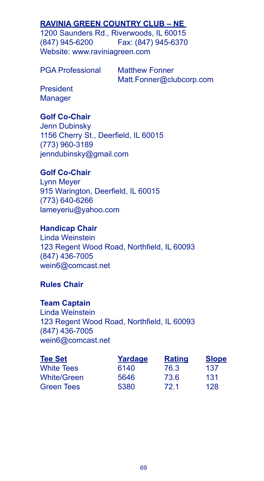# **RAVINIA GREEN COUNTRY CLUB – NE**

1200 Saunders Rd., Riverwoods, IL 60015 (847) 945-6200 Fax: (847) 945-6370 Website: www.raviniagreen.com

PGA Professional Matthew Fonner

Matt.Fonner@clubcorp.com

President **Manager** 

## **Golf Co-Chair**

Jenn Dubinsky 1156 Cherry St., Deerfield, IL 60015 (773) 960-3189 jenndubinsky@gmail.com

# **Golf Co-Chair**

Lynn Meyer 915 Warington, Deerfield, IL 60015 (773) 640-6266 lameyeriu@yahoo.com

## **Handicap Chair**

Linda Weinstein 123 Regent Wood Road, Northfield, IL 60093 (847) 436-7005 wein6@comcast.net

## **Rules Chair**

### **Team Captain**

Linda Weinstein 123 Regent Wood Road, Northfield, IL 60093 (847) 436-7005 wein6@comcast.net

| <b>Tee Set</b>     | Yardage | <b>Rating</b> | <b>Slope</b> |
|--------------------|---------|---------------|--------------|
| <b>White Tees</b>  | 6140    | 76.3          | 137          |
| <b>White/Green</b> | 5646    | 73.6          | 131          |
| <b>Green Tees</b>  | 5380    | 72.1          | 128          |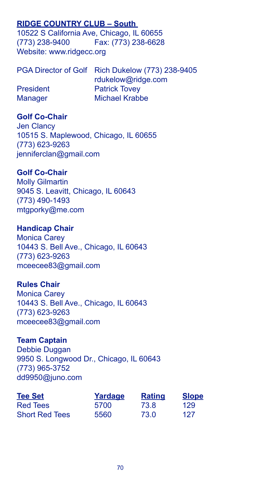# **RIDGE COUNTRY CLUB – South**

10522 S California Ave, Chicago, IL 60655 (773) 238-9400 Fax: (773) 238-6628 Website: www.ridgecc.org

|                  | PGA Director of Golf Rich Dukelow (773) 238-9405 |
|------------------|--------------------------------------------------|
|                  | rdukelow@ridge.com                               |
| <b>President</b> | <b>Patrick Tovey</b>                             |
| <b>Manager</b>   | Michael Krabbe                                   |

## **Golf Co-Chair**

Jen Clancy 10515 S. Maplewood, Chicago, IL 60655 (773) 623-9263 jenniferclan@gmail.com

### **Golf Co-Chair**

Molly Gilmartin 9045 S. Leavitt, Chicago, IL 60643 (773) 490-1493 mtgporky@me.com

#### **Handicap Chair**

Monica Carey 10443 S. Bell Ave., Chicago, IL 60643 (773) 623-9263 mceecee83@gmail.com

## **Rules Chair**

Monica Carey 10443 S. Bell Ave., Chicago, IL 60643 (773) 623-9263 mceecee83@gmail.com

#### **Team Captain**

Debbie Duggan 9950 S. Longwood Dr., Chicago, IL 60643 (773) 965-3752 dd9950@juno.com

| <b>Tee Set</b>        | Yardage | <b>Rating</b> | <b>Slope</b> |
|-----------------------|---------|---------------|--------------|
| Red Tees              | 5700    | 73.8          | 129          |
| <b>Short Red Tees</b> | 5560    | 73.0          | 127          |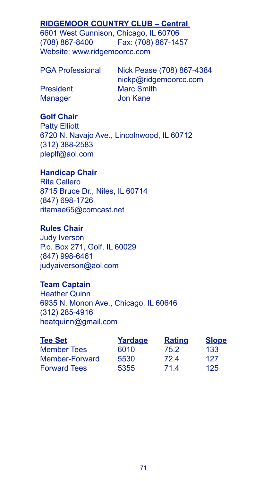# **RIDGEMOOR COUNTRY CLUB – Central**

6601 West Gunnison, Chicago, IL 60706 (708) 867-8400 Fax: (708) 867-1457 Website: www.ridgemoorcc.com

PGA Professional Nick Pease (708) 867-4384 nickp@ridgemoorcc.com President Marc Smith Manager **Jon Kane** 

## **Golf Chair**

Patty Elliott 6720 N. Navajo Ave., Lincolnwood, IL 60712 (312) 388-2583 pleplf@aol.com

# **Handicap Chair**

Rita Callero 8715 Bruce Dr., Niles, IL 60714 (847) 698-1726 ritamae65@comcast.net

## **Rules Chair**

Judy Iverson P.o. Box 271, Golf, IL 60029 (847) 998-6461 judyaiverson@aol.com

## **Team Captain**

Heather Quinn 6935 N. Monon Ave., Chicago, IL 60646 (312) 285-4916 heatquinn@gmail.com

| <b>Tee Set</b>      | Yardage | <b>Rating</b> | <b>Slope</b> |
|---------------------|---------|---------------|--------------|
| <b>Member Tees</b>  | 6010    | 75.2          | 133          |
| Member-Forward      | 5530    | 724           | 127          |
| <b>Forward Tees</b> | 5355    | 714           | 125          |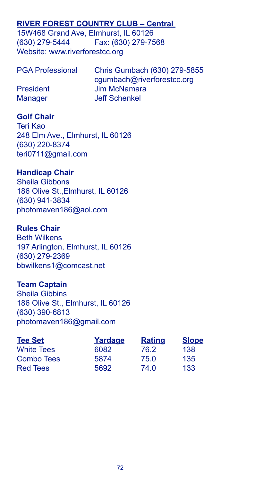# **RIVER FOREST COUNTRY CLUB – Central**

15W468 Grand Ave, Elmhurst, IL 60126 (630) 279-5444 Fax: (630) 279-7568 Website: www.riverforestcc.org

| <b>PGA Professional</b> | Chris Gumbach (630) 279-5855 |
|-------------------------|------------------------------|
|                         | cgumbach@riverforestcc.org   |
| President               | Jim McNamara                 |
| <b>Manager</b>          | Jeff Schenkel                |

## **Golf Chair**

Teri Kao 248 Elm Ave., Elmhurst, IL 60126 (630) 220-8374 teri0711@gmail.com

### **Handicap Chair**

Sheila Gibbons 186 Olive St.,Elmhurst, IL 60126 (630) 941-3834 photomaven186@aol.com

### **Rules Chair**

Beth Wilkens 197 Arlington, Elmhurst, IL 60126 (630) 279-2369 bbwilkens1@comcast.net

## **Team Captain**

Sheila Gibbins 186 Olive St., Elmhurst, IL 60126 (630) 390-6813 photomaven186@gmail.com

| <b>Tee Set</b>    | Yardage | <b>Rating</b> | <b>Slope</b> |
|-------------------|---------|---------------|--------------|
| <b>White Tees</b> | 6082    | 76.2          | 138          |
| Combo Tees        | 5874    | 75.0          | 135          |
| <b>Red Tees</b>   | 5692    | 74.0          | 133          |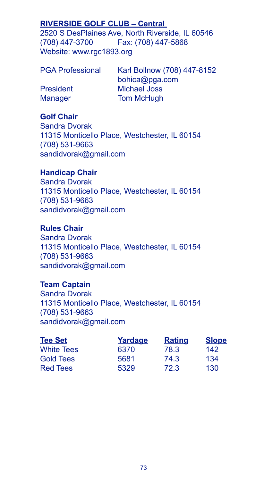## **RIVERSIDE GOLF CLUB – Central**

2520 S DesPlaines Ave, North Riverside, IL 60546 (708) 447-3700 Fax: (708) 447-5868 Website: www.rgc1893.org

Karl Bollnow (708) 447-8152 bohica@pga.com President Michael Joss Manager **Tom McHugh** 

## **Golf Chair**

Sandra Dvorak 11315 Monticello Place, Westchester, IL 60154 (708) 531-9663 sandidvorak@gmail.com

## **Handicap Chair**

Sandra Dvorak 11315 Monticello Place, Westchester, IL 60154 (708) 531-9663 sandidvorak@gmail.com

## **Rules Chair**

Sandra Dvorak 11315 Monticello Place, Westchester, IL 60154 (708) 531-9663 sandidvorak@gmail.com

## **Team Captain**

Sandra Dvorak 11315 Monticello Place, Westchester, IL 60154 (708) 531-9663 sandidvorak@gmail.com

| <b>Tee Set</b>    | Yardage | <b>Rating</b> | <b>Slope</b> |
|-------------------|---------|---------------|--------------|
| <b>White Tees</b> | 6370    | 78.3          | 142          |
| <b>Gold Tees</b>  | 5681    | 74.3          | 134          |
| <b>Red Tees</b>   | 5329    | 72.3          | 130          |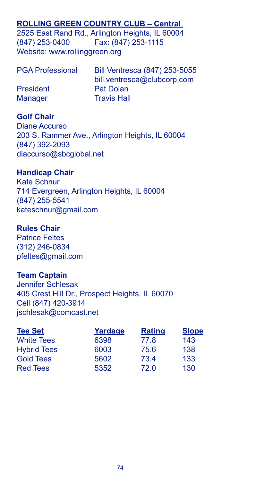# **ROLLING GREEN COUNTRY CLUB – Central**

2525 East Rand Rd., Arlington Heights, IL 60004 (847) 253-0400 Fax: (847) 253-1115 Website: www.rollinggreen.org

| <b>PGA Professional</b> | Bill Ventresca (847) 253-5055 |
|-------------------------|-------------------------------|
|                         | bill.ventresca@clubcorp.com   |
| President               | Pat Dolan                     |
| <b>Manager</b>          | <b>Travis Hall</b>            |

## **Golf Chair**

Diane Accurso 203 S. Rammer Ave., Arlington Heights, IL 60004 (847) 392-2093 diaccurso@sbcglobal.net

### **Handicap Chair**

Kate Schnur 714 Evergreen, Arlington Heights, IL 60004 (847) 255-5541 kateschnur@gmail.com

### **Rules Chair**

Patrice Feltes (312) 246-0834 pfeltes@gmail.com

### **Team Captain**

Jennifer Schlesak 405 Crest Hill Dr., Prospect Heights, IL 60070 Cell (847) 420-3914 jschlesak@comcast.net

| <b>Tee Set</b>     | Yardage | <b>Rating</b> | <b>Slope</b> |
|--------------------|---------|---------------|--------------|
| <b>White Tees</b>  | 6398    | 77.8          | 143          |
| <b>Hybrid Tees</b> | 6003    | 75.6          | 138          |
| <b>Gold Tees</b>   | 5602    | 73.4          | 133          |
| <b>Red Tees</b>    | 5352    | 72.0          | 130          |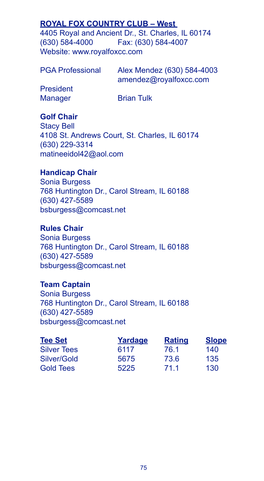## **ROYAL FOX COUNTRY CLUB – West**

4405 Royal and Ancient Dr., St. Charles, IL 60174 (630) 584-4000 Fax: (630) 584-4007 Website: www.royalfoxcc.com

PGA Professional Alex Mendez (630) 584-4003 amendez@royalfoxcc.com President

Manager Brian Tulk

## **Golf Chair**

Stacy Bell 4108 St. Andrews Court, St. Charles, IL 60174 (630) 229-3314 matineeidol42@aol.com

#### **Handicap Chair**

Sonia Burgess 768 Huntington Dr., Carol Stream, IL 60188 (630) 427-5589 bsburgess@comcast.net

# **Rules Chair**

Sonia Burgess 768 Huntington Dr., Carol Stream, IL 60188 (630) 427-5589 bsburgess@comcast.net

# **Team Captain**

Sonia Burgess 768 Huntington Dr., Carol Stream, IL 60188 (630) 427-5589 bsburgess@comcast.net

| <b>Tee Set</b>     | Yardage | <b>Rating</b> | <b>Slope</b> |
|--------------------|---------|---------------|--------------|
| <b>Silver Tees</b> | 6117    | 76.1          | 140          |
| Silver/Gold        | 5675    | 73.6          | 135          |
| <b>Gold Tees</b>   | 5225    | 71.1          | 130          |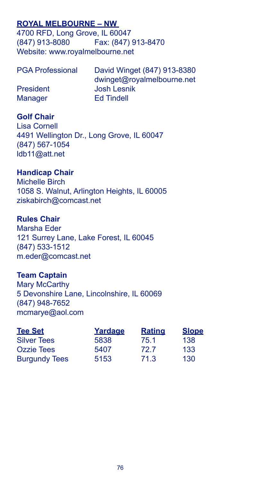## **ROYAL MELBOURNE – NW**

4700 RFD, Long Grove, IL 60047 (847) 913-8080 Fax: (847) 913-8470 Website: www.royalmelbourne.net

| <b>PGA Professional</b> | David Winget (847) 913-8380 |
|-------------------------|-----------------------------|
|                         | dwinget@royalmelbourne.net  |
| President               | Josh Lesnik                 |
| Manager                 | <b>Ed Tindell</b>           |

## **Golf Chair**

Lisa Cornell 4491 Wellington Dr., Long Grove, IL 60047 (847) 567-1054 ldb11@att.net

# **Handicap Chair**

Michelle Birch 1058 S. Walnut, Arlington Heights, IL 60005 ziskabirch@comcast.net

### **Rules Chair**

Marsha Eder 121 Surrey Lane, Lake Forest, IL 60045 (847) 533-1512 m.eder@comcast.net

### **Team Captain**

Mary McCarthy 5 Devonshire Lane, Lincolnshire, IL 60069 (847) 948-7652 mcmarye@aol.com

| <b>Tee Set</b>       | Yardage | <b>Rating</b> | <b>Slope</b> |
|----------------------|---------|---------------|--------------|
| <b>Silver Tees</b>   | 5838    | 75.1          | 138          |
| Ozzie Tees           | 5407    | 72.7          | 133          |
| <b>Burgundy Tees</b> | 5153    | 71.3          | 130          |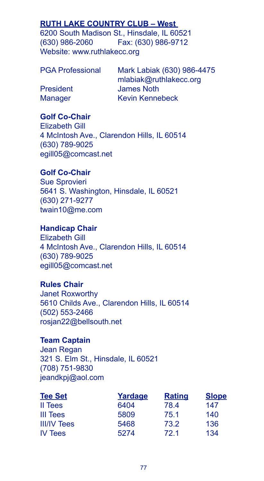# **RUTH LAKE COUNTRY CLUB – West**

6200 South Madison St., Hinsdale, IL 60521 (630) 986-2060 Fax: (630) 986-9712 Website: www.ruthlakecc.org

| <b>PGA Professional</b> | Mark Labiak (630) 986-4475 |
|-------------------------|----------------------------|
|                         | mlabiak@ruthlakecc.org     |
| President               | James Noth                 |
| <b>Manager</b>          | Kevin Kennebeck            |

### **Golf Co-Chair**

Elizabeth Gill 4 McIntosh Ave., Clarendon Hills, IL 60514 (630) 789-9025 egill05@comcast.net

## **Golf Co-Chair**

Sue Sprovieri 5641 S. Washington, Hinsdale, IL 60521 (630) 271-9277 twain10@me.com

### **Handicap Chair**

Elizabeth Gill 4 McIntosh Ave., Clarendon Hills, IL 60514 (630) 789-9025 egill05@comcast.net

## **Rules Chair**

Janet Roxworthy 5610 Childs Ave., Clarendon Hills, IL 60514 (502) 553-2466 rosjan22@bellsouth.net

### **Team Captain**

Jean Regan 321 S. Elm St., Hinsdale, IL 60521 (708) 751-9830 jeandkpj@aol.com

| <b>Tee Set</b>     | Yardage | <b>Rating</b> | <b>Slope</b> |
|--------------------|---------|---------------|--------------|
| II Tees            | 6404    | 78.4          | 147          |
| III Tees           | 5809    | 75.1          | 140          |
| <b>III/IV Tees</b> | 5468    | 73.2          | 136          |
| <b>IV Tees</b>     | 5274    | 72.1          | 134          |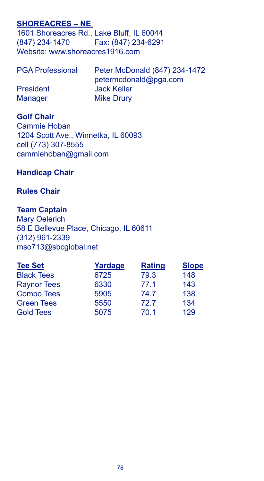## **SHOREACRES – NE**

1601 Shoreacres Rd., Lake Bluff, IL 60044<br>(847) 234-1470 Fax: (847) 234-6291 (847) 234-1470 Website: www.shoreacres1916.com

| <b>PGA Professional</b> | Peter McDonald (847) 234-1472 |
|-------------------------|-------------------------------|
|                         | petermcdonald@pga.com         |
| <b>President</b>        | <b>Jack Keller</b>            |
| Manager                 | <b>Mike Drury</b>             |

## **Golf Chair**

Cammie Hoban 1204 Scott Ave., Winnetka, IL 60093 cell (773) 307-8555 cammiehoban@gmail.com

## **Handicap Chair**

### **Rules Chair**

## **Team Captain**

Mary Oelerich 58 E Bellevue Place, Chicago, IL 60611 (312) 961-2339 mso713@sbcglobal.net

| <b>Tee Set</b>     | Yardage | <b>Rating</b> | <b>Slope</b> |
|--------------------|---------|---------------|--------------|
| <b>Black Tees</b>  | 6725    | 79.3          | 148          |
| <b>Raynor Tees</b> | 6330    | 77.1          | 143          |
| <b>Combo Tees</b>  | 5905    | 74.7          | 138          |
| <b>Green Tees</b>  | 5550    | 72.7          | 134          |
| <b>Gold Tees</b>   | 5075    | 70.1          | 129          |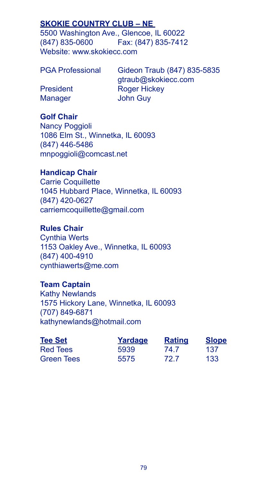## **SKOKIE COUNTRY CLUB – NE**

5500 Washington Ave., Glencoe, IL 60022 (847) 835-0600 Fax: (847) 835-7412 Website: www.skokiecc.com

PGA Professional Gideon Traub (847) 835-5835 gtraub@skokiecc.com President Roger Hickey Manager John Guy

## **Golf Chair**

Nancy Poggioli 1086 Elm St., Winnetka, IL 60093 (847) 446-5486 mnpoggioli@comcast.net

### **Handicap Chair**

Carrie Coquillette 1045 Hubbard Place, Winnetka, IL 60093 (847) 420-0627 carriemcoquillette@gmail.com

## **Rules Chair**

Cynthia Werts 1153 Oakley Ave., Winnetka, IL 60093 (847) 400-4910 cynthiawerts@me.com

### **Team Captain**

Kathy Newlands 1575 Hickory Lane, Winnetka, IL 60093 (707) 849-6871 kathynewlands@hotmail.com

| <b>Tee Set</b> | Yardage | <b>Rating</b> | <b>Slope</b> |
|----------------|---------|---------------|--------------|
| Red Tees       | 5939    | 74.7          | 137          |
| Green Tees     | 5575    | 72.7          | 133          |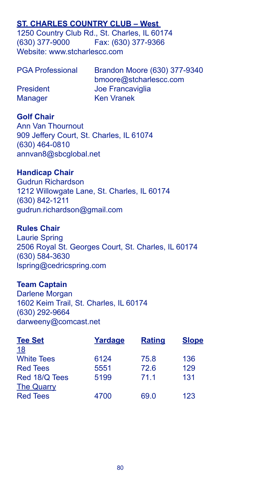## **ST. CHARLES COUNTRY CLUB – West**

1250 Country Club Rd., St. Charles, IL 60174 (630) 377-9000 Fax: (630) 377-9366 Website: www.stcharlescc.com

| <b>PGA Professional</b> | Brandon Moore (630) 377-9340 |
|-------------------------|------------------------------|
|                         | bmoore@stcharlescc.com       |
| <b>President</b>        | Joe Francaviglia             |
| <b>Manager</b>          | <b>Ken Vranek</b>            |

### **Golf Chair**

Ann Van Thournout 909 Jeffery Court, St. Charles, IL 61074 (630) 464-0810 annvan8@sbcglobal.net

### **Handicap Chair**

Gudrun Richardson 1212 Willowgate Lane, St. Charles, IL 60174 (630) 842-1211 gudrun.richardson@gmail.com

### **Rules Chair**

Laurie Spring 2506 Royal St. Georges Court, St. Charles, IL 60174 (630) 584-3630 lspring@cedricspring.com

### **Team Captain**

Darlene Morgan 1602 Keim Trail, St. Charles, IL 60174 (630) 292-9664 darweeny@comcast.net

| <b>Tee Set</b>    | Yardage | <b>Rating</b> | <b>Slope</b> |
|-------------------|---------|---------------|--------------|
| <u>18</u>         |         |               |              |
| <b>White Tees</b> | 6124    | 75.8          | 136          |
| <b>Red Tees</b>   | 5551    | 72.6          | 129          |
| Red 18/Q Tees     | 5199    | 71.1          | 131          |
| <b>The Quarry</b> |         |               |              |
| <b>Red Tees</b>   | 4700    | 69.0          | 123          |
|                   |         |               |              |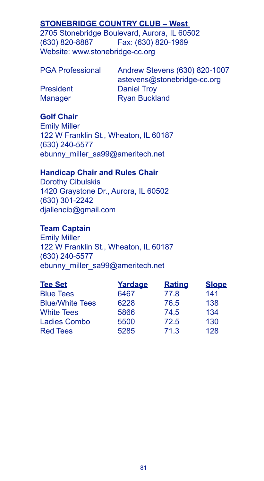# **STONEBRIDGE COUNTRY CLUB – West**

2705 Stonebridge Boulevard, Aurora, IL 60502 (630) 820-8887 Fax: (630) 820-1969 Website: www.stonebridge-cc.org

| <b>PGA Professional</b> |  |
|-------------------------|--|
|-------------------------|--|

Andrew Stevens (630) 820-1007 astevens@stonebridge-cc.org President Daniel Troy Manager Ryan Buckland

# **Golf Chair**

Emily Miller 122 W Franklin St., Wheaton, IL 60187 (630) 240-5577 ebunny\_miller\_sa99@ameritech.net

## **Handicap Chair and Rules Chair**

Dorothy Cibulskis 1420 Graystone Dr., Aurora, IL 60502 (630) 301-2242 djallencib@gmail.com

## **Team Captain**

Emily Miller 122 W Franklin St., Wheaton, IL 60187 (630) 240-5577 ebunny\_miller\_sa99@ameritech.net

| <b>Tee Set</b>         | Yardage | <b>Rating</b> | <b>Slope</b> |
|------------------------|---------|---------------|--------------|
| <b>Blue Tees</b>       | 6467    | 77.8          | 141          |
| <b>Blue/White Tees</b> | 6228    | 76.5          | 138          |
| <b>White Tees</b>      | 5866    | 74.5          | 134          |
| <b>Ladies Combo</b>    | 5500    | 72.5          | 130          |
| <b>Red Tees</b>        | 5285    | 71.3          | 128          |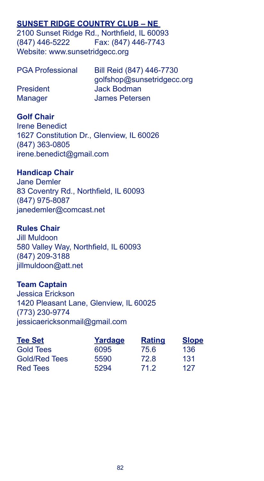## **SUNSET RIDGE COUNTRY CLUB – NE**

2100 Sunset Ridge Rd., Northfield, IL 60093 (847) 446-5222 Fax: (847) 446-7743 Website: www.sunsetridgecc.org

| <b>PGA Professional</b> | Bill Reid (847) 446-7730   |
|-------------------------|----------------------------|
|                         | golfshop@sunsetridgecc.org |
| President               | <b>Jack Bodman</b>         |
| <b>Manager</b>          | James Petersen             |

## **Golf Chair**

Irene Benedict 1627 Constitution Dr., Glenview, IL 60026 (847) 363-0805 irene.benedict@gmail.com

### **Handicap Chair**

Jane Demler 83 Coventry Rd., Northfield, IL 60093 (847) 975-8087 janedemler@comcast.net

### **Rules Chair**

Jill Muldoon 580 Valley Way, Northfield, IL 60093 (847) 209-3188 jillmuldoon@att.net

## **Team Captain**

Jessica Erickson 1420 Pleasant Lane, Glenview, IL 60025 (773) 230-9774 jessicaericksonmail@gmail.com

| <b>Tee Set</b>       | Yardage | <b>Rating</b> | <b>Slope</b> |
|----------------------|---------|---------------|--------------|
| <b>Gold Tees</b>     | 6095    | 75.6          | 136          |
| <b>Gold/Red Tees</b> | 5590    | 72.8          | 131          |
| <b>Red Tees</b>      | 5294    | 71.2          | 127          |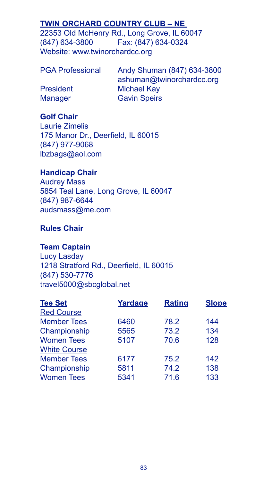# **TWIN ORCHARD COUNTRY CLUB – NE**

22353 Old McHenry Rd., Long Grove, IL 60047 (847) 634-3800 Fax: (847) 634-0324 Website: www.twinorchardcc.org

| <b>PGA Professional</b> |  |  |  |
|-------------------------|--|--|--|
|-------------------------|--|--|--|

Andy Shuman (847) 634-3800 ashuman@twinorchardcc.org President Michael Kay Manager **Gavin Speirs** 

# **Golf Chair**

Laurie Zimelis 175 Manor Dr., Deerfield, IL 60015 (847) 977-9068 lbzbags@aol.com

## **Handicap Chair**

Audrey Mass 5854 Teal Lane, Long Grove, IL 60047 (847) 987-6644 audsmass@me.com

## **Rules Chair**

### **Team Captain**

Lucy Lasday 1218 Stratford Rd., Deerfield, IL 60015 (847) 530-7776 travel5000@sbcglobal.net

| <b>Slope</b> |
|--------------|
|              |
| 144          |
| 134          |
| 128          |
|              |
| 142          |
| 138          |
| 133          |
|              |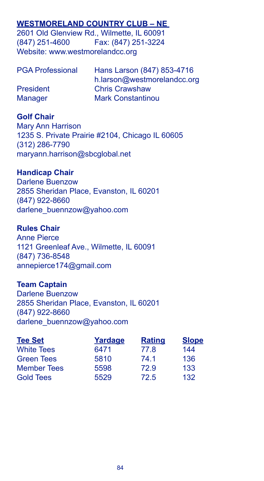## **WESTMORELAND COUNTRY CLUB – NE**

2601 Old Glenview Rd., Wilmette, IL 60091 (847) 251-4600 Fax: (847) 251-3224 Website: www.westmorelandcc.org

| <b>PGA Professional</b> | Hans Larson (847) 853-4716  |
|-------------------------|-----------------------------|
|                         | h.larson@westmorelandcc.org |
| <b>President</b>        | <b>Chris Crawshaw</b>       |
| <b>Manager</b>          | <b>Mark Constantinou</b>    |

## **Golf Chair**

Mary Ann Harrison 1235 S. Private Prairie #2104, Chicago IL 60605 (312) 286-7790 maryann.harrison@sbcglobal.net

# **Handicap Chair**

Darlene Buenzow 2855 Sheridan Place, Evanston, IL 60201 (847) 922-8660 darlene\_buennzow@yahoo.com

# **Rules Chair**

Anne Pierce 1121 Greenleaf Ave., Wilmette, IL 60091 (847) 736-8548 annepierce174@gmail.com

## **Team Captain**

Darlene Buenzow 2855 Sheridan Place, Evanston, IL 60201 (847) 922-8660 darlene\_buennzow@yahoo.com

| <b>Tee Set</b>     | Yardage | <b>Rating</b> | <b>Slope</b> |
|--------------------|---------|---------------|--------------|
| <b>White Tees</b>  | 6471    | 77.8          | 144          |
| <b>Green Tees</b>  | 5810    | 74.1          | 136          |
| <b>Member Tees</b> | 5598    | 72.9          | 133          |
| <b>Gold Tees</b>   | 5529    | 72.5          | 132          |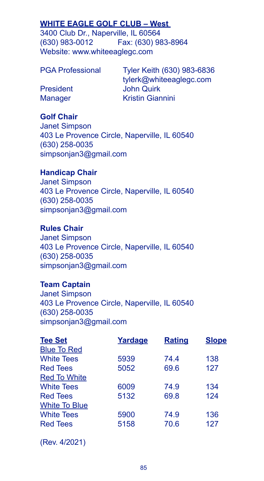# **WHITE EAGLE GOLF CLUB – West**

3400 Club Dr., Naperville, IL 60564 (630) 983-0012 Fax: (630) 983-8964 Website: www.whiteeaglegc.com

PGA Professional Tyler Keith (630) 983-6836 tylerk@whiteeaglegc.com President John Quirk Manager Kristin Giannini

### **Golf Chair**

Janet Simpson 403 Le Provence Circle, Naperville, IL 60540 (630) 258-0035 simpsonjan3@gmail.com

### **Handicap Chair**

Janet Simpson 403 Le Provence Circle, Naperville, IL 60540 (630) 258-0035 simpsonjan3@gmail.com

## **Rules Chair**

Janet Simpson 403 Le Provence Circle, Naperville, IL 60540 (630) 258-0035 simpsonjan3@gmail.com

#### **Team Captain**

Janet Simpson 403 Le Provence Circle, Naperville, IL 60540 (630) 258-0035 simpsonjan3@gmail.com

| Yardage | <b>Rating</b> | <b>Slope</b> |
|---------|---------------|--------------|
|         |               |              |
| 5939    | 74.4          | 138          |
| 5052    | 69.6          | 127          |
|         |               |              |
| 6009    | 74.9          | 134          |
| 5132    | 69.8          | 124          |
|         |               |              |
| 5900    | 74.9          | 136          |
| 5158    | 70.6          | 127          |
|         |               |              |

(Rev. 4/2021)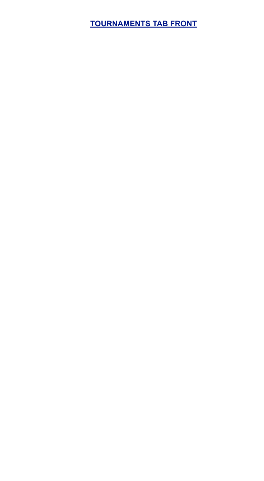**TOURNAMENTS TAB FRONT**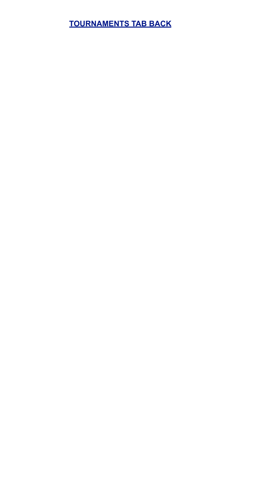# **TOURNAMENTS TAB BACK**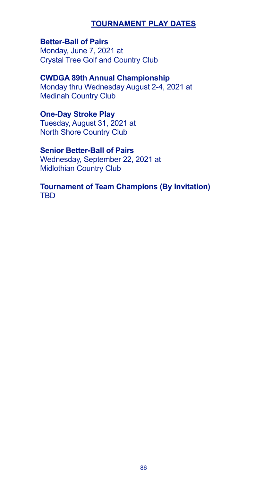## **TOURNAMENT PLAY DATES**

# **Better-Ball of Pairs**

Monday, June 7, 2021 at Crystal Tree Golf and Country Club

### **CWDGA 89th Annual Championship**

Monday thru Wednesday August 2-4, 2021 at Medinah Country Club

### **One-Day Stroke Play**

Tuesday, August 31, 2021 at North Shore Country Club

# **Senior Better-Ball of Pairs**

Wednesday, September 22, 2021 at Midlothian Country Club

### **Tournament of Team Champions (By Invitation)** TBD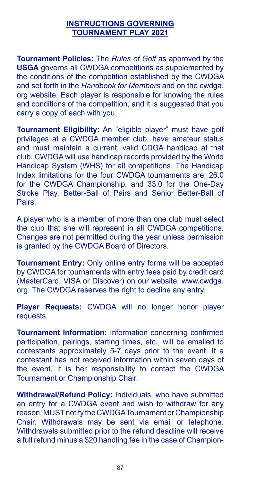### **INSTRUCTIONS GOVERNING TOURNAMENT PLAY 2021**

**Tournament Policies:** The *Rules of Golf* as approved by the **USGA** governs all CWDGA competitions as supplemented by the conditions of the competition established by the CWDGA and set forth in the *Handbook for Members* and on the cwdga. org website. Each player is responsible for knowing the rules and conditions of the competition, and it is suggested that you carry a copy of each with you.

**Tournament Eligibility:** An "eligible player" must have golf privileges at a CWDGA member club, have amateur status and must maintain a current, valid CDGA handicap at that club. CWDGA will use handicap records provided by the World Handicap System (WHS) for all competitions. The Handicap Index limitations for the four CWDGA tournaments are: 26.0 for the CWDGA Championship, and 33.0 for the One-Day Stroke Play, Better-Ball of Pairs and Senior Better-Ball of Pairs.

A player who is a member of more than one club must select the club that she will represent in all CWDGA competitions. Changes are not permitted during the year unless permission is granted by the CWDGA Board of Directors.

**Tournament Entry:** Only online entry forms will be accepted by CWDGA for tournaments with entry fees paid by credit card (MasterCard, VISA or Discover) on our website, www.cwdga. org. The CWDGA reserves the right to decline any entry.

**Player Requests:** CWDGA will no longer honor player requests.

**Tournament Information:** Information concerning confirmed participation, pairings, starting times, etc., will be emailed to contestants approximately 5-7 days prior to the event. If a contestant has not received information within seven days of the event, it is her responsibility to contact the CWDGA Tournament or Championship Chair.

**Withdrawal/Refund Policy:** Individuals, who have submitted an entry for a CWDGA event and wish to withdraw for any reason, MUST notify the CWDGA Tournament or Championship Chair. Withdrawals may be sent via email or telephone. Withdrawals submitted prior to the refund deadline will receive a full refund minus a \$20 handling fee in the case of Champion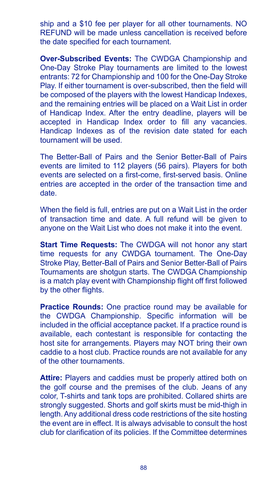ship and a \$10 fee per player for all other tournaments. NO REFUND will be made unless cancellation is received before the date specified for each tournament.

**Over-Subscribed Events:** The CWDGA Championship and One-Day Stroke Play tournaments are limited to the lowest entrants: 72 for Championship and 100 for the One-Day Stroke Play. If either tournament is over-subscribed, then the field will be composed of the players with the lowest Handicap Indexes, and the remaining entries will be placed on a Wait List in order of Handicap Index. After the entry deadline, players will be accepted in Handicap Index order to fill any vacancies. Handicap Indexes as of the revision date stated for each tournament will be used.

The Better-Ball of Pairs and the Senior Better-Ball of Pairs events are limited to 112 players (56 pairs). Players for both events are selected on a first-come, first-served basis. Online entries are accepted in the order of the transaction time and date.

When the field is full, entries are put on a Wait List in the order of transaction time and date. A full refund will be given to anyone on the Wait List who does not make it into the event.

**Start Time Requests:** The CWDGA will not honor any start time requests for any CWDGA tournament. The One-Day Stroke Play, Better-Ball of Pairs and Senior Better-Ball of Pairs Tournaments are shotgun starts. The CWDGA Championship is a match play event with Championship flight off first followed by the other flights.

**Practice Rounds:** One practice round may be available for the CWDGA Championship. Specific information will be included in the official acceptance packet. If a practice round is available, each contestant is responsible for contacting the host site for arrangements. Players may NOT bring their own caddie to a host club. Practice rounds are not available for any of the other tournaments.

**Attire:** Players and caddies must be properly attired both on the golf course and the premises of the club. Jeans of any color, T-shirts and tank tops are prohibited. Collared shirts are strongly suggested. Shorts and golf skirts must be mid-thigh in length. Any additional dress code restrictions of the site hosting the event are in effect. It is always advisable to consult the host club for clarification of its policies. If the Committee determines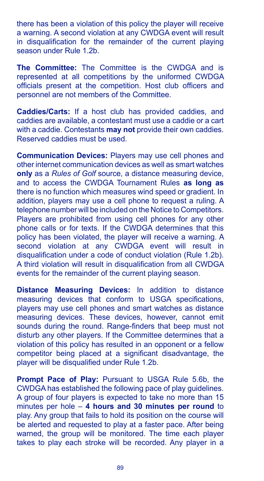there has been a violation of this policy the player will receive a warning. A second violation at any CWDGA event will result in disqualification for the remainder of the current playing season under Rule 1.2b.

**The Committee:** The Committee is the CWDGA and is represented at all competitions by the uniformed CWDGA officials present at the competition. Host club officers and personnel are not members of the Committee.

**Caddies/Carts:** If a host club has provided caddies, and caddies are available, a contestant must use a caddie or a cart with a caddie. Contestants **may not** provide their own caddies. Reserved caddies must be used.

**Communication Devices:** Players may use cell phones and other internet communication devices as well as smart watches **only** as a *Rules of Golf* source, a distance measuring device, and to access the CWDGA Tournament Rules **as long as** there is no function which measures wind speed or gradient. In addition, players may use a cell phone to request a ruling. A telephone number will be included on the Notice to Competitors. Players are prohibited from using cell phones for any other phone calls or for texts. If the CWDGA determines that this policy has been violated, the player will receive a warning. A second violation at any CWDGA event will result in disqualification under a code of conduct violation (Rule 1.2b). A third violation will result in disqualification from all CWDGA events for the remainder of the current playing season.

**Distance Measuring Devices:** In addition to distance measuring devices that conform to USGA specifications, players may use cell phones and smart watches as distance measuring devices. These devices, however, cannot emit sounds during the round. Range-finders that beep must not disturb any other players. If the Committee determines that a violation of this policy has resulted in an opponent or a fellow competitor being placed at a significant disadvantage, the player will be disqualified under Rule 1.2b.

**Prompt Pace of Play:** Pursuant to USGA Rule 5.6b, the CWDGA has established the following pace of play guidelines. A group of four players is expected to take no more than 15 minutes per hole – **4 hours and 30 minutes per round** to play. Any group that fails to hold its position on the course will be alerted and requested to play at a faster pace. After being warned, the group will be monitored. The time each player takes to play each stroke will be recorded. Any player in a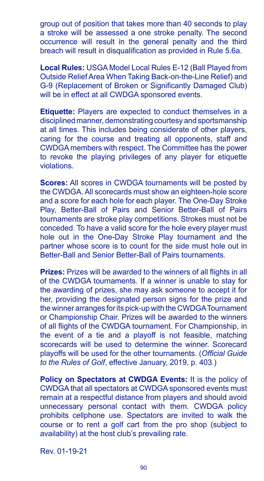group out of position that takes more than 40 seconds to play a stroke will be assessed a one stroke penalty. The second occurrence will result in the general penalty and the third breach will result in disqualification as provided in Rule 5.6a.

**Local Rules:** USGA Model Local Rules E-12 (Ball Played from Outside Relief Area When Taking Back-on-the-Line Relief) and G-9 (Replacement of Broken or Significantly Damaged Club) will be in effect at all CWDGA sponsored events.

**Etiquette:** Players are expected to conduct themselves in a disciplined manner, demonstrating courtesy and sportsmanship at all times. This includes being considerate of other players, caring for the course and treating all opponents, staff and CWDGA members with respect. The Committee has the power to revoke the playing privileges of any player for etiquette violations.

**Scores:** All scores in CWDGA tournaments will be posted by the CWDGA. All scorecards must show an eighteen-hole score and a score for each hole for each player. The One-Day Stroke Play, Better-Ball of Pairs and Senior Better-Ball of Pairs tournaments are stroke play competitions. Strokes must not be conceded. To have a valid score for the hole every player must hole out in the One-Day Stroke Play tournament and the partner whose score is to count for the side must hole out in Better-Ball and Senior Better-Ball of Pairs tournaments.

**Prizes:** Prizes will be awarded to the winners of all flights in all of the CWDGA tournaments. If a winner is unable to stay for the awarding of prizes, she may ask someone to accept it for her, providing the designated person signs for the prize and the winner arranges for its pick-up with the CWDGA Tournament or Championship Chair. Prizes will be awarded to the winners of all flights of the CWDGA tournament. For Championship, in the event of a tie and a playoff is not feasible, matching scorecards will be used to determine the winner. Scorecard playoffs will be used for the other tournaments. (*Official Guide to the Rules of Golf*, effective January, 2019, p. 403.)

**Policy on Spectators at CWDGA Events:** It is the policy of CWDGA that all spectators at CWDGA sponsored events must remain at a respectful distance from players and should avoid unnecessary personal contact with them. CWDGA policy prohibits cellphone use. Spectators are invited to walk the course or to rent a golf cart from the pro shop (subject to availability) at the host club's prevailing rate.

Rev. 01-19-21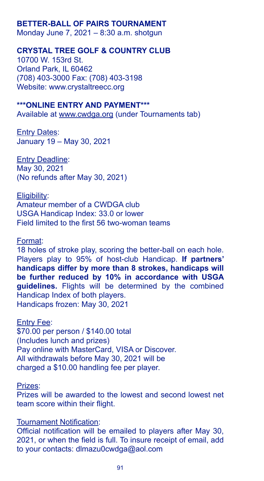## **BETTER-BALL OF PAIRS TOURNAMENT**

Monday June 7, 2021 – 8:30 a.m. shotgun

#### **CRYSTAL TREE GOLF & COUNTRY CLUB**

10700 W. 153rd St. Orland Park, IL 60462 (708) 403-3000 Fax: (708) 403-3198 Website: www.crystaltreecc.org

#### **\*\*\*ONLINE ENTRY AND PAYMENT\*\*\***

Available at www.cwdga.org (under Tournaments tab)

**Entry Dates:** January 19 – May 30, 2021

Entry Deadline: May 30, 2021 (No refunds after May 30, 2021)

Eligibility:

Amateur member of a CWDGA club USGA Handicap Index: 33.0 or lower Field limited to the first 56 two-woman teams

#### Format:

18 holes of stroke play, scoring the better-ball on each hole. Players play to 95% of host-club Handicap. **If partners' handicaps differ by more than 8 strokes, handicaps will be further reduced by 10% in accordance with USGA guidelines.** Flights will be determined by the combined Handicap Index of both players. Handicaps frozen: May 30, 2021

#### Entry Fee:

\$70.00 per person / \$140.00 total (Includes lunch and prizes) Pay online with MasterCard, VISA or Discover. All withdrawals before May 30, 2021 will be charged a \$10.00 handling fee per player.

#### Prizes:

Prizes will be awarded to the lowest and second lowest net team score within their flight.

#### Tournament Notification:

Official notification will be emailed to players after May 30, 2021, or when the field is full. To insure receipt of email, add to your contacts: dlmazu0cwdga@aol.com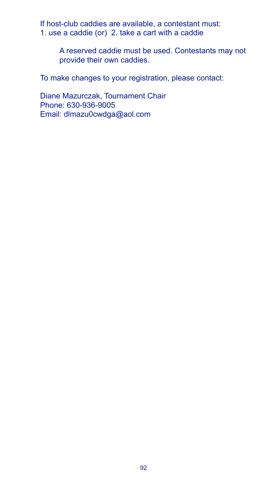If host-club caddies are available, a contestant must: 1. use a caddie (or) 2. take a cart with a caddie

> A reserved caddie must be used. Contestants may not provide their own caddies.

To make changes to your registration, please contact:

Diane Mazurczak, Tournament Chair Phone: 630-936-9005 Email: dlmazu0cwdga@aol.com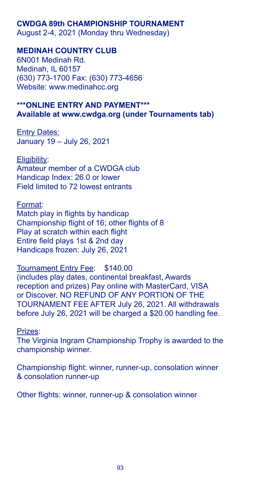#### **CWDGA 89th CHAMPIONSHIP TOURNAMENT**

August 2-4, 2021 (Monday thru Wednesday)

### **MEDINAH COUNTRY CLUB**

6N001 Medinah Rd. Medinah, IL 60157 (630) 773-1700 Fax: (630) 773-4656 Website: www.medinahcc.org

## **\*\*\*ONLINE ENTRY AND PAYMENT\*\*\* Available at www.cwdga.org (under Tournaments tab)**

**Entry Dates:** January 19 – July 26, 2021

Eligibility: Amateur member of a CWDGA club Handicap Index: 26.0 or lower Field limited to 72 lowest entrants

Format: Match play in flights by handicap Championship flight of 16; other flights of 8 Play at scratch within each flight Entire field plays 1st & 2nd day Handicaps frozen: July 26, 2021

Tournament Entry Fee: \$140.00 (includes play dates, continental breakfast, Awards reception and prizes) Pay online with MasterCard, VISA or Discover. NO REFUND OF ANY PORTION OF THE TOURNAMENT FEE AFTER July 26, 2021. All withdrawals before July 26, 2021 will be charged a \$20.00 handling fee.

Prizes:

The Virginia Ingram Championship Trophy is awarded to the championship winner.

Championship flight: winner, runner-up, consolation winner & consolation runner-up

Other flights: winner, runner-up & consolation winner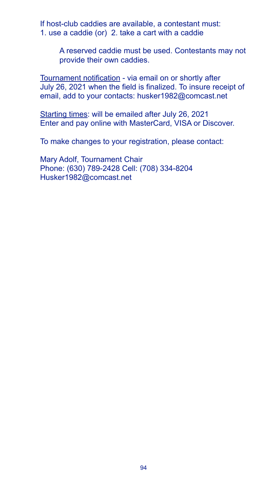If host-club caddies are available, a contestant must: 1. use a caddie (or) 2. take a cart with a caddie

> A reserved caddie must be used. Contestants may not provide their own caddies.

Tournament notification - via email on or shortly after July 26, 2021 when the field is finalized. To insure receipt of email, add to your contacts: husker1982@comcast.net

Starting times: will be emailed after July 26, 2021 Enter and pay online with MasterCard, VISA or Discover.

To make changes to your registration, please contact:

Mary Adolf, Tournament Chair Phone: (630) 789-2428 Cell: (708) 334-8204 Husker1982@comcast.net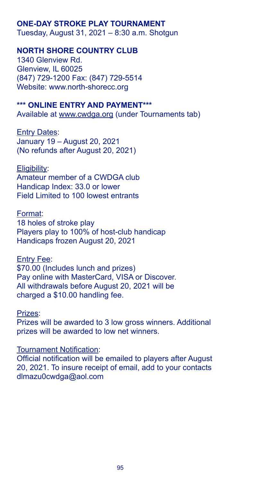# **ONE-DAY STROKE PLAY TOURNAMENT**

Tuesday, August 31, 2021 – 8:30 a.m. Shotgun

# **NORTH SHORE COUNTRY CLUB**

1340 Glenview Rd. Glenview, IL 60025 (847) 729-1200 Fax: (847) 729-5514 Website: www.north-shorecc.org

#### **\*\*\* ONLINE ENTRY AND PAYMENT\*\*\***

Available at www.cwdga.org (under Tournaments tab)

**Entry Dates:** January 19 – August 20, 2021 (No refunds after August 20, 2021)

Eligibility:

Amateur member of a CWDGA club Handicap Index: 33.0 or lower Field Limited to 100 lowest entrants

Format:

18 holes of stroke play Players play to 100% of host-club handicap Handicaps frozen August 20, 2021

Entry Fee:

\$70.00 (Includes lunch and prizes) Pay online with MasterCard, VISA or Discover. All withdrawals before August 20, 2021 will be charged a \$10.00 handling fee.

Prizes:

Prizes will be awarded to 3 low gross winners. Additional prizes will be awarded to low net winners.

#### Tournament Notification:

Official notification will be emailed to players after August 20, 2021. To insure receipt of email, add to your contacts dlmazu0cwdga@aol.com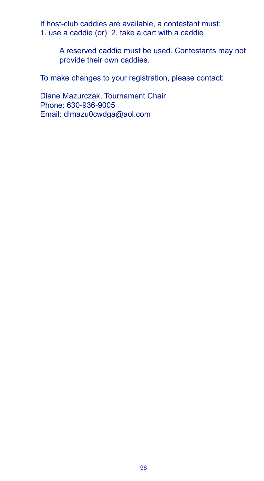If host-club caddies are available, a contestant must: 1. use a caddie (or) 2. take a cart with a caddie

> A reserved caddie must be used. Contestants may not provide their own caddies.

To make changes to your registration, please contact:

Diane Mazurczak, Tournament Chair Phone: 630-936-9005 Email: dlmazu0cwdga@aol.com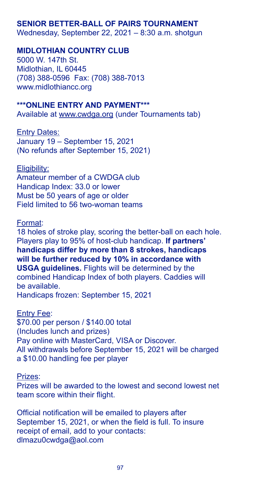# **SENIOR BETTER-BALL OF PAIRS TOURNAMENT**

Wednesday, September 22, 2021 – 8:30 a.m. shotgun

#### **MIDLOTHIAN COUNTRY CLUB**

5000 W. 147th St. Midlothian, IL 60445 (708) 388-0596 Fax: (708) 388-7013 www.midlothiancc.org

#### **\*\*\*ONLINE ENTRY AND PAYMENT\*\*\***

Available at www.cwdga.org (under Tournaments tab)

**Entry Dates:** January 19 – September 15, 2021 (No refunds after September 15, 2021)

#### Eligibility:

Amateur member of a CWDGA club Handicap Index: 33.0 or lower Must be 50 years of age or older Field limited to 56 two-woman teams

#### Format:

18 holes of stroke play, scoring the better-ball on each hole. Players play to 95% of host-club handicap. **If partners' handicaps differ by more than 8 strokes, handicaps will be further reduced by 10% in accordance with USGA guidelines.** Flights will be determined by the combined Handicap Index of both players. Caddies will be available. Handicaps frozen: September 15, 2021

#### Entry Fee:

\$70.00 per person / \$140.00 total (Includes lunch and prizes) Pay online with MasterCard, VISA or Discover. All withdrawals before September 15, 2021 will be charged a \$10.00 handling fee per player

# Prizes:

Prizes will be awarded to the lowest and second lowest net team score within their flight.

Official notification will be emailed to players after September 15, 2021, or when the field is full. To insure receipt of email, add to your contacts: dlmazu0cwdga@aol.com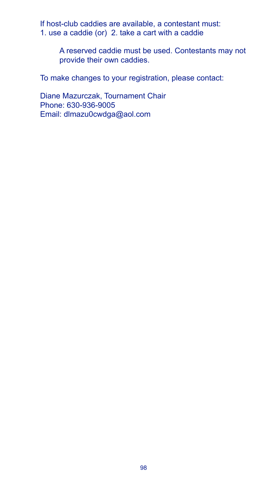If host-club caddies are available, a contestant must: 1. use a caddie (or) 2. take a cart with a caddie

> A reserved caddie must be used. Contestants may not provide their own caddies.

To make changes to your registration, please contact:

Diane Mazurczak, Tournament Chair Phone: 630-936-9005 Email: dlmazu0cwdga@aol.com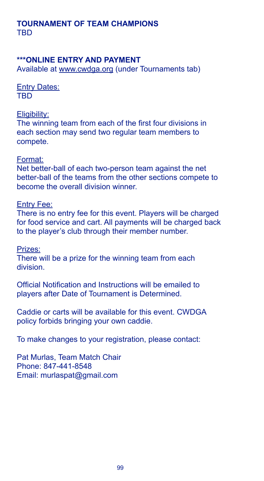### **TOURNAMENT OF TEAM CHAMPIONS** TBD

### **\*\*\*ONLINE ENTRY AND PAYMENT**

Available at www.cwdga.org (under Tournaments tab)

**Entry Dates:** TBD

#### Eligibility:

The winning team from each of the first four divisions in each section may send two regular team members to compete.

#### Format:

Net better-ball of each two-person team against the net better-ball of the teams from the other sections compete to become the overall division winner.

#### Entry Fee:

There is no entry fee for this event. Players will be charged for food service and cart. All payments will be charged back to the player's club through their member number.

Prizes:

There will be a prize for the winning team from each division.

Official Notification and Instructions will be emailed to players after Date of Tournament is Determined.

Caddie or carts will be available for this event. CWDGA policy forbids bringing your own caddie.

To make changes to your registration, please contact:

Pat Murlas, Team Match Chair Phone: 847-441-8548 Email: murlaspat@gmail.com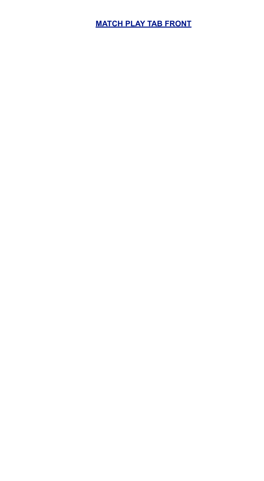# **MATCH PLAY TAB FRONT**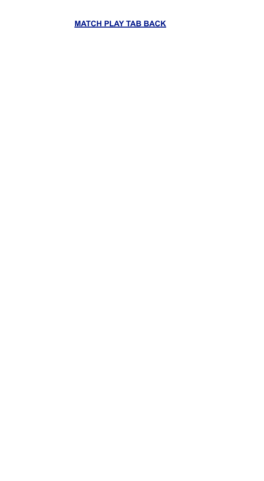# **MATCH PLAY TAB BACK**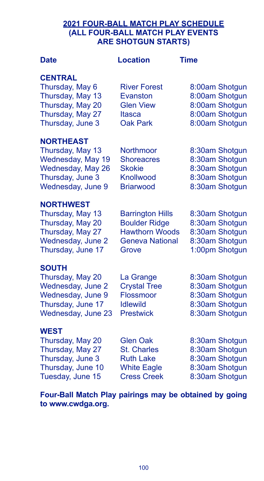# **2021 FOUR-BALL MATCH PLAY SCHEDULE (ALL FOUR-BALL MATCH PLAY EVENTS ARE SHOTGUN STARTS)**

| <b>Date</b>                                                                                                             | <b>Location</b>                                                                                             | <b>Time</b>                                                                            |
|-------------------------------------------------------------------------------------------------------------------------|-------------------------------------------------------------------------------------------------------------|----------------------------------------------------------------------------------------|
| <b>CENTRAL</b><br>Thursday, May 6<br>Thursday, May 13<br>Thursday, May 20<br>Thursday, May 27<br>Thursday, June 3       | <b>River Forest</b><br>Evanston<br><b>Glen View</b><br>Itasca<br><b>Oak Park</b>                            | 8:00am Shotgun<br>8:00am Shotgun<br>8:00am Shotgun<br>8:00am Shotgun<br>8:00am Shotgun |
| <b>NORTHEAST</b><br>Thursday, May 13<br>Wednesday, May 19<br>Wednesday, May 26<br>Thursday, June 3<br>Wednesday, June 9 | Northmoor<br><b>Shoreacres</b><br><b>Skokie</b><br>Knollwood<br><b>Briarwood</b>                            | 8:30am Shotgun<br>8:30am Shotgun<br>8:30am Shotgun<br>8:30am Shotgun<br>8:30am Shotgun |
| <b>NORTHWEST</b><br>Thursday, May 13<br>Thursday, May 20<br>Thursday, May 27<br>Wednesday, June 2<br>Thursday, June 17  | <b>Barrington Hills</b><br><b>Boulder Ridge</b><br><b>Hawthorn Woods</b><br><b>Geneva National</b><br>Grove | 8:30am Shotgun<br>8:30am Shotgun<br>8:30am Shotgun<br>8:30am Shotgun<br>1:00pm Shotgun |
| <b>SOUTH</b><br>Thursday, May 20<br>Wednesday, June 2<br>Wednesday, June 9<br>Thursday, June 17<br>Wednesday, June 23   | La Grange<br><b>Crystal Tree</b><br>Flossmoor<br><b>Idlewild</b><br><b>Prestwick</b>                        | 8:30am Shotgun<br>8:30am Shotgun<br>8:30am Shotgun<br>8:30am Shotgun<br>8:30am Shotgun |
| <b>WEST</b><br>Thursday, May 20<br>Thursday, May 27<br>Thursday, June 3<br>Thursday, June 10<br>Tuesday, June 15        | <b>Glen Oak</b><br><b>St. Charles</b><br><b>Ruth Lake</b><br><b>White Eagle</b><br><b>Cress Creek</b>       | 8:30am Shotgun<br>8:30am Shotgun<br>8:30am Shotgun<br>8:30am Shotgun<br>8:30am Shotgun |

**Four-Ball Match Play pairings may be obtained by going to www.cwdga.org.**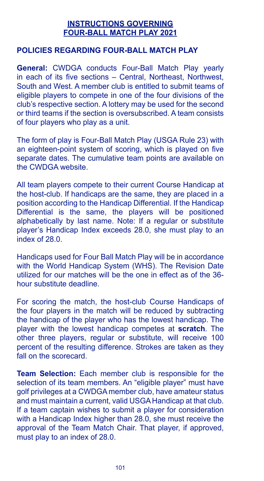### **INSTRUCTIONS GOVERNING FOUR-BALL MATCH PLAY 2021**

### **POLICIES REGARDING FOUR-BALL MATCH PLAY**

**General:** CWDGA conducts Four-Ball Match Play yearly in each of its five sections – Central, Northeast, Northwest, South and West. A member club is entitled to submit teams of eligible players to compete in one of the four divisions of the club's respective section. A lottery may be used for the second or third teams if the section is oversubscribed. A team consists of four players who play as a unit.

The form of play is Four-Ball Match Play (USGA Rule 23) with an eighteen-point system of scoring, which is played on five separate dates. The cumulative team points are available on the CWDGA website.

All team players compete to their current Course Handicap at the host-club. If handicaps are the same, they are placed in a position according to the Handicap Differential. If the Handicap Differential is the same, the players will be positioned alphabetically by last name. Note: If a regular or substitute player's Handicap Index exceeds 28.0, she must play to an index of 28.0.

Handicaps used for Four Ball Match Play will be in accordance with the World Handicap System (WHS). The Revision Date utilized for our matches will be the one in effect as of the 36 hour substitute deadline.

For scoring the match, the host-club Course Handicaps of the four players in the match will be reduced by subtracting the handicap of the player who has the lowest handicap. The player with the lowest handicap competes at **scratch**. The other three players, regular or substitute, will receive 100 percent of the resulting difference. Strokes are taken as they fall on the scorecard.

**Team Selection:** Each member club is responsible for the selection of its team members. An "eligible player" must have golf privileges at a CWDGA member club, have amateur status and must maintain a current, valid USGA Handicap at that club. If a team captain wishes to submit a player for consideration with a Handicap Index higher than 28.0, she must receive the approval of the Team Match Chair. That player, if approved, must play to an index of 28.0.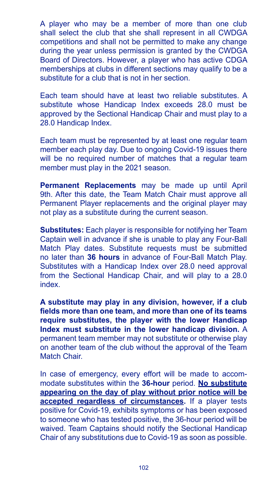A player who may be a member of more than one club shall select the club that she shall represent in all CWDGA competitions and shall not be permitted to make any change during the year unless permission is granted by the CWDGA Board of Directors. However, a player who has active CDGA memberships at clubs in different sections may qualify to be a substitute for a club that is not in her section.

Each team should have at least two reliable substitutes. A substitute whose Handicap Index exceeds 28.0 must be approved by the Sectional Handicap Chair and must play to a 28.0 Handicap Index.

Each team must be represented by at least one regular team member each play day. Due to ongoing Covid-19 issues there will be no required number of matches that a requiar team member must play in the 2021 season.

**Permanent Replacements** may be made up until April 9th. After this date, the Team Match Chair must approve all Permanent Player replacements and the original player may not play as a substitute during the current season.

**Substitutes:** Each player is responsible for notifying her Team Captain well in advance if she is unable to play any Four-Ball Match Play dates. Substitute requests must be submitted no later than **36 hours** in advance of Four-Ball Match Play. Substitutes with a Handicap Index over 28.0 need approval from the Sectional Handicap Chair, and will play to a 28.0 index.

**A substitute may play in any division, however, if a club fields more than one team, and more than one of its teams require substitutes, the player with the lower Handicap Index must substitute in the lower handicap division.** A permanent team member may not substitute or otherwise play on another team of the club without the approval of the Team Match Chair.

In case of emergency, every effort will be made to accommodate substitutes within the **36-hour** period. **No substitute appearing on the day of play without prior notice will be accepted regardless of circumstances.** If a player tests positive for Covid-19, exhibits symptoms or has been exposed to someone who has tested positive, the 36-hour period will be waived. Team Captains should notify the Sectional Handicap Chair of any substitutions due to Covid-19 as soon as possible.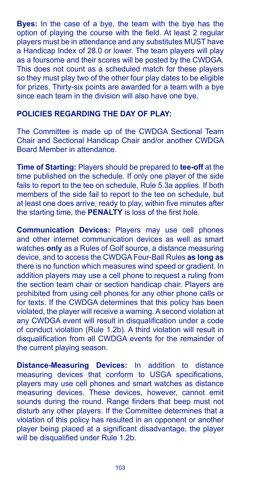**Byes:** In the case of a bye, the team with the bye has the option of playing the course with the field. At least 2 regular players must be in attendance and any substitutes MUST have a Handicap Index of 28.0 or lower. The team players will play as a foursome and their scores will be posted by the CWDGA. This does not count as a scheduled match for these players so they must play two of the other four play dates to be eligible for prizes. Thirty-six points are awarded for a team with a bye since each team in the division will also have one bye.

# **POLICIES REGARDING THE DAY OF PLAY:**

The Committee is made up of the CWDGA Sectional Team Chair and Sectional Handicap Chair and/or another CWDGA Board Member in attendance.

**Time of Starting:** Players should be prepared to **tee-off** at the time published on the schedule. If only one player of the side fails to report to the tee on schedule, Rule 5.3a applies. If both members of the side fail to report to the tee on schedule, but at least one does arrive, ready to play, within five minutes after the starting time, the **PENALTY** is loss of the first hole.

**Communication Devices:** Players may use cell phones and other internet communication devices as well as smart watches **only** as a Rules of Golf source, a distance measuring device, and to access the CWDGA Four-Ball Rules **as long as**  there is no function which measures wind speed or gradient. In addition players may use a cell phone to request a ruling from the section team chair or section handicap chair. Players are prohibited from using cell phones for any other phone calls or for texts. If the CWDGA determines that this policy has been violated, the player will receive a warning. A second violation at any CWDGA event will result in disqualification under a code of conduct violation (Rule 1.2b). A third violation will result in disqualification from all CWDGA events for the remainder of the current playing season.

**Distance-Measuring Devices:** In addition to distance measuring devices that conform to USGA specifications, players may use cell phones and smart watches as distance measuring devices. These devices, however, cannot emit sounds during the round. Range finders that beep must not disturb any other players. If the Committee determines that a violation of this policy has resulted in an opponent or another player being placed at a significant disadvantage, the player will be disqualified under Rule 1.2b.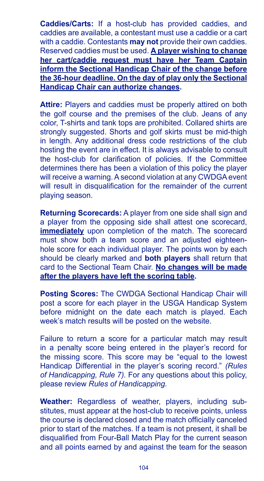**Caddies/Carts:** If a host-club has provided caddies, and caddies are available, a contestant must use a caddie or a cart with a caddie. Contestants **may not** provide their own caddies. Reserved caddies must be used. **A player wishing to change her cart/caddie request must have her Team Captain inform the Sectional Handicap Chair of the change before the 36-hour deadline. On the day of play only the Sectional Handicap Chair can authorize changes.**

**Attire:** Players and caddies must be properly attired on both the golf course and the premises of the club. Jeans of any color, T-shirts and tank tops are prohibited. Collared shirts are strongly suggested. Shorts and golf skirts must be mid-thigh in length. Any additional dress code restrictions of the club hosting the event are in effect. It is always advisable to consult the host-club for clarification of policies. If the Committee determines there has been a violation of this policy the player will receive a warning. A second violation at any CWDGA event will result in disqualification for the remainder of the current playing season.

**Returning Scorecards:** A player from one side shall sign and a player from the opposing side shall attest one scorecard, **immediately** upon completion of the match. The scorecard must show both a team score and an adjusted eighteenhole score for each individual player. The points won by each should be clearly marked and **both players** shall return that card to the Sectional Team Chair. **No changes will be made after the players have left the scoring table.**

**Posting Scores:** The CWDGA Sectional Handicap Chair will post a score for each player in the USGA Handicap System before midnight on the date each match is played. Each week's match results will be posted on the website.

Failure to return a score for a particular match may result in a penalty score being entered in the player's record for the missing score. This score may be "equal to the lowest Handicap Differential in the player's scoring record." *(Rules of Handicapping, Rule 7).* For any questions about this policy, please review *Rules of Handicapping.*

**Weather:** Regardless of weather, players, including substitutes, must appear at the host-club to receive points, unless the course is declared closed and the match officially canceled prior to start of the matches. If a team is not present, it shall be disqualified from Four-Ball Match Play for the current season and all points earned by and against the team for the season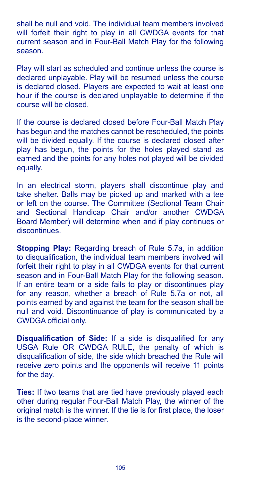shall be null and void. The individual team members involved will forfeit their right to play in all CWDGA events for that current season and in Four-Ball Match Play for the following season.

Play will start as scheduled and continue unless the course is declared unplayable. Play will be resumed unless the course is declared closed. Players are expected to wait at least one hour if the course is declared unplayable to determine if the course will be closed.

If the course is declared closed before Four-Ball Match Play has begun and the matches cannot be rescheduled, the points will be divided equally. If the course is declared closed after play has begun, the points for the holes played stand as earned and the points for any holes not played will be divided equally.

In an electrical storm, players shall discontinue play and take shelter. Balls may be picked up and marked with a tee or left on the course. The Committee (Sectional Team Chair and Sectional Handicap Chair and/or another CWDGA Board Member) will determine when and if play continues or discontinues.

**Stopping Play:** Regarding breach of Rule 5.7a, in addition to disqualification, the individual team members involved will forfeit their right to play in all CWDGA events for that current season and in Four-Ball Match Play for the following season. If an entire team or a side fails to play or discontinues play for any reason, whether a breach of Rule 5.7a or not, all points earned by and against the team for the season shall be null and void. Discontinuance of play is communicated by a CWDGA official only.

**Disqualification of Side:** If a side is disqualified for any USGA Rule OR CWDGA RULE, the penalty of which is disqualification of side, the side which breached the Rule will receive zero points and the opponents will receive 11 points for the day.

**Ties:** If two teams that are tied have previously played each other during regular Four-Ball Match Play, the winner of the original match is the winner. If the tie is for first place, the loser is the second-place winner.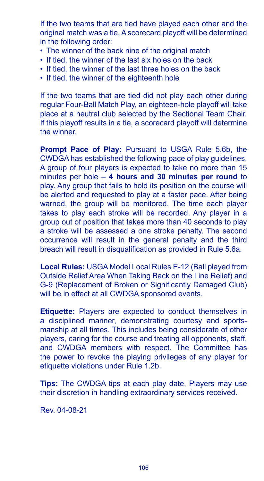If the two teams that are tied have played each other and the original match was a tie, A scorecard playoff will be determined in the following order:

- The winner of the back nine of the original match
- If tied, the winner of the last six holes on the back
- If tied, the winner of the last three holes on the back
- If tied, the winner of the eighteenth hole

If the two teams that are tied did not play each other during regular Four-Ball Match Play, an eighteen-hole playoff will take place at a neutral club selected by the Sectional Team Chair. If this playoff results in a tie, a scorecard playoff will determine the winner.

**Prompt Pace of Play:** Pursuant to USGA Rule 5.6b, the CWDGA has established the following pace of play guidelines. A group of four players is expected to take no more than 15 minutes per hole – **4 hours and 30 minutes per round** to play. Any group that fails to hold its position on the course will be alerted and requested to play at a faster pace. After being warned, the group will be monitored. The time each player takes to play each stroke will be recorded. Any player in a group out of position that takes more than 40 seconds to play a stroke will be assessed a one stroke penalty. The second occurrence will result in the general penalty and the third breach will result in disqualification as provided in Rule 5.6a.

**Local Rules:** USGA Model Local Rules E-12 (Ball played from Outside Relief Area When Taking Back on the Line Relief) and G-9 (Replacement of Broken or Significantly Damaged Club) will be in effect at all CWDGA sponsored events.

**Etiquette:** Players are expected to conduct themselves in a disciplined manner, demonstrating courtesy and sportsmanship at all times. This includes being considerate of other players, caring for the course and treating all opponents, staff, and CWDGA members with respect. The Committee has the power to revoke the playing privileges of any player for etiquette violations under Rule 1.2b.

**Tips:** The CWDGA tips at each play date. Players may use their discretion in handling extraordinary services received.

Rev. 04-08-21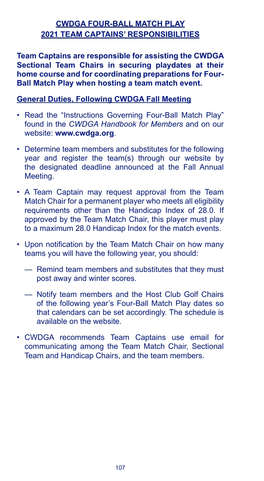# **CWDGA FOUR-BALL MATCH PLAY 2021 TEAM CAPTAINS' RESPONSIBILITIES**

**Team Captains are responsible for assisting the CWDGA Sectional Team Chairs in securing playdates at their home course and for coordinating preparations for Four-Ball Match Play when hosting a team match event.**

### **General Duties, Following CWDGA Fall Meeting**

- Read the "Instructions Governing Four-Ball Match Play" found in the *CWDGA Handbook for Members* and on our website: **www.cwdga.org**.
- Determine team members and substitutes for the following year and register the team(s) through our website by the designated deadline announced at the Fall Annual Meeting.
- A Team Captain may request approval from the Team Match Chair for a permanent player who meets all eligibility requirements other than the Handicap Index of 28.0. If approved by the Team Match Chair, this player must play to a maximum 28.0 Handicap Index for the match events.
- Upon notification by the Team Match Chair on how many teams you will have the following year, you should:
	- Remind team members and substitutes that they must post away and winter scores.
	- Notify team members and the Host Club Golf Chairs of the following year's Four-Ball Match Play dates so that calendars can be set accordingly. The schedule is available on the website.
- CWDGA recommends Team Captains use email for communicating among the Team Match Chair, Sectional Team and Handicap Chairs, and the team members.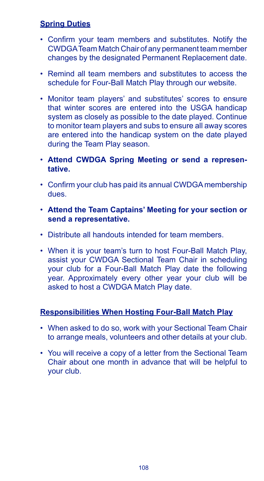# **Spring Duties**

- Confirm your team members and substitutes. Notify the CWDGA Team Match Chair of any permanent team member changes by the designated Permanent Replacement date.
- Remind all team members and substitutes to access the schedule for Four-Ball Match Play through our website.
- Monitor team players' and substitutes' scores to ensure that winter scores are entered into the USGA handicap system as closely as possible to the date played. Continue to monitor team players and subs to ensure all away scores are entered into the handicap system on the date played during the Team Play season.
- **Attend CWDGA Spring Meeting or send a representative.**
- Confirm your club has paid its annual CWDGA membership dues.
- **Attend the Team Captains' Meeting for your section or send a representative.**
- Distribute all handouts intended for team members.
- When it is your team's turn to host Four-Ball Match Play, assist your CWDGA Sectional Team Chair in scheduling your club for a Four-Ball Match Play date the following year. Approximately every other year your club will be asked to host a CWDGA Match Play date.

# **Responsibilities When Hosting Four-Ball Match Play**

- When asked to do so, work with your Sectional Team Chair to arrange meals, volunteers and other details at your club.
- You will receive a copy of a letter from the Sectional Team Chair about one month in advance that will be helpful to your club.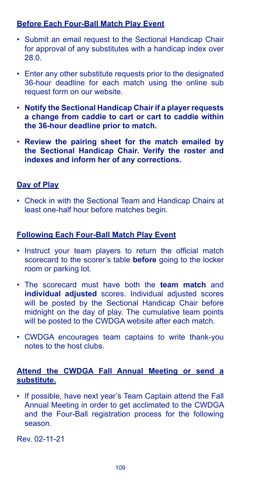# **Before Each Four-Ball Match Play Event**

- Submit an email request to the Sectional Handicap Chair for approval of any substitutes with a handicap index over 28.0.
- Enter any other substitute requests prior to the designated 36-hour deadline for each match using the online sub request form on our website.
- **Notify the Sectional Handicap Chair if a player requests a change from caddie to cart or cart to caddie within the 36-hour deadline prior to match.**
- **Review the pairing sheet for the match emailed by the Sectional Handicap Chair. Verify the roster and indexes and inform her of any corrections.**

# **Day of Play**

• Check in with the Sectional Team and Handicap Chairs at least one-half hour before matches begin.

# **Following Each Four-Ball Match Play Event**

- Instruct your team players to return the official match scorecard to the scorer's table **before** going to the locker room or parking lot.
- The scorecard must have both the **team match** and **individual adjusted** scores. Individual adjusted scores will be posted by the Sectional Handicap Chair before midnight on the day of play. The cumulative team points will be posted to the CWDGA website after each match.
- CWDGA encourages team captains to write thank-you notes to the host clubs.

# **Attend the CWDGA Fall Annual Meeting or send a substitute.**

• If possible, have next year's Team Captain attend the Fall Annual Meeting in order to get acclimated to the CWDGA and the Four-Ball registration process for the following season.

Rev. 02-11-21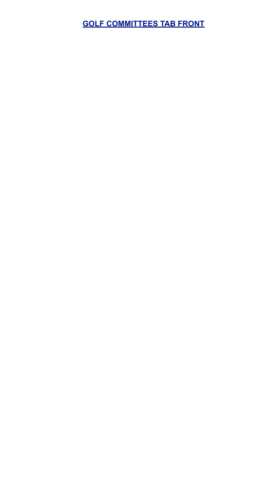**GOLF COMMITTEES TAB FRONT**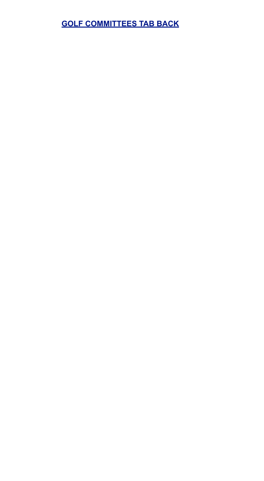# **GOLF COMMITTEES TAB BACK**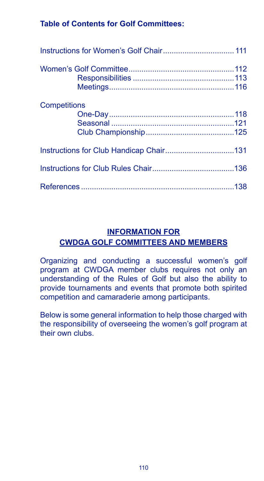# **Table of Contents for Golf Committees:**

| <b>Competitions</b> |  |
|---------------------|--|
|                     |  |
|                     |  |
|                     |  |
|                     |  |

# **INFORMATION FOR CWDGA GOLF COMMITTEES AND MEMBERS**

Organizing and conducting a successful women's golf program at CWDGA member clubs requires not only an understanding of the Rules of Golf but also the ability to provide tournaments and events that promote both spirited competition and camaraderie among participants.

Below is some general information to help those charged with the responsibility of overseeing the women's golf program at their own clubs.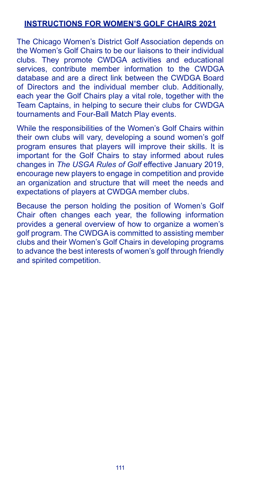# **INSTRUCTIONS FOR WOMEN'S GOLF CHAIRS 2021**

The Chicago Women's District Golf Association depends on the Women's Golf Chairs to be our liaisons to their individual clubs. They promote CWDGA activities and educational services, contribute member information to the CWDGA database and are a direct link between the CWDGA Board of Directors and the individual member club. Additionally, each year the Golf Chairs play a vital role, together with the Team Captains, in helping to secure their clubs for CWDGA tournaments and Four-Ball Match Play events.

While the responsibilities of the Women's Golf Chairs within their own clubs will vary, developing a sound women's golf program ensures that players will improve their skills. It is important for the Golf Chairs to stay informed about rules changes in *The USGA Rules of Golf* effective January 2019, encourage new players to engage in competition and provide an organization and structure that will meet the needs and expectations of players at CWDGA member clubs.

Because the person holding the position of Women's Golf Chair often changes each year, the following information provides a general overview of how to organize a women's golf program. The CWDGA is committed to assisting member clubs and their Women's Golf Chairs in developing programs to advance the best interests of women's golf through friendly and spirited competition.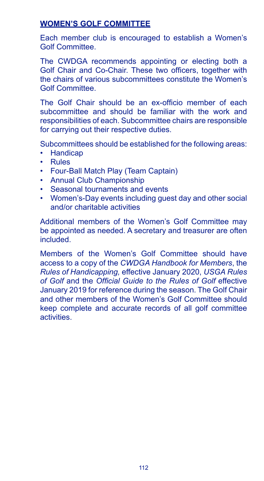# **WOMEN'S GOLF COMMITTEE**

Each member club is encouraged to establish a Women's Golf Committee.

The CWDGA recommends appointing or electing both a Golf Chair and Co-Chair. These two officers, together with the chairs of various subcommittees constitute the Women's Golf Committee.

The Golf Chair should be an ex-officio member of each subcommittee and should be familiar with the work and responsibilities of each. Subcommittee chairs are responsible for carrying out their respective duties.

Subcommittees should be established for the following areas:

- Handicap
- Rules
- Four-Ball Match Play (Team Captain)
- Annual Club Championship
- Seasonal tournaments and events
- Women's-Day events including guest day and other social and/or charitable activities

Additional members of the Women's Golf Committee may be appointed as needed. A secretary and treasurer are often included.

Members of the Women's Golf Committee should have access to a copy of the *CWDGA Handbook for Members*, the *Rules of Handicapping,* effective January 2020, *USGA Rules of Golf* and the *Official Guide to the Rules of Golf* effective January 2019 for reference during the season. The Golf Chair and other members of the Women's Golf Committee should keep complete and accurate records of all golf committee activities.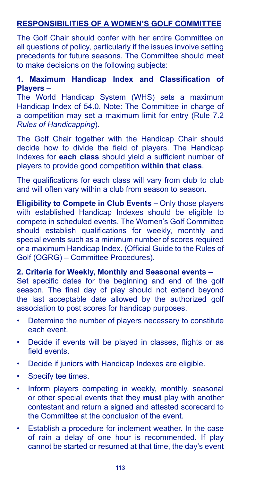# **RESPONSIBILITIES OF A WOMEN'S GOLF COMMITTEE**

The Golf Chair should confer with her entire Committee on all questions of policy, particularly if the issues involve setting precedents for future seasons. The Committee should meet to make decisions on the following subjects:

# **1. Maximum Handicap Index and Classification of Players –**

The World Handicap System (WHS) sets a maximum Handicap Index of 54.0. Note: The Committee in charge of a competition may set a maximum limit for entry (Rule 7.2 *Rules of Handicapping*).

The Golf Chair together with the Handicap Chair should decide how to divide the field of players. The Handicap Indexes for **each class** should yield a sufficient number of players to provide good competition **within that class**.

The qualifications for each class will vary from club to club and will often vary within a club from season to season.

**Eligibility to Compete in Club Events –** Only those players with established Handicap Indexes should be eligible to compete in scheduled events. The Women's Golf Committee should establish qualifications for weekly, monthly and special events such as a minimum number of scores required or a maximum Handicap Index. (Official Guide to the Rules of Golf (OGRG) – Committee Procedures).

#### **2. Criteria for Weekly, Monthly and Seasonal events –**

Set specific dates for the beginning and end of the golf season. The final day of play should not extend beyond the last acceptable date allowed by the authorized golf association to post scores for handicap purposes.

- Determine the number of players necessary to constitute each event.
- Decide if events will be played in classes, flights or as field events.
- Decide if juniors with Handicap Indexes are eligible.
- Specify tee times.
- Inform players competing in weekly, monthly, seasonal or other special events that they **must** play with another contestant and return a signed and attested scorecard to the Committee at the conclusion of the event.
- Establish a procedure for inclement weather. In the case of rain a delay of one hour is recommended. If play cannot be started or resumed at that time, the day's event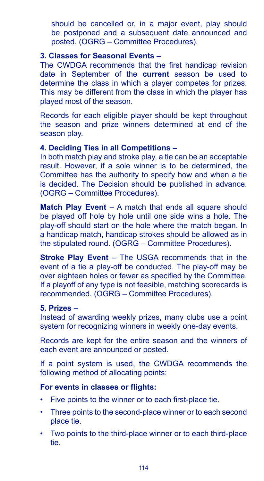should be cancelled or, in a major event, play should be postponed and a subsequent date announced and posted. (OGRG – Committee Procedures).

#### **3. Classes for Seasonal Events –**

The CWDGA recommends that the first handicap revision date in September of the **current** season be used to determine the class in which a player competes for prizes. This may be different from the class in which the player has played most of the season.

Records for each eligible player should be kept throughout the season and prize winners determined at end of the season play.

### **4. Deciding Ties in all Competitions –**

In both match play and stroke play, a tie can be an acceptable result. However, if a sole winner is to be determined, the Committee has the authority to specify how and when a tie is decided. The Decision should be published in advance. (OGRG – Committee Procedures).

**Match Play Event** – A match that ends all square should be played off hole by hole until one side wins a hole. The play-off should start on the hole where the match began. In a handicap match, handicap strokes should be allowed as in the stipulated round. (OGRG – Committee Procedures).

**Stroke Play Event** – The USGA recommends that in the event of a tie a play-off be conducted. The play-off may be over eighteen holes or fewer as specified by the Committee. If a playoff of any type is not feasible, matching scorecards is recommended. (OGRG – Committee Procedures).

### **5. Prizes –**

Instead of awarding weekly prizes, many clubs use a point system for recognizing winners in weekly one-day events.

Records are kept for the entire season and the winners of each event are announced or posted.

If a point system is used, the CWDGA recommends the following method of allocating points:

### **For events in classes or flights:**

- Five points to the winner or to each first-place tie.
- Three points to the second-place winner or to each second place tie.
- Two points to the third-place winner or to each third-place tie.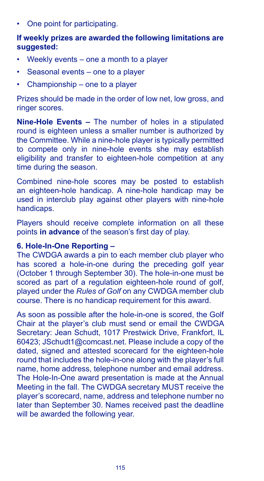One point for participating.

# **If weekly prizes are awarded the following limitations are suggested:**

- Weekly events one a month to a player
- Seasonal events one to a player
- Championship one to a player

Prizes should be made in the order of low net, low gross, and ringer scores.

**Nine-Hole Events –** The number of holes in a stipulated round is eighteen unless a smaller number is authorized by the Committee. While a nine-hole player is typically permitted to compete only in nine-hole events she may establish eligibility and transfer to eighteen-hole competition at any time during the season.

Combined nine-hole scores may be posted to establish an eighteen-hole handicap. A nine-hole handicap may be used in interclub play against other players with nine-hole handicaps.

Players should receive complete information on all these points **in advance** of the season's first day of play.

#### **6. Hole-In-One Reporting –**

The CWDGA awards a pin to each member club player who has scored a hole-in-one during the preceding golf year (October 1 through September 30). The hole-in-one must be scored as part of a regulation eighteen-hole round of golf, played under the *Rules of Golf* on any CWDGA member club course. There is no handicap requirement for this award.

As soon as possible after the hole-in-one is scored, the Golf Chair at the player's club must send or email the CWDGA Secretary: Jean Schudt, 1017 Prestwick Drive, Frankfort, IL 60423; JSchudt1@comcast.net. Please include a copy of the dated, signed and attested scorecard for the eighteen-hole round that includes the hole-in-one along with the player's full name, home address, telephone number and email address. The Hole-In-One award presentation is made at the Annual Meeting in the fall. The CWDGA secretary MUST receive the player's scorecard, name, address and telephone number no later than September 30. Names received past the deadline will be awarded the following year.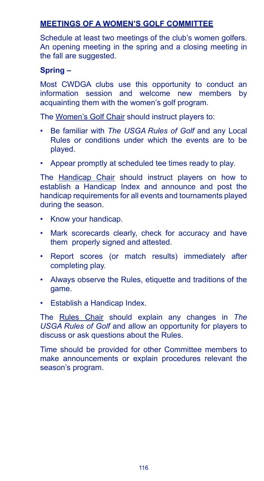# **MEETINGS OF A WOMEN'S GOLF COMMITTEE**

Schedule at least two meetings of the club's women golfers. An opening meeting in the spring and a closing meeting in the fall are suggested.

# **Spring –**

Most CWDGA clubs use this opportunity to conduct an information session and welcome new members by acquainting them with the women's golf program.

The Women's Golf Chair should instruct players to:

- Be familiar with *The USGA Rules of Golf* and any Local Rules or conditions under which the events are to be played.
- Appear promptly at scheduled tee times ready to play.

The Handicap Chair should instruct players on how to establish a Handicap Index and announce and post the handicap requirements for all events and tournaments played during the season.

- Know your handicap.
- Mark scorecards clearly, check for accuracy and have them properly signed and attested.
- Report scores (or match results) immediately after completing play.
- Always observe the Rules, etiquette and traditions of the game.
- Establish a Handicap Index.

The Rules Chair should explain any changes in *The USGA Rules of Golf* and allow an opportunity for players to discuss or ask questions about the Rules.

Time should be provided for other Committee members to make announcements or explain procedures relevant the season's program.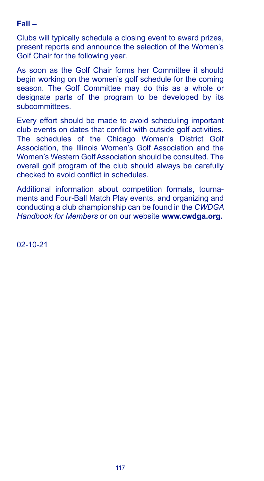# **Fall –**

Clubs will typically schedule a closing event to award prizes, present reports and announce the selection of the Women's Golf Chair for the following year.

As soon as the Golf Chair forms her Committee it should begin working on the women's golf schedule for the coming season. The Golf Committee may do this as a whole or designate parts of the program to be developed by its subcommittees.

Every effort should be made to avoid scheduling important club events on dates that conflict with outside golf activities. The schedules of the Chicago Women's District Golf Association, the Illinois Women's Golf Association and the Women's Western Golf Association should be consulted. The overall golf program of the club should always be carefully checked to avoid conflict in schedules.

Additional information about competition formats, tournaments and Four-Ball Match Play events, and organizing and conducting a club championship can be found in the *CWDGA Handbook for Members* or on our website **www.cwdga.org.**

02-10-21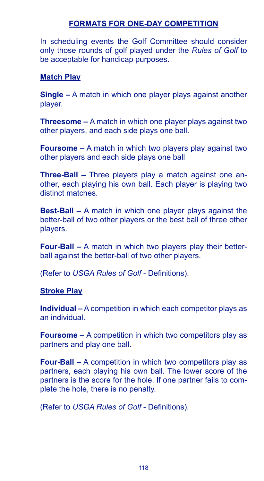# **FORMATS FOR ONE-DAY COMPETITION**

In scheduling events the Golf Committee should consider only those rounds of golf played under the *Rules of Golf* to be acceptable for handicap purposes.

### **Match Play**

**Single –** A match in which one player plays against another player.

**Threesome –** A match in which one player plays against two other players, and each side plays one ball.

**Foursome –** A match in which two players play against two other players and each side plays one ball

**Three-Ball –** Three players play a match against one another, each playing his own ball. Each player is playing two distinct matches.

**Best-Ball –** A match in which one player plays against the better-ball of two other players or the best ball of three other players.

**Four-Ball –** A match in which two players play their betterball against the better-ball of two other players.

(Refer to *USGA Rules of Golf* - Definitions).

### **Stroke Play**

**Individual –** A competition in which each competitor plays as an individual.

**Foursome –** A competition in which two competitors play as partners and play one ball.

**Four-Ball –** A competition in which two competitors play as partners, each playing his own ball. The lower score of the partners is the score for the hole. If one partner fails to complete the hole, there is no penalty.

(Refer to *USGA Rules of Golf* - Definitions).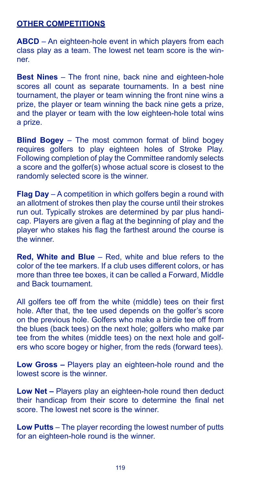# **OTHER COMPETITIONS**

**ABCD** – An eighteen-hole event in which players from each class play as a team. The lowest net team score is the winner.

**Best Nines** – The front nine, back nine and eighteen-hole scores all count as separate tournaments. In a best nine tournament, the player or team winning the front nine wins a prize, the player or team winning the back nine gets a prize, and the player or team with the low eighteen-hole total wins a prize.

**Blind Bogey** – The most common format of blind bogey requires golfers to play eighteen holes of Stroke Play. Following completion of play the Committee randomly selects a score and the golfer(s) whose actual score is closest to the randomly selected score is the winner.

**Flag Day** – A competition in which golfers begin a round with an allotment of strokes then play the course until their strokes run out. Typically strokes are determined by par plus handicap. Players are given a flag at the beginning of play and the player who stakes his flag the farthest around the course is the winner.

**Red, White and Blue** – Red, white and blue refers to the color of the tee markers. If a club uses different colors, or has more than three tee boxes, it can be called a Forward, Middle and Back tournament.

All golfers tee off from the white (middle) tees on their first hole. After that, the tee used depends on the golfer's score on the previous hole. Golfers who make a birdie tee off from the blues (back tees) on the next hole; golfers who make par tee from the whites (middle tees) on the next hole and golfers who score bogey or higher, from the reds (forward tees).

**Low Gross –** Players play an eighteen-hole round and the lowest score is the winner.

**Low Net –** Players play an eighteen-hole round then deduct their handicap from their score to determine the final net score. The lowest net score is the winner.

**Low Putts** – The player recording the lowest number of putts for an eighteen-hole round is the winner.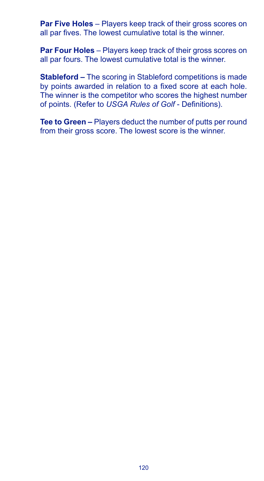**Par Five Holes** – Players keep track of their gross scores on all par fives. The lowest cumulative total is the winner.

**Par Four Holes** – Players keep track of their gross scores on all par fours. The lowest cumulative total is the winner.

**Stableford –** The scoring in Stableford competitions is made by points awarded in relation to a fixed score at each hole. The winner is the competitor who scores the highest number of points. (Refer to *USGA Rules of Golf* - Definitions).

**Tee to Green –** Players deduct the number of putts per round from their gross score. The lowest score is the winner.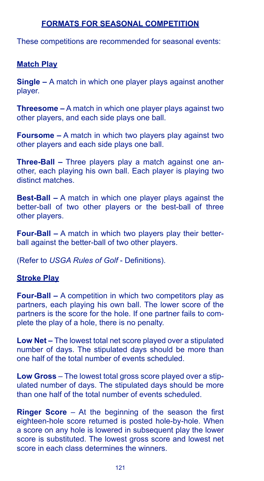# **FORMATS FOR SEASONAL COMPETITION**

These competitions are recommended for seasonal events:

#### **Match Play**

**Single –** A match in which one player plays against another player.

**Threesome –** A match in which one player plays against two other players, and each side plays one ball.

**Foursome –** A match in which two players play against two other players and each side plays one ball.

**Three-Ball –** Three players play a match against one another, each playing his own ball. Each player is playing two distinct matches.

**Best-Ball –** A match in which one player plays against the better-ball of two other players or the best-ball of three other players.

**Four-Ball –** A match in which two players play their betterball against the better-ball of two other players.

(Refer to *USGA Rules of Golf* - Definitions).

#### **Stroke Play**

**Four-Ball –** A competition in which two competitors play as partners, each playing his own ball. The lower score of the partners is the score for the hole. If one partner fails to complete the play of a hole, there is no penalty.

**Low Net –** The lowest total net score played over a stipulated number of days. The stipulated days should be more than one half of the total number of events scheduled.

**Low Gross** – The lowest total gross score played over a stipulated number of days. The stipulated days should be more than one half of the total number of events scheduled.

**Ringer Score** – At the beginning of the season the first eighteen-hole score returned is posted hole-by-hole. When a score on any hole is lowered in subsequent play the lower score is substituted. The lowest gross score and lowest net score in each class determines the winners.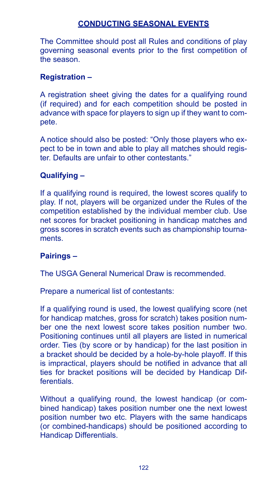# **CONDUCTING SEASONAL EVENTS**

The Committee should post all Rules and conditions of play governing seasonal events prior to the first competition of the season.

#### **Registration –**

A registration sheet giving the dates for a qualifying round (if required) and for each competition should be posted in advance with space for players to sign up if they want to compete.

A notice should also be posted: "Only those players who expect to be in town and able to play all matches should register. Defaults are unfair to other contestants."

# **Qualifying –**

If a qualifying round is required, the lowest scores qualify to play. If not, players will be organized under the Rules of the competition established by the individual member club. Use net scores for bracket positioning in handicap matches and gross scores in scratch events such as championship tournaments.

### **Pairings –**

The USGA General Numerical Draw is recommended.

Prepare a numerical list of contestants:

If a qualifying round is used, the lowest qualifying score (net for handicap matches, gross for scratch) takes position number one the next lowest score takes position number two. Positioning continues until all players are listed in numerical order. Ties (by score or by handicap) for the last position in a bracket should be decided by a hole-by-hole playoff. If this is impractical, players should be notified in advance that all ties for bracket positions will be decided by Handicap Differentials.

Without a qualifying round, the lowest handicap (or combined handicap) takes position number one the next lowest position number two etc. Players with the same handicaps (or combined-handicaps) should be positioned according to Handicap Differentials.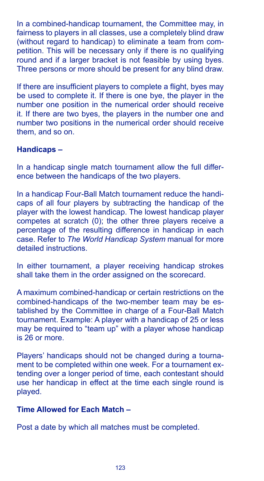In a combined-handicap tournament, the Committee may, in fairness to players in all classes, use a completely blind draw (without regard to handicap) to eliminate a team from competition. This will be necessary only if there is no qualifying round and if a larger bracket is not feasible by using byes. Three persons or more should be present for any blind draw.

If there are insufficient players to complete a flight, byes may be used to complete it. If there is one bye, the player in the number one position in the numerical order should receive it. If there are two byes, the players in the number one and number two positions in the numerical order should receive them, and so on.

### **Handicaps –**

In a handicap single match tournament allow the full difference between the handicaps of the two players.

In a handicap Four-Ball Match tournament reduce the handicaps of all four players by subtracting the handicap of the player with the lowest handicap. The lowest handicap player competes at scratch (0); the other three players receive a percentage of the resulting difference in handicap in each case. Refer to *The World Handicap System* manual for more detailed instructions.

In either tournament, a player receiving handicap strokes shall take them in the order assigned on the scorecard.

A maximum combined-handicap or certain restrictions on the combined-handicaps of the two-member team may be established by the Committee in charge of a Four-Ball Match tournament. Example: A player with a handicap of 25 or less may be required to "team up" with a player whose handicap is 26 or more.

Players' handicaps should not be changed during a tournament to be completed within one week. For a tournament extending over a longer period of time, each contestant should use her handicap in effect at the time each single round is played.

# **Time Allowed for Each Match –**

Post a date by which all matches must be completed.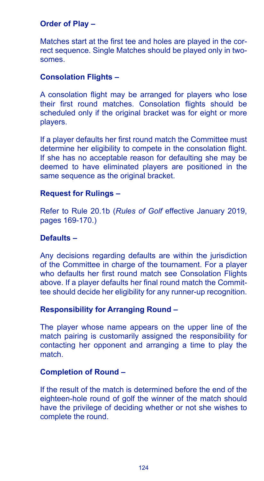# **Order of Play –**

Matches start at the first tee and holes are played in the correct sequence. Single Matches should be played only in twosomes.

# **Consolation Flights –**

A consolation flight may be arranged for players who lose their first round matches. Consolation flights should be scheduled only if the original bracket was for eight or more players.

If a player defaults her first round match the Committee must determine her eligibility to compete in the consolation flight. If she has no acceptable reason for defaulting she may be deemed to have eliminated players are positioned in the same sequence as the original bracket.

### **Request for Rulings –**

Refer to Rule 20.1b (*Rules of Golf* effective January 2019, pages 169-170.)

# **Defaults –**

Any decisions regarding defaults are within the jurisdiction of the Committee in charge of the tournament. For a player who defaults her first round match see Consolation Flights above. If a player defaults her final round match the Committee should decide her eligibility for any runner-up recognition.

### **Responsibility for Arranging Round –**

The player whose name appears on the upper line of the match pairing is customarily assigned the responsibility for contacting her opponent and arranging a time to play the match.

### **Completion of Round –**

If the result of the match is determined before the end of the eighteen-hole round of golf the winner of the match should have the privilege of deciding whether or not she wishes to complete the round.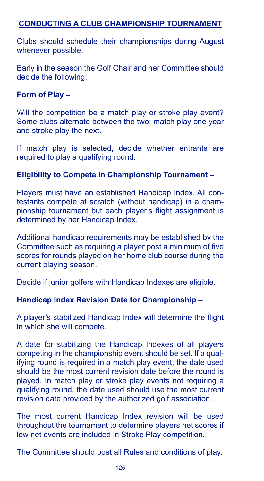# **CONDUCTING A CLUB CHAMPIONSHIP TOURNAMENT**

Clubs should schedule their championships during August whenever possible.

Early in the season the Golf Chair and her Committee should decide the following:

### **Form of Play –**

Will the competition be a match play or stroke play event? Some clubs alternate between the two: match play one year and stroke play the next.

If match play is selected, decide whether entrants are required to play a qualifying round.

# **Eligibility to Compete in Championship Tournament –**

Players must have an established Handicap Index. All contestants compete at scratch (without handicap) in a championship tournament but each player's flight assignment is determined by her Handicap Index.

Additional handicap requirements may be established by the Committee such as requiring a player post a minimum of five scores for rounds played on her home club course during the current playing season.

Decide if junior golfers with Handicap Indexes are eligible.

### **Handicap Index Revision Date for Championship –**

A player's stabilized Handicap Index will determine the flight in which she will compete.

A date for stabilizing the Handicap Indexes of all players competing in the championship event should be set. If a qualifying round is required in a match play event, the date used should be the most current revision date before the round is played. In match play or stroke play events not requiring a qualifying round, the date used should use the most current revision date provided by the authorized golf association.

The most current Handicap Index revision will be used throughout the tournament to determine players net scores if low net events are included in Stroke Play competition.

The Committee should post all Rules and conditions of play.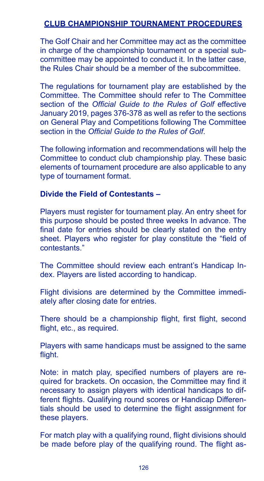# **CLUB CHAMPIONSHIP TOURNAMENT PROCEDURES**

The Golf Chair and her Committee may act as the committee in charge of the championship tournament or a special subcommittee may be appointed to conduct it. In the latter case, the Rules Chair should be a member of the subcommittee.

The regulations for tournament play are established by the Committee. The Committee should refer to The Committee section of the *Official Guide to the Rules of Golf* effective January 2019, pages 376-378 as well as refer to the sections on General Play and Competitions following The Committee section in the *Official Guide to the Rules of Golf*.

The following information and recommendations will help the Committee to conduct club championship play. These basic elements of tournament procedure are also applicable to any type of tournament format.

#### **Divide the Field of Contestants –**

Players must register for tournament play. An entry sheet for this purpose should be posted three weeks In advance. The final date for entries should be clearly stated on the entry sheet. Players who register for play constitute the "field of contestants."

The Committee should review each entrant's Handicap Index. Players are listed according to handicap.

Flight divisions are determined by the Committee immediately after closing date for entries.

There should be a championship flight, first flight, second flight, etc., as required.

Players with same handicaps must be assigned to the same flight.

Note: in match play, specified numbers of players are required for brackets. On occasion, the Committee may find it necessary to assign players with identical handicaps to different flights. Qualifying round scores or Handicap Differentials should be used to determine the flight assignment for these players.

For match play with a qualifying round, flight divisions should be made before play of the qualifying round. The flight as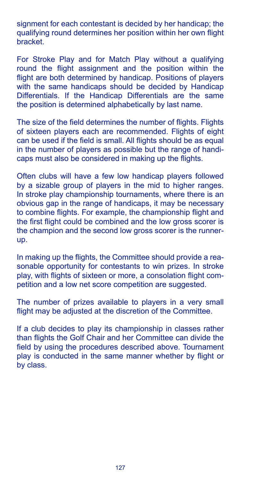signment for each contestant is decided by her handicap; the qualifying round determines her position within her own flight bracket.

For Stroke Play and for Match Play without a qualifying round the flight assignment and the position within the flight are both determined by handicap. Positions of players with the same handicaps should be decided by Handicap Differentials. If the Handicap Differentials are the same the position is determined alphabetically by last name.

The size of the field determines the number of flights. Flights of sixteen players each are recommended. Flights of eight can be used if the field is small. All flights should be as equal in the number of players as possible but the range of handicaps must also be considered in making up the flights.

Often clubs will have a few low handicap players followed by a sizable group of players in the mid to higher ranges. In stroke play championship tournaments, where there is an obvious gap in the range of handicaps, it may be necessary to combine flights. For example, the championship flight and the first flight could be combined and the low gross scorer is the champion and the second low gross scorer is the runnerup.

In making up the flights, the Committee should provide a reasonable opportunity for contestants to win prizes. In stroke play, with flights of sixteen or more, a consolation flight competition and a low net score competition are suggested.

The number of prizes available to players in a very small flight may be adjusted at the discretion of the Committee.

If a club decides to play its championship in classes rather than flights the Golf Chair and her Committee can divide the field by using the procedures described above. Tournament play is conducted in the same manner whether by flight or by class.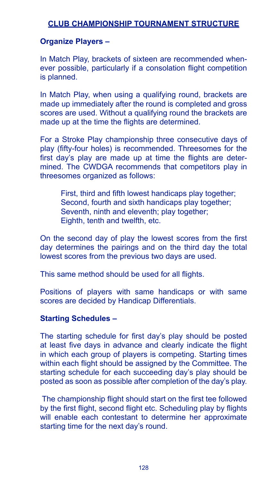# **CLUB CHAMPIONSHIP TOURNAMENT STRUCTURE**

#### **Organize Players –**

In Match Play, brackets of sixteen are recommended whenever possible, particularly if a consolation flight competition is planned.

In Match Play, when using a qualifying round, brackets are made up immediately after the round is completed and gross scores are used. Without a qualifying round the brackets are made up at the time the flights are determined.

For a Stroke Play championship three consecutive days of play (fifty-four holes) is recommended. Threesomes for the first day's play are made up at time the flights are determined. The CWDGA recommends that competitors play in threesomes organized as follows:

First, third and fifth lowest handicaps play together; Second, fourth and sixth handicaps play together; Seventh, ninth and eleventh; play together; Eighth, tenth and twelfth, etc.

On the second day of play the lowest scores from the first day determines the pairings and on the third day the total lowest scores from the previous two days are used.

This same method should be used for all flights.

Positions of players with same handicaps or with same scores are decided by Handicap Differentials.

## **Starting Schedules –**

The starting schedule for first day's play should be posted at least five days in advance and clearly indicate the flight in which each group of players is competing. Starting times within each flight should be assigned by the Committee. The starting schedule for each succeeding day's play should be posted as soon as possible after completion of the day's play.

 The championship flight should start on the first tee followed by the first flight, second flight etc. Scheduling play by flights will enable each contestant to determine her approximate starting time for the next day's round.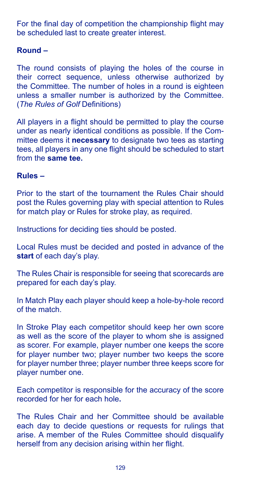For the final day of competition the championship flight may be scheduled last to create greater interest.

## **Round –**

The round consists of playing the holes of the course in their correct sequence, unless otherwise authorized by the Committee. The number of holes in a round is eighteen unless a smaller number is authorized by the Committee. (*The Rules of Golf* Definitions)

All players in a flight should be permitted to play the course under as nearly identical conditions as possible. If the Committee deems it **necessary** to designate two tees as starting tees, all players in any one flight should be scheduled to start from the **same tee.**

#### **Rules –**

Prior to the start of the tournament the Rules Chair should post the Rules governing play with special attention to Rules for match play or Rules for stroke play, as required.

Instructions for deciding ties should be posted.

Local Rules must be decided and posted in advance of the **start** of each day's play.

The Rules Chair is responsible for seeing that scorecards are prepared for each day's play.

In Match Play each player should keep a hole-by-hole record of the match.

In Stroke Play each competitor should keep her own score as well as the score of the player to whom she is assigned as scorer. For example, player number one keeps the score for player number two; player number two keeps the score for player number three; player number three keeps score for player number one.

Each competitor is responsible for the accuracy of the score recorded for her for each hole**.**

The Rules Chair and her Committee should be available each day to decide questions or requests for rulings that arise. A member of the Rules Committee should disqualify herself from any decision arising within her flight.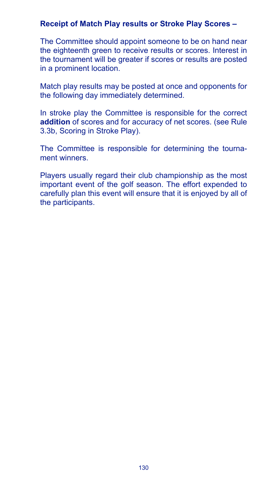#### **Receipt of Match Play results or Stroke Play Scores –**

The Committee should appoint someone to be on hand near the eighteenth green to receive results or scores. Interest in the tournament will be greater if scores or results are posted in a prominent location.

Match play results may be posted at once and opponents for the following day immediately determined.

In stroke play the Committee is responsible for the correct **addition** of scores and for accuracy of net scores. (see Rule 3.3b, Scoring in Stroke Play).

The Committee is responsible for determining the tournament winners.

Players usually regard their club championship as the most important event of the golf season. The effort expended to carefully plan this event will ensure that it is enjoyed by all of the participants.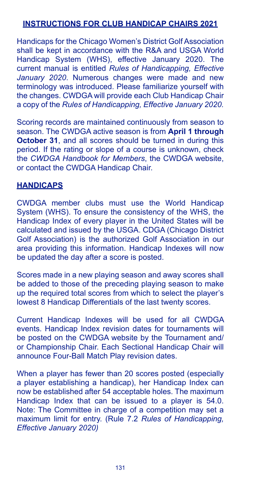# **INSTRUCTIONS FOR CLUB HANDICAP CHAIRS 2021**

Handicaps for the Chicago Women's District Golf Association shall be kept in accordance with the R&A and USGA World Handicap System (WHS), effective January 2020. The current manual is entitled *Rules of Handicapping, Effective January 2020*. Numerous changes were made and new terminology was introduced. Please familiarize yourself with the changes. CWDGA will provide each Club Handicap Chair a copy of the *Rules of Handicapping, Effective January 2020.*

Scoring records are maintained continuously from season to season. The CWDGA active season is from **April 1 through October 31**, and all scores should be turned in during this period. If the rating or slope of a course is unknown, check the *CWDGA Handbook for Members*, the CWDGA website, or contact the CWDGA Handicap Chair.

# **HANDICAPS**

CWDGA member clubs must use the World Handicap System (WHS). To ensure the consistency of the WHS, the Handicap Index of every player in the United States will be calculated and issued by the USGA. CDGA (Chicago District Golf Association) is the authorized Golf Association in our area providing this information. Handicap Indexes will now be updated the day after a score is posted.

Scores made in a new playing season and away scores shall be added to those of the preceding playing season to make up the required total scores from which to select the player's lowest 8 Handicap Differentials of the last twenty scores.

Current Handicap Indexes will be used for all CWDGA events. Handicap Index revision dates for tournaments will be posted on the CWDGA website by the Tournament and/ or Championship Chair. Each Sectional Handicap Chair will announce Four-Ball Match Play revision dates.

When a player has fewer than 20 scores posted (especially a player establishing a handicap), her Handicap Index can now be established after 54 acceptable holes. The maximum Handicap Index that can be issued to a player is 54.0. Note: The Committee in charge of a competition may set a maximum limit for entry. (Rule 7.2 *Rules of Handicapping, Effective January 2020)*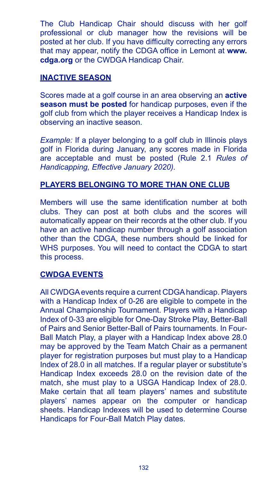The Club Handicap Chair should discuss with her golf professional or club manager how the revisions will be posted at her club. If you have difficulty correcting any errors that may appear, notify the CDGA office in Lemont at **www. cdga.org** or the CWDGA Handicap Chair.

# **INACTIVE SEASON**

Scores made at a golf course in an area observing an **active season must be posted** for handicap purposes, even if the golf club from which the player receives a Handicap Index is observing an inactive season.

*Example:* If a player belonging to a golf club in Illinois plays golf in Florida during January, any scores made in Florida are acceptable and must be posted (Rule 2.1 *Rules of Handicapping, Effective January 2020).*

# **PLAYERS BELONGING TO MORE THAN ONE CLUB**

Members will use the same identification number at both clubs. They can post at both clubs and the scores will automatically appear on their records at the other club. If you have an active handicap number through a golf association other than the CDGA, these numbers should be linked for WHS purposes. You will need to contact the CDGA to start this process.

# **CWDGA EVENTS**

All CWDGA events require a current CDGA handicap. Players with a Handicap Index of 0-26 are eligible to compete in the Annual Championship Tournament. Players with a Handicap Index of 0-33 are eligible for One-Day Stroke Play, Better-Ball of Pairs and Senior Better-Ball of Pairs tournaments. In Four-Ball Match Play, a player with a Handicap Index above 28.0 may be approved by the Team Match Chair as a permanent player for registration purposes but must play to a Handicap Index of 28.0 in all matches. If a regular player or substitute's Handicap Index exceeds 28.0 on the revision date of the match, she must play to a USGA Handicap Index of 28.0. Make certain that all team players' names and substitute players' names appear on the computer or handicap sheets. Handicap Indexes will be used to determine Course Handicaps for Four-Ball Match Play dates.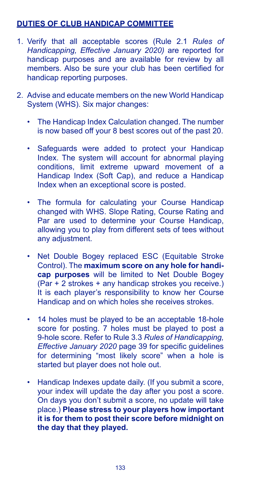# **DUTIES OF CLUB HANDICAP COMMITTEE**

- 1. Verify that all acceptable scores (Rule 2.1 *Rules of Handicapping, Effective January 2020)* are reported for handicap purposes and are available for review by all members. Also be sure your club has been certified for handicap reporting purposes.
- 2. Advise and educate members on the new World Handicap System (WHS). Six major changes:
	- The Handicap Index Calculation changed. The number is now based off your 8 best scores out of the past 20.
	- Safeguards were added to protect your Handicap Index. The system will account for abnormal playing conditions, limit extreme upward movement of a Handicap Index (Soft Cap), and reduce a Handicap Index when an exceptional score is posted.
	- The formula for calculating your Course Handicap changed with WHS. Slope Rating, Course Rating and Par are used to determine your Course Handicap, allowing you to play from different sets of tees without any adjustment.
	- Net Double Bogey replaced ESC (Equitable Stroke Control). The **maximum score on any hole for handicap purposes** will be limited to Net Double Bogey (Par + 2 strokes + any handicap strokes you receive.) It is each player's responsibility to know her Course Handicap and on which holes she receives strokes.
	- 14 holes must be played to be an acceptable 18-hole score for posting. 7 holes must be played to post a 9-hole score. Refer to Rule 3.3 *Rules of Handicapping, Effective January 2020* page 39 for specific guidelines for determining "most likely score" when a hole is started but player does not hole out.
	- Handicap Indexes update daily. (If you submit a score, your index will update the day after you post a score. On days you don't submit a score, no update will take place.) **Please stress to your players how important it is for them to post their score before midnight on the day that they played.**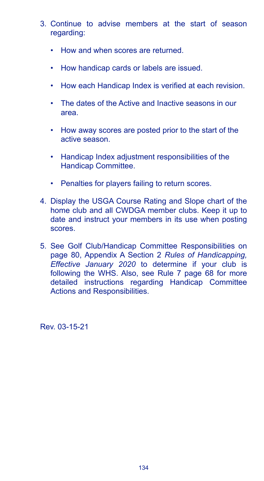- 3. Continue to advise members at the start of season regarding:
	- How and when scores are returned.
	- How handicap cards or labels are issued.
	- How each Handicap Index is verified at each revision.
	- The dates of the Active and Inactive seasons in our area.
	- How away scores are posted prior to the start of the active season.
	- Handicap Index adjustment responsibilities of the Handicap Committee.
	- Penalties for players failing to return scores.
- 4. Display the USGA Course Rating and Slope chart of the home club and all CWDGA member clubs. Keep it up to date and instruct your members in its use when posting scores.
- 5. See Golf Club/Handicap Committee Responsibilities on page 80, Appendix A Section 2 *Rules of Handicapping, Effective January 2020* to determine if your club is following the WHS. Also, see Rule 7 page 68 for more detailed instructions regarding Handicap Committee Actions and Responsibilities.

Rev. 03-15-21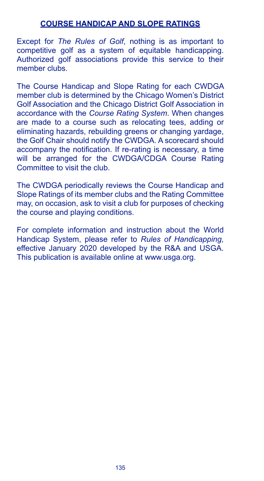#### **COURSE HANDICAP AND SLOPE RATINGS**

Except for *The Rules of Golf*, nothing is as important to competitive golf as a system of equitable handicapping. Authorized golf associations provide this service to their member clubs.

The Course Handicap and Slope Rating for each CWDGA member club is determined by the Chicago Women's District Golf Association and the Chicago District Golf Association in accordance with the *Course Rating System*. When changes are made to a course such as relocating tees, adding or eliminating hazards, rebuilding greens or changing yardage, the Golf Chair should notify the CWDGA. A scorecard should accompany the notification. If re-rating is necessary, a time will be arranged for the CWDGA/CDGA Course Rating Committee to visit the club.

The CWDGA periodically reviews the Course Handicap and Slope Ratings of its member clubs and the Rating Committee may, on occasion, ask to visit a club for purposes of checking the course and playing conditions.

For complete information and instruction about the World Handicap System, please refer to *Rules of Handicapping,*  effective January 2020 developed by the R&A and USGA. This publication is available online at www.usga.org.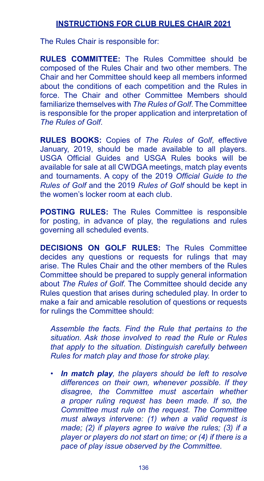# **INSTRUCTIONS FOR CLUB RULES CHAIR 2021**

The Rules Chair is responsible for:

**RULES COMMITTEE:** The Rules Committee should be composed of the Rules Chair and two other members. The Chair and her Committee should keep all members informed about the conditions of each competition and the Rules in force. The Chair and other Committee Members should familiarize themselves with *The Rules of Golf*. The Committee is responsible for the proper application and interpretation of *The Rules of Golf*.

**RULES BOOKS:** Copies of *The Rules of Golf*, effective January, 2019, should be made available to all players. USGA Official Guides and USGA Rules books will be available for sale at all CWDGA meetings, match play events and tournaments. A copy of the 2019 *Official Guide to the Rules of Golf* and the 2019 *Rules of Golf* should be kept in the women's locker room at each club.

**POSTING RULES:** The Rules Committee is responsible for posting, in advance of play, the regulations and rules governing all scheduled events.

**DECISIONS ON GOLF RULES:** The Rules Committee decides any questions or requests for rulings that may arise. The Rules Chair and the other members of the Rules Committee should be prepared to supply general information about *The Rules of Golf*. The Committee should decide any Rules question that arises during scheduled play. In order to make a fair and amicable resolution of questions or requests for rulings the Committee should:

 *Assemble the facts. Find the Rule that pertains to the situation. Ask those involved to read the Rule or Rules that apply to the situation. Distinguish carefully between Rules for match play and those for stroke play.*

*• In match play, the players should be left to resolve differences on their own, whenever possible. If they disagree, the Committee must ascertain whether a proper ruling request has been made. If so, the Committee must rule on the request. The Committee must always intervene: (1) when a valid request is made; (2) if players agree to waive the rules; (3) if a player or players do not start on time; or (4) if there is a pace of play issue observed by the Committee.*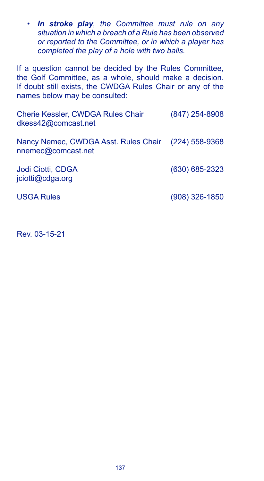*• In stroke play, the Committee must rule on any situation in which a breach of a Rule has been observed or reported to the Committee, or in which a player has completed the play of a hole with two balls.*

If a question cannot be decided by the Rules Committee, the Golf Committee, as a whole, should make a decision. If doubt still exists, the CWDGA Rules Chair or any of the names below may be consulted:

| Cherie Kessler, CWDGA Rules Chair<br>dkess42@comcast.net                  | $(847)$ 254-8908   |
|---------------------------------------------------------------------------|--------------------|
| Nancy Nemec, CWDGA Asst. Rules Chair (224) 558-9368<br>nnemec@comcast.net |                    |
| Jodi Ciotti, CDGA<br>jciotti@cdga.org                                     | $(630) 685 - 2323$ |
| <b>USGA Rules</b>                                                         | $(908)$ 326-1850   |

Rev. 03-15-21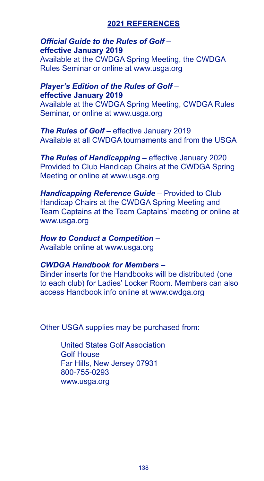## **2021 REFERENCES**

## *Official Guide to the Rules of Golf –*  **effective January 2019**

Available at the CWDGA Spring Meeting, the CWDGA Rules Seminar or online at www.usga.org

#### *Player's Edition of the Rules of Golf* – **effective January 2019**

Available at the CWDGA Spring Meeting, CWDGA Rules Seminar, or online at www.usga.org

*The Rules of Golf –* effective January 2019 Available at all CWDGA tournaments and from the USGA

**The Rules of Handicapping – effective January 2020** Provided to Club Handicap Chairs at the CWDGA Spring Meeting or online at www.usga.org

*Handicapping Reference Guide* – Provided to Club Handicap Chairs at the CWDGA Spring Meeting and Team Captains at the Team Captains' meeting or online at www.usga.org

#### *How to Conduct a Competition –*  Available online at www.usga.org

# *CWDGA Handbook for Members –*

Binder inserts for the Handbooks will be distributed (one to each club) for Ladies' Locker Room. Members can also access Handbook info online at www.cwdga.org

Other USGA supplies may be purchased from:

United States Golf Association Golf House Far Hills, New Jersey 07931 800-755-0293 www.usga.org